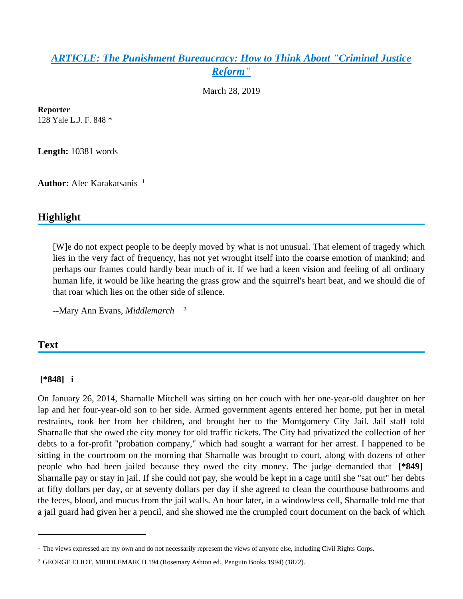# *[ARTICLE: The Punishment Bureaucracy: How to Think About "Criminal Justice](https://advance.lexis.com/api/document?collection=analytical-materials&id=urn:contentItem:5VRV-HG60-01DP-32FR-00000-00&context=)  [Reform"](https://advance.lexis.com/api/document?collection=analytical-materials&id=urn:contentItem:5VRV-HG60-01DP-32FR-00000-00&context=)*

March 28, 2019

**Reporter**

128 Yale L.J. F. 848 \*

**Length:** 10381 words

**Author:** Alec Karakatsanis <sup>1</sup>

### **Highlight**

[W]e do not expect people to be deeply moved by what is not unusual. That element of tragedy which lies in the very fact of frequency, has not yet wrought itself into the coarse emotion of mankind; and perhaps our frames could hardly bear much of it. If we had a keen vision and feeling of all ordinary human life, it would be like hearing the grass grow and the squirrel's heart beat, and we should die of that roar which lies on the other side of silence.

--Mary Ann Evans, *Middlemarch* 2

### **Text**

#### **[\*848] i**

On January 26, 2014, Sharnalle Mitchell was sitting on her couch with her one-year-old daughter on her lap and her four-year-old son to her side. Armed government agents entered her home, put her in metal restraints, took her from her children, and brought her to the Montgomery City Jail. Jail staff told Sharnalle that she owed the city money for old traffic tickets. The City had privatized the collection of her debts to a for-profit "probation company," which had sought a warrant for her arrest. I happened to be sitting in the courtroom on the morning that Sharnalle was brought to court, along with dozens of other people who had been jailed because they owed the city money. The judge demanded that **[\*849]**  Sharnalle pay or stay in jail. If she could not pay, she would be kept in a cage until she "sat out" her debts at fifty dollars per day, or at seventy dollars per day if she agreed to clean the courthouse bathrooms and the feces, blood, and mucus from the jail walls. An hour later, in a windowless cell, Sharnalle told me that a jail guard had given her a pencil, and she showed me the crumpled court document on the back of which

<sup>&</sup>lt;sup>1</sup> The views expressed are my own and do not necessarily represent the views of anyone else, including Civil Rights Corps.

<sup>2</sup> GEORGE ELIOT, MIDDLEMARCH 194 (Rosemary Ashton ed., Penguin Books 1994) (1872).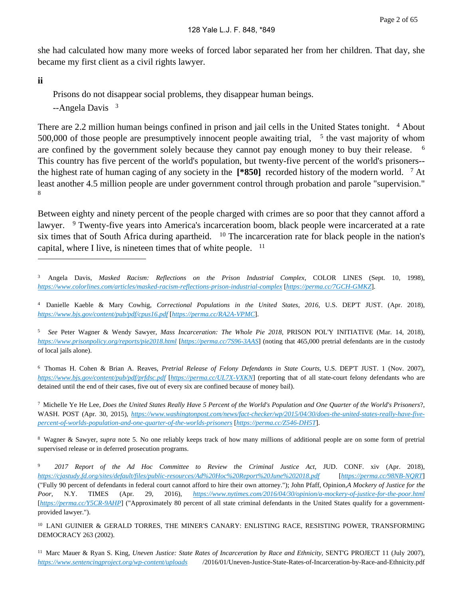she had calculated how many more weeks of forced labor separated her from her children. That day, she became my first client as a civil rights lawyer.

**ii**

Prisons do not disappear social problems, they disappear human beings. --Angela Davis <sup>3</sup>

There are 2.2 million human beings confined in prison and jail cells in the United States tonight. <sup>4</sup> About  $500,000$  of those people are presumptively innocent people awaiting trial,  $\frac{5}{5}$  the vast majority of whom are confined by the government solely because they cannot pay enough money to buy their release. <sup>6</sup> This country has five percent of the world's population, but twenty-five percent of the world's prisoners- the highest rate of human caging of any society in the **[\*850]** recorded history of the modern world. <sup>7</sup> At least another 4.5 million people are under government control through probation and parole "supervision." 8

Between eighty and ninety percent of the people charged with crimes are so poor that they cannot afford a lawyer. <sup>9</sup> Twenty-five years into America's incarceration boom, black people were incarcerated at a rate six times that of South Africa during apartheid.  $10$  The incarceration rate for black people in the nation's capital, where I live, is nineteen times that of white people. <sup>11</sup>

5 *See* Peter Wagner & Wendy Sawyer, *Mass Incarceration: The Whole Pie 2018*, PRISON POL'Y INITIATIVE (Mar. 14, 2018), *<https://www.prisonpolicy.org/reports/pie2018.html>* [*<https://perma.cc/7S96-3AAS>*] (noting that 465,000 pretrial defendants are in the custody of local jails alone).

<sup>6</sup>Thomas H. Cohen & Brian A. Reaves, *Pretrial Release of Felony Defendants in State Courts*, U.S. DEP'T JUST. 1 (Nov. 2007), *<https://www.bjs.gov/content/pub/pdf/prfdsc.pdf>* [*<https://perma.cc/UL7X-VXKN>*] (reporting that of all state-court felony defendants who are detained until the end of their cases, five out of every six are confined because of money bail).

<sup>7</sup>Michelle Ye He Lee, *Does the United States Really Have 5 Percent of the World's Population and One Quarter of the World's Prisoners*?, WASH. POST (Apr. 30, 2015), *[https://www.washingtonpost.com/news/fact-checker/wp/2015/04/30/does-the-united-states-really-have-five](https://www.washingtonpost.com/news/fact-checker/wp/2015/04/30/does-the-united-states-really-have-five-percent-of-worlds-population-and-one-quarter-of-the-worlds-prisoners)[percent-of-worlds-population-and-one-quarter-of-the-worlds-prisoners](https://www.washingtonpost.com/news/fact-checker/wp/2015/04/30/does-the-united-states-really-have-five-percent-of-worlds-population-and-one-quarter-of-the-worlds-prisoners)* [*<https://perma.cc/Z546-DH5T>*].

<sup>8</sup>Wagner & Sawyer, *supra* note 5. No one reliably keeps track of how many millions of additional people are on some form of pretrial supervised release or in deferred prosecution programs.

9 *2017 Report of the Ad Hoc Committee to Review the Criminal Justice Act*, JUD. CONF. xiv (Apr. 2018), *<https://cjastudy.fd.org/sites/default/files/public-resources/Ad%20Hoc%20Report%20June%202018.pdf>* [*<https://perma.cc/98NB-NQRT>*] ("Fully 90 percent of defendants in federal court cannot afford to hire their own attorney."); John Pfaff, Opinion,*A Mockery of Justice for the Poor*, N.Y. TIMES (Apr. 29, 2016), *<https://www.nytimes.com/2016/04/30/opinion/a-mockery-of-justice-for-the-poor.html>* [*<https://perma.cc/Y5CR-9AHP>*] ("Approximately 80 percent of all state criminal defendants in the United States qualify for a governmentprovided lawyer.").

<sup>10</sup> LANI GUINIER & GERALD TORRES, THE MINER'S CANARY: ENLISTING RACE, RESISTING POWER, TRANSFORMING DEMOCRACY 263 (2002).

<sup>11</sup> Marc Mauer & Ryan S. King, *Uneven Justice: State Rates of Incarceration by Race and Ethnicity*, SENT'G PROJECT 11 (July 2007), *<https://www.sentencingproject.org/wp-content/uploads>* /2016/01/Uneven-Justice-State-Rates-of-Incarceration-by-Race-and-Ethnicity.pdf

<sup>3</sup>Angela Davis, *Masked Racism: Reflections on the Prison Industrial Complex*, COLOR LINES (Sept. 10, 1998), *<https://www.colorlines.com/articles/masked-racism-reflections-prison-industrial-complex>* [*<https://perma.cc/7GCH-GMKZ>*].

<sup>4</sup>Danielle Kaeble & Mary Cowhig, *Correctional Populations in the United States, 2016*, U.S. DEP'T JUST. (Apr. 2018), *<https://www.bjs.gov/content/pub/pdf/cpus16.pdf>* [*<https://perma.cc/RA2A-VPMC>*].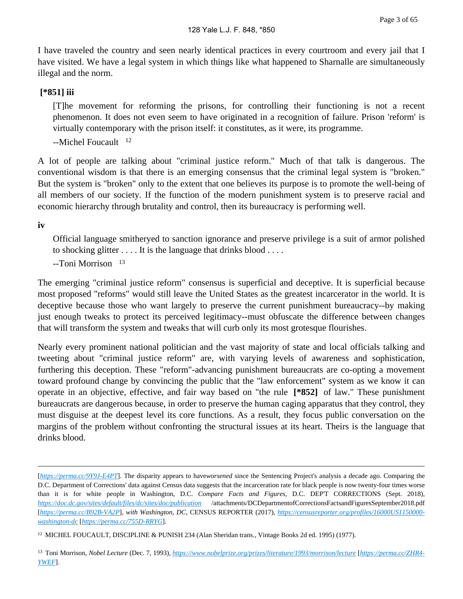I have traveled the country and seen nearly identical practices in every courtroom and every jail that I have visited. We have a legal system in which things like what happened to Sharnalle are simultaneously illegal and the norm.

# **[\*851] iii**

[T]he movement for reforming the prisons, for controlling their functioning is not a recent phenomenon. It does not even seem to have originated in a recognition of failure. Prison 'reform' is virtually contemporary with the prison itself: it constitutes, as it were, its programme.

--Michel Foucault <sup>12</sup>

A lot of people are talking about "criminal justice reform." Much of that talk is dangerous. The conventional wisdom is that there is an emerging consensus that the criminal legal system is "broken." But the system is "broken" only to the extent that one believes its purpose is to promote the well-being of all members of our society. If the function of the modern punishment system is to preserve racial and economic hierarchy through brutality and control, then its bureaucracy is performing well.

**iv**

Official language smitheryed to sanction ignorance and preserve privilege is a suit of armor polished to shocking glitter  $\dots$ . It is the language that drinks blood  $\dots$ .

--Toni Morrison 13

The emerging "criminal justice reform" consensus is superficial and deceptive. It is superficial because most proposed "reforms" would still leave the United States as the greatest incarcerator in the world. It is deceptive because those who want largely to preserve the current punishment bureaucracy--by making just enough tweaks to protect its perceived legitimacy--must obfuscate the difference between changes that will transform the system and tweaks that will curb only its most grotesque flourishes.

Nearly every prominent national politician and the vast majority of state and local officials talking and tweeting about "criminal justice reform" are, with varying levels of awareness and sophistication, furthering this deception. These "reform"-advancing punishment bureaucrats are co-opting a movement toward profound change by convincing the public that the "law enforcement" system as we know it can operate in an objective, effective, and fair way based on "the rule **[\*852]** of law." These punishment bureaucrats are dangerous because, in order to preserve the human caging apparatus that they control, they must disguise at the deepest level its core functions. As a result, they focus public conversation on the margins of the problem without confronting the structural issues at its heart. Theirs is the language that drinks blood.

<sup>[</sup>*<https://perma.cc/9Y9J-E4PT>*]. The disparity appears to have*worsened* since the Sentencing Project's analysis a decade ago. Comparing the D.C. Department of Corrections' data against Census data suggests that the incarceration rate for black people is now twenty-four times worse than it is for white people in Washington, D.C. *Compare Facts and Figures*, D.C. DEP'T CORRECTIONS (Sept. 2018), *<https://doc.dc.gov/sites/default/files/dc/sites/doc/publication>* /attachments/DCDepartmentofCorrectionsFactsandFiguresSeptember2018.pdf [*<https://perma.cc/B92B-VA2P>*], *with Washington, DC*, CENSUS REPORTER (2017), *[https://censusreporter.org/profiles/16000US1150000](https://censusreporter.org/profiles/16000US1150000-washington-dc) [washington-dc](https://censusreporter.org/profiles/16000US1150000-washington-dc)* [*<https://perma.cc/755D-RRYG>*].

<sup>&</sup>lt;sup>12</sup> MICHEL FOUCAULT, DISCIPLINE & PUNISH 234 (Alan Sheridan trans., Vintage Books 2d ed. 1995) (1977).

<sup>13</sup>Toni Morrison, *Nobel Lecture* (Dec. 7, 1993), *<https://www.nobelprize.org/prizes/literature/1993/morrison/lecture>* [*[https://perma.cc/ZHR4-](https://perma.cc/ZHR4-YWEF) [YWEF](https://perma.cc/ZHR4-YWEF)*].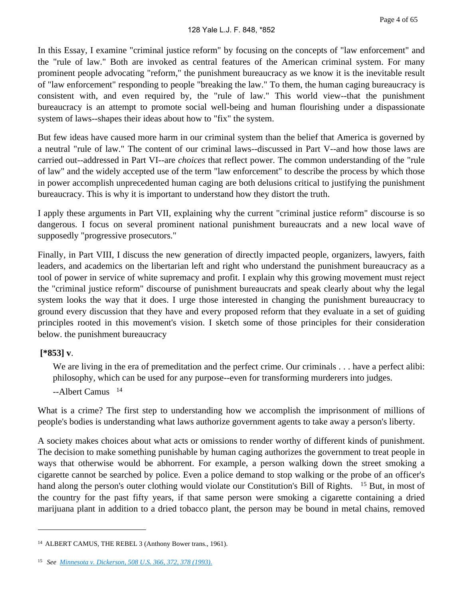In this Essay, I examine "criminal justice reform" by focusing on the concepts of "law enforcement" and the "rule of law." Both are invoked as central features of the American criminal system. For many prominent people advocating "reform," the punishment bureaucracy as we know it is the inevitable result of "law enforcement" responding to people "breaking the law." To them, the human caging bureaucracy is consistent with, and even required by, the "rule of law." This world view--that the punishment bureaucracy is an attempt to promote social well-being and human flourishing under a dispassionate system of laws--shapes their ideas about how to "fix" the system.

But few ideas have caused more harm in our criminal system than the belief that America is governed by a neutral "rule of law." The content of our criminal laws--discussed in Part V--and how those laws are carried out--addressed in Part VI--are *choices* that reflect power. The common understanding of the "rule of law" and the widely accepted use of the term "law enforcement" to describe the process by which those in power accomplish unprecedented human caging are both delusions critical to justifying the punishment bureaucracy. This is why it is important to understand how they distort the truth.

I apply these arguments in Part VII, explaining why the current "criminal justice reform" discourse is so dangerous. I focus on several prominent national punishment bureaucrats and a new local wave of supposedly "progressive prosecutors."

Finally, in Part VIII, I discuss the new generation of directly impacted people, organizers, lawyers, faith leaders, and academics on the libertarian left and right who understand the punishment bureaucracy as a tool of power in service of white supremacy and profit. I explain why this growing movement must reject the "criminal justice reform" discourse of punishment bureaucrats and speak clearly about why the legal system looks the way that it does. I urge those interested in changing the punishment bureaucracy to ground every discussion that they have and every proposed reform that they evaluate in a set of guiding principles rooted in this movement's vision. I sketch some of those principles for their consideration below. the punishment bureaucracy

### **[\*853] v**.

We are living in the era of premeditation and the perfect crime. Our criminals . . . have a perfect alibi: philosophy, which can be used for any purpose--even for transforming murderers into judges. --Albert Camus <sup>14</sup>

What is a crime? The first step to understanding how we accomplish the imprisonment of millions of people's bodies is understanding what laws authorize government agents to take away a person's liberty.

A society makes choices about what acts or omissions to render worthy of different kinds of punishment. The decision to make something punishable by human caging authorizes the government to treat people in ways that otherwise would be abhorrent. For example, a person walking down the street smoking a cigarette cannot be searched by police. Even a police demand to stop walking or the probe of an officer's hand along the person's outer clothing would violate our Constitution's Bill of Rights. <sup>15</sup> But, in most of the country for the past fifty years, if that same person were smoking a cigarette containing a dried marijuana plant in addition to a dried tobacco plant, the person may be bound in metal chains, removed

<sup>&</sup>lt;sup>14</sup> ALBERT CAMUS, THE REBEL 3 (Anthony Bower trans., 1961).

<sup>15</sup>  *See [Minnesota v. Dickerson, 508 U.S. 366, 372, 378 \(1993\).](https://advance.lexis.com/api/document?collection=cases&id=urn:contentItem:3RJ6-FD20-003B-R0MX-00000-00&context=)*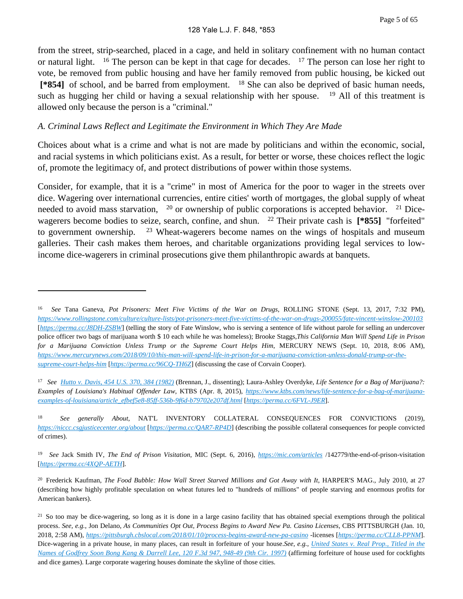from the street, strip-searched, placed in a cage, and held in solitary confinement with no human contact or natural light. <sup>16</sup> The person can be kept in that cage for decades. <sup>17</sup> The person can lose her right to vote, be removed from public housing and have her family removed from public housing, be kicked out  **[\*854]** of school, and be barred from employment. <sup>18</sup> She can also be deprived of basic human needs, such as hugging her child or having a sexual relationship with her spouse. <sup>19</sup> All of this treatment is allowed only because the person is a "criminal."

# *A. Criminal Laws Reflect and Legitimate the Environment in Which They Are Made*

Choices about what is a crime and what is not are made by politicians and within the economic, social, and racial systems in which politicians exist. As a result, for better or worse, these choices reflect the logic of, promote the legitimacy of, and protect distributions of power within those systems.

Consider, for example, that it is a "crime" in most of America for the poor to wager in the streets over dice. Wagering over international currencies, entire cities' worth of mortgages, the global supply of wheat needed to avoid mass starvation,  $20$  or ownership of public corporations is accepted behavior.  $21$  Dicewagerers become bodies to seize, search, confine, and shun. <sup>22</sup> Their private cash is **[\*855]** "forfeited" to government ownership. <sup>23</sup> Wheat-wagerers become names on the wings of hospitals and museum galleries. Their cash makes them heroes, and charitable organizations providing legal services to lowincome dice-wagerers in criminal prosecutions give them philanthropic awards at banquets.

19 *See* Jack Smith IV, *The End of Prison Visitation*, MIC (Sept. 6, 2016), *<https://mic.com/articles>* /142779/the-end-of-prison-visitation [*<https://perma.cc/4XQP-AETH>*].

<sup>20</sup> Frederick Kaufman, *The Food Bubble: How Wall Street Starved Millions and Got Away with It*, HARPER'S MAG., July 2010, at 27 (describing how highly profitable speculation on wheat futures led to "hundreds of millions" of people starving and enormous profits for American bankers).

<sup>16</sup>  *See* Tana Ganeva, *Pot Prisoners: Meet Five Victims of the War on Drugs*, ROLLING STONE (Sept. 13, 2017, 7:32 PM), *<https://www.rollingstone.com/culture/culture-lists/pot-prisoners-meet-five-victims-of-the-war-on-drugs-200055/fate-vincent-winslow-200103>* [*<https://perma.cc/J8DH-ZSBW>*] (telling the story of Fate Winslow, who is serving a sentence of life without parole for selling an undercover police officer two bags of marijuana worth \$ 10 each while he was homeless); Brooke Staggs,*This California Man Will Spend Life in Prison for a Marijuana Conviction Unless Trump or the Supreme Court Helps Him*, MERCURY NEWS (Sept. 10, 2018, 8:06 AM), *[https://www.mercurynews.com/2018/09/10/this-man-will-spend-life-in-prison-for-a-marijuana-conviction-unless-donald-trump-or-the](https://www.mercurynews.com/2018/09/10/this-man-will-spend-life-in-prison-for-a-marijuana-conviction-unless-donald-trump-or-the-supreme-court-helps-him)[supreme-court-helps-him](https://www.mercurynews.com/2018/09/10/this-man-will-spend-life-in-prison-for-a-marijuana-conviction-unless-donald-trump-or-the-supreme-court-helps-him)* [*<https://perma.cc/96CQ-TH6Z>*] (discussing the case of Corvain Cooper).

<sup>17</sup>  *See [Hutto v. Davis, 454 U.S. 370, 384 \(1982\)](https://advance.lexis.com/api/document?collection=cases&id=urn:contentItem:3S4X-5WG0-003B-S2CX-00000-00&context=)* (Brennan, J., dissenting); Laura-Ashley Overdyke, *Life Sentence for a Bag of Marijuana?: Examples of Louisiana's Habitual Offender Law*, KTBS (Apr. 8, 2015), *[https://www.ktbs.com/news/life-sentence-for-a-bag-of-marijuana](https://www.ktbs.com/news/life-sentence-for-a-bag-of-marijuana-examples-of-louisiana/article_efbef5e8-85ff-536b-9f6d-b79702e207df.html)[examples-of-louisiana/article\\_efbef5e8-85ff-536b-9f6d-b79702e207df.html](https://www.ktbs.com/news/life-sentence-for-a-bag-of-marijuana-examples-of-louisiana/article_efbef5e8-85ff-536b-9f6d-b79702e207df.html)* [*<https://perma.cc/6FVL-J9ER>*].

<sup>18</sup>  *See generally About*, NAT'L INVENTORY COLLATERAL CONSEQUENCES FOR CONVICTIONS (2019), *<https://niccc.csgjusticecenter.org/about>* [*<https://perma.cc/QAR7-RP4D>*] (describing the possible collateral consequences for people convicted of crimes).

 $21$  So too may be dice-wagering, so long as it is done in a large casino facility that has obtained special exemptions through the political process. *See, e.g.*, Jon Delano, *As Communities Opt Out, Process Begins to Award New Pa. Casino Licenses*, CBS PITTSBURGH (Jan. 10, 2018, 2:58 AM), *<https://pittsburgh.cbslocal.com/2018/01/10/process-begins-award-new-pa-casino>* -licenses [*<https://perma.cc/CLL8-PPNM>*]. Dice-wagering in a private house, in many places, can result in forfeiture of your house.*See, e.g.*, *[United States v. Real Prop., Titled in the](https://advance.lexis.com/api/document?collection=cases&id=urn:contentItem:3S4X-FC50-00B1-D0NV-00000-00&context=)  [Names of Godfrey Soon Bong Kang & Darrell Lee, 120 F.3d 947, 948-49 \(9th Cir. 1997\)](https://advance.lexis.com/api/document?collection=cases&id=urn:contentItem:3S4X-FC50-00B1-D0NV-00000-00&context=)* (affirming forfeiture of house used for cockfights and dice games). Large corporate wagering houses dominate the skyline of those cities.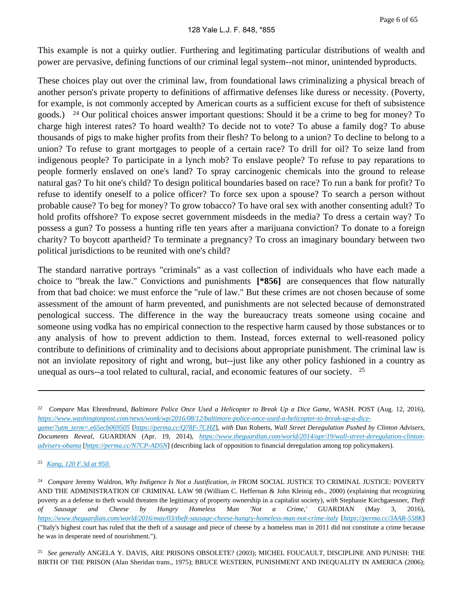This example is not a quirky outlier. Furthering and legitimating particular distributions of wealth and power are pervasive, defining functions of our criminal legal system--not minor, unintended byproducts.

These choices play out over the criminal law, from foundational laws criminalizing a physical breach of another person's private property to definitions of affirmative defenses like duress or necessity. (Poverty, for example, is not commonly accepted by American courts as a sufficient excuse for theft of subsistence goods.)  $^{24}$  Our political choices answer important questions: Should it be a crime to beg for money? To charge high interest rates? To hoard wealth? To decide not to vote? To abuse a family dog? To abuse thousands of pigs to make higher profits from their flesh? To belong to a union? To decline to belong to a union? To refuse to grant mortgages to people of a certain race? To drill for oil? To seize land from indigenous people? To participate in a lynch mob? To enslave people? To refuse to pay reparations to people formerly enslaved on one's land? To spray carcinogenic chemicals into the ground to release natural gas? To hit one's child? To design political boundaries based on race? To run a bank for profit? To refuse to identify oneself to a police officer? To force sex upon a spouse? To search a person without probable cause? To beg for money? To grow tobacco? To have oral sex with another consenting adult? To hold profits offshore? To expose secret government misdeeds in the media? To dress a certain way? To possess a gun? To possess a hunting rifle ten years after a marijuana conviction? To donate to a foreign charity? To boycott apartheid? To terminate a pregnancy? To cross an imaginary boundary between two political jurisdictions to be reunited with one's child?

The standard narrative portrays "criminals" as a vast collection of individuals who have each made a choice to "break the law." Convictions and punishments **[\*856]** are consequences that flow naturally from that bad choice: we must enforce the "rule of law." But these crimes are not chosen because of some assessment of the amount of harm prevented, and punishments are not selected because of demonstrated penological success. The difference in the way the bureaucracy treats someone using cocaine and someone using vodka has no empirical connection to the respective harm caused by those substances or to any analysis of how to prevent addiction to them. Instead, forces external to well-reasoned policy contribute to definitions of criminality and to decisions about appropriate punishment. The criminal law is not an inviolate repository of right and wrong, but--just like any other policy fashioned in a country as unequal as ours--a tool related to cultural, racial, and economic features of our society. <sup>25</sup>

22 *Compare* Max Ehrenfreund, *Baltimore Police Once Used a Helicopter to Break Up a Dice Game*, WASH. POST (Aug. 12, 2016), *[https://www.washingtonpost.com/news/wonk/wp/2016/08/12/baltimore-police-once-used-a-helicopter-to-break-up-a-dice](https://www.washingtonpost.com/news/wonk/wp/2016/08/12/baltimore-police-once-used-a-helicopter-to-break-up-a-dice-game/?utm_term=.e65ecb069505)[game/?utm\\_term=.e65ecb069505](https://www.washingtonpost.com/news/wonk/wp/2016/08/12/baltimore-police-once-used-a-helicopter-to-break-up-a-dice-game/?utm_term=.e65ecb069505)* [*<https://perma.cc/Q78F-7CHZ>*], *with* Dan Roberts, *Wall Street Deregulation Pushed by Clinton Advisers, Documents Reveal*, GUARDIAN (Apr. 19, 2014), *[https://www.theguardian.com/world/2014/apr/19/wall-street-deregulation-clinton](https://www.theguardian.com/world/2014/apr/19/wall-street-deregulation-clinton-advisers-obama)[advisers-obama](https://www.theguardian.com/world/2014/apr/19/wall-street-deregulation-clinton-advisers-obama)* [*<https://perma.cc/N7CP-AD5N>*] (describing lack of opposition to financial deregulation among top policymakers).

23 *[Kang, 120 F.3d at 950.](https://advance.lexis.com/api/document?collection=cases&id=urn:contentItem:3S4X-FC50-00B1-D0NV-00000-00&context=)*

24 *Compare* Jeremy Waldron, *Why Indigence Is Not a Justification, in* FROM SOCIAL JUSTICE TO CRIMINAL JUSTICE: POVERTY AND THE ADMINISTRATION OF CRIMINAL LAW 98 (William C. Heffernan & John Kleinig eds., 2000) (explaining that recognizing poverty as a defense to theft would threaten the legitimacy of property ownership in a capitalist society), *with* Stephanie Kirchgaessner, *Theft of Sausage and Cheese by Hungry Homeless Man 'Not a Crime*,*'* GUARDIAN (May 3, 2016), *<https://www.theguardian.com/world/2016/may/03/theft-sausage-cheese-hungry-homeless-man-not-crime-italy>* [*<https://perma.cc/3AAR-558K>*] ("Italy's highest court has ruled that the theft of a sausage and piece of cheese by a homeless man in 2011 did not constitute a crime because he was in desperate need of nourishment.").

25 *See generally* ANGELA Y. DAVIS, ARE PRISONS OBSOLETE? (2003); MICHEL FOUCAULT, DISCIPLINE AND PUNISH: THE BIRTH OF THE PRISON (Alan Sheridan trans., 1975); BRUCE WESTERN, PUNISHMENT AND INEQUALITY IN AMERICA (2006);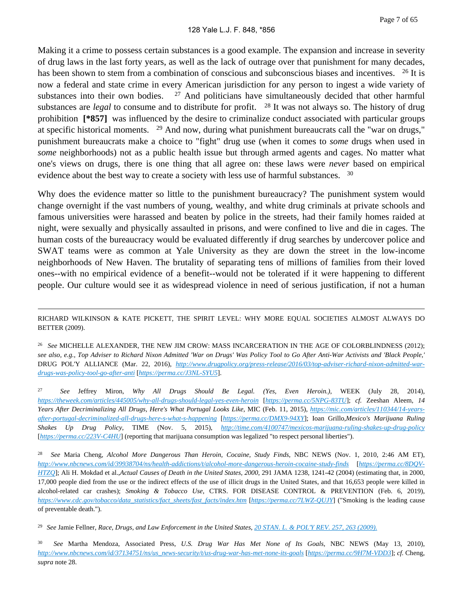Making it a crime to possess certain substances is a good example. The expansion and increase in severity of drug laws in the last forty years, as well as the lack of outrage over that punishment for many decades, has been shown to stem from a combination of conscious and subconscious biases and incentives. <sup>26</sup> It is now a federal and state crime in every American jurisdiction for any person to ingest a wide variety of substances into their own bodies.  $27$  And politicians have simultaneously decided that other harmful substances are *legal* to consume and to distribute for profit. <sup>28</sup> It was not always so. The history of drug prohibition **[\*857]** was influenced by the desire to criminalize conduct associated with particular groups at specific historical moments. <sup>29</sup> And now, during what punishment bureaucrats call the "war on drugs," punishment bureaucrats make a choice to "fight" drug use (when it comes to *some* drugs when used in *some* neighborhoods) not as a public health issue but through armed agents and cages. No matter what one's views on drugs, there is one thing that all agree on: these laws were *never* based on empirical evidence about the best way to create a society with less use of harmful substances. <sup>30</sup>

Why does the evidence matter so little to the punishment bureaucracy? The punishment system would change overnight if the vast numbers of young, wealthy, and white drug criminals at private schools and famous universities were harassed and beaten by police in the streets, had their family homes raided at night, were sexually and physically assaulted in prisons, and were confined to live and die in cages. The human costs of the bureaucracy would be evaluated differently if drug searches by undercover police and SWAT teams were as common at Yale University as they are down the street in the low-income neighborhoods of New Haven. The brutality of separating tens of millions of families from their loved ones--with no empirical evidence of a benefit--would not be tolerated if it were happening to different people. Our culture would see it as widespread violence in need of serious justification, if not a human

27 *See* Jeffrey Miron, *Why All Drugs Should Be Legal. (Yes, Even Heroin.)*, WEEK (July 28, 2014), *<https://theweek.com/articles/445005/why-all-drugs-should-legal-yes-even-heroin>* [*<https://perma.cc/5NPG-83TU>*]; *cf.* Zeeshan Aleem, *14 Years After Decriminalizing All Drugs, Here's What Portugal Looks Like*, MIC (Feb. 11, 2015), *[https://mic.com/articles/110344/14-years](https://mic.com/articles/110344/14-years-after-portugal-decriminalized-all-drugs-here-s-what-s-happening)[after-portugal-decriminalized-all-drugs-here-s-what-s-happening](https://mic.com/articles/110344/14-years-after-portugal-decriminalized-all-drugs-here-s-what-s-happening)* [*<https://perma.cc/DMX9-94XY>*]; Ioan Grillo,*Mexico's Marijuana Ruling Shakes Up Drug Policy*, TIME (Nov. 5, 2015), *<http://time.com/4100747/mexicos-marijuana-ruling-shakes-up-drug-policy>* [*<https://perma.cc/223V-C4HU>*] (reporting that marijuana consumption was legalized "to respect personal liberties").

28 *See* Maria Cheng, *Alcohol More Dangerous Than Heroin, Cocaine, Study Finds*, NBC NEWS (Nov. 1, 2010, 2:46 AM ET), *<http://www.nbcnews.com/id/39938704/ns/health-addictions/t/alcohol-more-dangerous-heroin-cocaine-study-finds>* [*[https://perma.cc/8DQV-](https://perma.cc/8DQV-HTZQ)[HTZQ](https://perma.cc/8DQV-HTZQ)*]; Ali H. Mokdad et al.,*Actual Causes of Death in the United States, 2000*, 291 JAMA 1238, 1241-42 (2004) (estimating that, in 2000, 17,000 people died from the use or the indirect effects of the use of illicit drugs in the United States, and that 16,653 people were killed in alcohol-related car crashes); *Smoking & Tobacco Use*, CTRS. FOR DISEASE CONTROL & PREVENTION (Feb. 6, 2019), *[https://www.cdc.gov/tobacco/data\\_statistics/fact\\_sheets/fast\\_facts/index.htm](https://www.cdc.gov/tobacco/data_statistics/fact_sheets/fast_facts/index.htm)* [*<https://perma.cc/7LWZ-QUJY>*] ("Smoking is the leading cause of preventable death.").

29 *See* Jamie Fellner, *Race, Drugs, and Law Enforcement in the United States*, *[20 STAN. L. & POL'Y REV. 257, 263 \(2009\).](https://advance.lexis.com/api/document?collection=analytical-materials&id=urn:contentItem:4WN4-00T0-00CV-V115-00000-00&context=)*

RICHARD WILKINSON & KATE PICKETT, THE SPIRIT LEVEL: WHY MORE EQUAL SOCIETIES ALMOST ALWAYS DO BETTER (2009).

<sup>26</sup>  *See* MICHELLE ALEXANDER, THE NEW JIM CROW: MASS INCARCERATION IN THE AGE OF COLORBLINDNESS (2012); *see also, e.g., Top Adviser to Richard Nixon Admitted 'War on Drugs' Was Policy Tool to Go After Anti-War Activists and 'Black People*,*'* DRUG POL'Y ALLIANCE (Mar. 22, 2016), *[http://www.drugpolicy.org/press-release/2016/03/top-adviser-richard-nixon-admitted-war](http://www.drugpolicy.org/press-release/2016/03/top-adviser-richard-nixon-admitted-war-drugs-was-policy-tool-go-after-anti)[drugs-was-policy-tool-go-after-anti](http://www.drugpolicy.org/press-release/2016/03/top-adviser-richard-nixon-admitted-war-drugs-was-policy-tool-go-after-anti)* [*<https://perma.cc/J3NL-SYU5>*].

<sup>30</sup>  *See* Martha Mendoza, Associated Press, *U.S. Drug War Has Met None of Its Goals*, NBC NEWS (May 13, 2010), *[http://www.nbcnews.com/id/37134751/ns/us\\_news-security/t/us-drug-war-has-met-none-its-goals](http://www.nbcnews.com/id/37134751/ns/us_news-security/t/us-drug-war-has-met-none-its-goals)* [*<https://perma.cc/9H7M-VDD3>*]; *cf.* Cheng, *supra* note 28.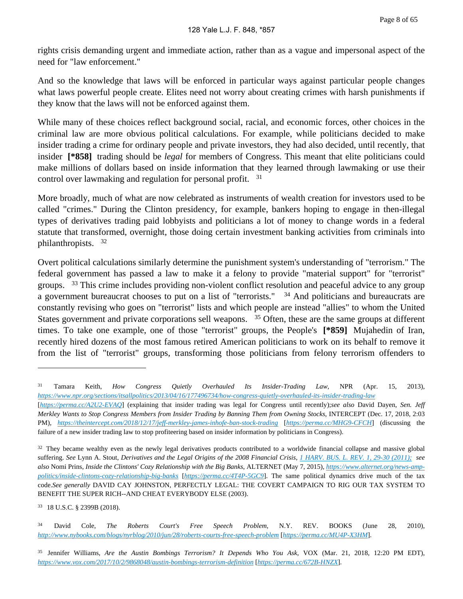rights crisis demanding urgent and immediate action, rather than as a vague and impersonal aspect of the need for "law enforcement."

And so the knowledge that laws will be enforced in particular ways against particular people changes what laws powerful people create. Elites need not worry about creating crimes with harsh punishments if they know that the laws will not be enforced against them.

While many of these choices reflect background social, racial, and economic forces, other choices in the criminal law are more obvious political calculations. For example, while politicians decided to make insider trading a crime for ordinary people and private investors, they had also decided, until recently, that insider **[\*858]** trading should be *legal* for members of Congress. This meant that elite politicians could make millions of dollars based on inside information that they learned through lawmaking or use their control over lawmaking and regulation for personal profit. <sup>31</sup>

More broadly, much of what are now celebrated as instruments of wealth creation for investors used to be called "crimes." During the Clinton presidency, for example, bankers hoping to engage in then-illegal types of derivatives trading paid lobbyists and politicians a lot of money to change words in a federal statute that transformed, overnight, those doing certain investment banking activities from criminals into philanthropists. <sup>32</sup>

Overt political calculations similarly determine the punishment system's understanding of "terrorism." The federal government has passed a law to make it a felony to provide "material support" for "terrorist" groups. <sup>33</sup> This crime includes providing non-violent conflict resolution and peaceful advice to any group a government bureaucrat chooses to put on a list of "terrorists." <sup>34</sup> And politicians and bureaucrats are constantly revising who goes on "terrorist" lists and which people are instead "allies" to whom the United States government and private corporations sell weapons. <sup>35</sup> Often, these are the same groups at different times. To take one example, one of those "terrorist" groups, the People's **[\*859]** Mujahedin of Iran, recently hired dozens of the most famous retired American politicians to work on its behalf to remove it from the list of "terrorist" groups, transforming those politicians from felony terrorism offenders to

<sup>33</sup>18 U.S.C. § 2399B (2018).

<sup>&</sup>lt;sup>31</sup> Tamara Keith, *How Congress Quietly Overhauled Its Insider-Trading Law*, NPR (Apr. 15, 2013), *<https://www.npr.org/sections/itsallpolitics/2013/04/16/177496734/how-congress-quietly-overhauled-its-insider-trading-law>*

<sup>[</sup>*<https://perma.cc/A2U2-EVAQ>*] (explaining that insider trading was legal for Congress until recently);*see also* David Dayen, *Sen. Jeff Merkley Wants to Stop Congress Members from Insider Trading by Banning Them from Owning Stocks*, INTERCEPT (Dec. 17, 2018, 2:03 PM), *<https://theintercept.com/2018/12/17/jeff-merkley-james-inhofe-ban-stock-trading>* [*<https://perma.cc/MHG9-CFCH>*] (discussing the failure of a new insider trading law to stop profiteering based on insider information by politicians in Congress).

<sup>&</sup>lt;sup>32</sup> They became wealthy even as the newly legal derivatives products contributed to a worldwide financial collapse and massive global suffering. *See* Lynn A. Stout, *Derivatives and the Legal Origins of the 2008 Financial Crisis*, *[1 HARV. BUS. L. REV. 1, 29-30 \(2011\);](https://advance.lexis.com/api/document?collection=analytical-materials&id=urn:contentItem:5NY1-DD40-013G-60YP-00000-00&context=) see also* Nomi Prins, *Inside the Clintons' Cozy Relationship with the Big Banks*, ALTERNET (May 7, 2015), *[https://www.alternet.org/news-amp](https://www.alternet.org/news-amp-politics/inside-clintons-cozy-relationship-big-banks)[politics/inside-clintons-cozy-relationship-big-banks](https://www.alternet.org/news-amp-politics/inside-clintons-cozy-relationship-big-banks)* [*<https://perma.cc/4T4P-5GC9>*]. The same political dynamics drive much of the tax code.*See generally* DAVID CAY JOHNSTON, PERFECTLY LEGAL: THE COVERT CAMPAIGN TO RIG OUR TAX SYSTEM TO BENEFIT THE SUPER RICH--AND CHEAT EVERYBODY ELSE (2003).

<sup>34</sup>David Cole, *The Roberts Court's Free Speech Problem*, N.Y. REV. BOOKS (June 28, 2010), *<http://www.nybooks.com/blogs/nyrblog/2010/jun/28/roberts-courts-free-speech-problem>* [*<https://perma.cc/MU4P-X3HM>*].

<sup>&</sup>lt;sup>35</sup> Jennifer Williams, *Are the Austin Bombings Terrorism? It Depends Who You Ask*, VOX (Mar. 21, 2018, 12:20 PM EDT), *<https://www.vox.com/2017/10/2/9868048/austin-bombings-terrorism-definition>* [*<https://perma.cc/672B-HNZX>*].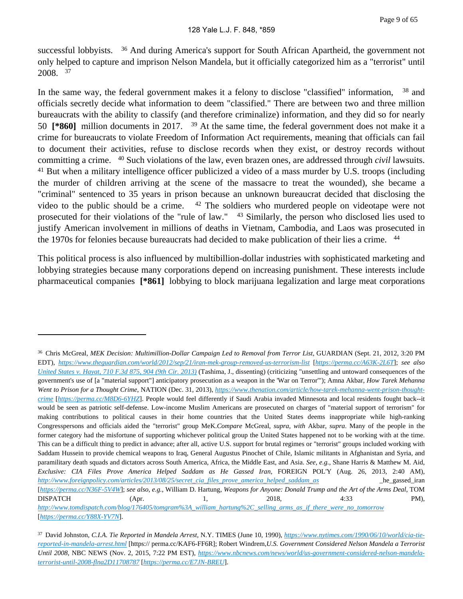successful lobbyists. <sup>36</sup> And during America's support for South African Apartheid, the government not only helped to capture and imprison Nelson Mandela, but it officially categorized him as a "terrorist" until 2008. <sup>37</sup>

In the same way, the federal government makes it a felony to disclose "classified" information, <sup>38</sup> and officials secretly decide what information to deem "classified." There are between two and three million bureaucrats with the ability to classify (and therefore criminalize) information, and they did so for nearly 50 **[\*860]** million documents in 2017. <sup>39</sup> At the same time, the federal government does not make it a crime for bureaucrats to violate Freedom of Information Act requirements, meaning that officials can fail to document their activities, refuse to disclose records when they exist, or destroy records without committing a crime. <sup>40</sup> Such violations of the law, even brazen ones, are addressed through *civil* lawsuits. <sup>41</sup> But when a military intelligence officer publicized a video of a mass murder by U.S. troops (including the murder of children arriving at the scene of the massacre to treat the wounded), she became a "criminal" sentenced to 35 years in prison because an unknown bureaucrat decided that disclosing the video to the public should be a crime. <sup>42</sup> The soldiers who murdered people on videotape were not prosecuted for their violations of the "rule of law." <sup>43</sup> Similarly, the person who disclosed lies used to justify American involvement in millions of deaths in Vietnam, Cambodia, and Laos was prosecuted in the 1970s for felonies because bureaucrats had decided to make publication of their lies a crime. <sup>44</sup>

This political process is also influenced by multibillion-dollar industries with sophisticated marketing and lobbying strategies because many corporations depend on increasing punishment. These interests include pharmaceutical companies **[\*861]** lobbying to block marijuana legalization and large meat corporations

<sup>&</sup>lt;sup>36</sup> Chris McGreal, *MEK Decision: Multimillion-Dollar Campaign Led to Removal from Terror List*, GUARDIAN (Sept. 21, 2012, 3:20 PM EDT), *<https://www.theguardian.com/world/2012/sep/21/iran-mek-group-removed-us-terrorism-list>* [*<https://perma.cc/A63K-2L6T>*]; *see also [United States v. Hayat, 710 F.3d 875, 904 \(9th Cir. 2013\)](https://advance.lexis.com/api/document?collection=cases&id=urn:contentItem:57YD-B131-F04K-V264-00000-00&context=)* (Tashima, J., dissenting) (criticizing "unsettling and untoward consequences of the government's use of [a "material support"] anticipatory prosecution as a weapon in the 'War on Terror'"); Amna Akbar, *How Tarek Mehanna*  Went to Prison for a Thought Crime, NATION (Dec. 31, 2013), *[https://www.thenation.com/article/how-tarek-mehanna-went-prison-thought](https://www.thenation.com/article/how-tarek-mehanna-went-prison-thought-crime)[crime](https://www.thenation.com/article/how-tarek-mehanna-went-prison-thought-crime)* [*<https://perma.cc/M8D6-6YHZ>*]. People would feel differently if Saudi Arabia invaded Minnesota and local residents fought back--it would be seen as patriotic self-defense. Low-income Muslim Americans are prosecuted on charges of "material support of terrorism" for making contributions to political causes in their home countries that the United States deems inappropriate while high-ranking Congresspersons and officials aided the "terrorist" group MeK.*Compare* McGreal, *supra, with* Akbar, *supra*. Many of the people in the former category had the misfortune of supporting whichever political group the United States happened not to be working with at the time. This can be a difficult thing to predict in advance; after all, active U.S. support for brutal regimes or "terrorist" groups included working with Saddam Hussein to provide chemical weapons to Iraq, General Augustus Pinochet of Chile, Islamic militants in Afghanistan and Syria, and paramilitary death squads and dictators across South America, Africa, the Middle East, and Asia. *See, e.g.*, Shane Harris & Matthew M. Aid, *Exclusive: CIA Files Prove America Helped Saddam as He Gassed Iran*, FOREIGN POL'Y (Aug. 26, 2013, 2:40 AM), *[http://www.foreignpolicy.com/articles/2013/08/25/secret\\_cia\\_files\\_prove\\_america\\_helped\\_saddam\\_as](http://www.foreignpolicy.com/articles/2013/08/25/secret_cia_files_prove_america_helped_saddam_as)* \_he\_gassed\_iran [*<https://perma.cc/N36F-5V4W>*]; *see also, e.g.*, William D. Hartung, *Weapons for Anyone: Donald Trump and the Art of the Arms Deal*, TOM DISPATCH (Apr. 1, 2018, 4:33 PM), *[http://www.tomdispatch.com/blog/176405/tomgram%3A\\_william\\_hartung%2C\\_selling\\_arms\\_as\\_if\\_there\\_were\\_no\\_tomorrow](http://www.tomdispatch.com/blog/176405/tomgram:_william_hartung,_selling_arms_as_if_there_were_no_tomorrow)* [*<https://perma.cc/Y88X-YV7N>*].

<sup>37</sup> David Johnston, *C.I.A. Tie Reported in Mandela Arrest*, N.Y. TIMES (June 10, 1990), *[https://www.nytimes.com/1990/06/10/world/cia-tie](https://www.nytimes.com/1990/06/10/world/cia-tie-reported-in-mandela-arrest.html)[reported-in-mandela-arrest.html](https://www.nytimes.com/1990/06/10/world/cia-tie-reported-in-mandela-arrest.html)* [https:// perma.cc/KAF6-FF6R]; Robert Windrem,*U.S. Government Considered Nelson Mandela a Terrorist Until 2008*, NBC NEWS (Nov. 2, 2015, 7:22 PM EST), *[https://www.nbcnews.com/news/world/us-government-considered-nelson-mandela](https://www.nbcnews.com/news/world/us-government-considered-nelson-mandela-terrorist-until-2008-flna2D11708787)[terrorist-until-2008-flna2D11708787](https://www.nbcnews.com/news/world/us-government-considered-nelson-mandela-terrorist-until-2008-flna2D11708787)* [*<https://perma.cc/E7JN-BREU>*].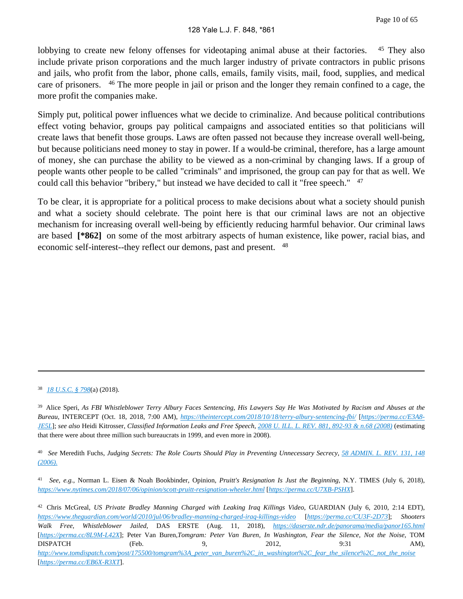lobbying to create new felony offenses for videotaping animal abuse at their factories. <sup>45</sup> They also include private prison corporations and the much larger industry of private contractors in public prisons and jails, who profit from the labor, phone calls, emails, family visits, mail, food, supplies, and medical care of prisoners. <sup>46</sup> The more people in jail or prison and the longer they remain confined to a cage, the more profit the companies make.

Simply put, political power influences what we decide to criminalize. And because political contributions effect voting behavior, groups pay political campaigns and associated entities so that politicians will create laws that benefit those groups. Laws are often passed not because they increase overall well-being, but because politicians need money to stay in power. If a would-be criminal, therefore, has a large amount of money, she can purchase the ability to be viewed as a non-criminal by changing laws. If a group of people wants other people to be called "criminals" and imprisoned, the group can pay for that as well. We could call this behavior "bribery," but instead we have decided to call it "free speech." <sup>47</sup>

To be clear, it is appropriate for a political process to make decisions about what a society should punish and what a society should celebrate. The point here is that our criminal laws are not an objective mechanism for increasing overall well-being by efficiently reducing harmful behavior. Our criminal laws are based **[\*862]** on some of the most arbitrary aspects of human existence, like power, racial bias, and economic self-interest--they reflect our demons, past and present. <sup>48</sup>

<sup>38</sup>  *[18 U.S.C. § 798](https://advance.lexis.com/api/document?collection=statutes-legislation&id=urn:contentItem:4YF7-GTB1-NRF4-40W2-00000-00&context=)*(a) (2018).

<sup>&</sup>lt;sup>39</sup> Alice Speri, *As FBI Whistleblower Terry Albury Faces Sentencing, His Lawyers Say He Was Motivated by Racism and Abuses at the Bureau*, INTERCEPT (Oct. 18, 2018, 7:00 AM), *<https://theintercept.com/2018/10/18/terry-albury-sentencing-fbi/>* [*[https://perma.cc/E3A8-](https://perma.cc/E3A8-JE5L) [JE5L](https://perma.cc/E3A8-JE5L)*]; *see also* Heidi Kitrosser, *Classified Information Leaks and Free Speech*, *[2008 U. ILL. L. REV. 881, 892-93 & n.68 \(2008\)](https://advance.lexis.com/api/document?collection=analytical-materials&id=urn:contentItem:4SFX-PXR0-00CW-50M5-00000-00&context=)* (estimating that there were about three million such bureaucrats in 1999, and even more in 2008).

<sup>40</sup>  *See* Meredith Fuchs, *Judging Secrets: The Role Courts Should Play in Preventing Unnecessary Secrecy*, *[58 ADMIN. L. REV. 131, 148](https://advance.lexis.com/api/document?collection=analytical-materials&id=urn:contentItem:4RJJ-SBD0-0050-H04S-00000-00&context=)  [\(2006\).](https://advance.lexis.com/api/document?collection=analytical-materials&id=urn:contentItem:4RJJ-SBD0-0050-H04S-00000-00&context=)*

<sup>41</sup>  *See, e.g.*, Norman L. Eisen & Noah Bookbinder, Opinion, *Pruitt's Resignation Is Just the Beginning*, N.Y. TIMES (July 6, 2018), *<https://www.nytimes.com/2018/07/06/opinion/scott-pruitt-resignation-wheeler.html>* [*<https://perma.cc/U7XB-PSHX>*].

<sup>42</sup>Chris McGreal, *US Private Bradley Manning Charged with Leaking Iraq Killings Video*, GUARDIAN (July 6, 2010, 2:14 EDT), *<https://www.theguardian.com/world/2010/jul/06/bradley-manning-charged-iraq-killings-video>* [*<https://perma.cc/CU3F-2D73>*]; *Shooters Walk Free, Whistleblower Jailed*, DAS ERSTE (Aug. 11, 2018), *<https://daserste.ndr.de/panorama/media/panor165.html>* [*<https://perma.cc/8L9M-L42X>*]; Peter Van Buren,*Tomgram: Peter Van Buren, In Washington, Fear the Silence, Not the Noise*, TOM DISPATCH (Feb. 9, 2012, 9:31 AM), *[http://www.tomdispatch.com/post/175500/tomgram%3A\\_peter\\_van\\_buren%2C\\_in\\_washington%2C\\_fear\\_the\\_silence%2C\\_not\\_the\\_noise](http://www.tomdispatch.com/post/175500/tomgram:_peter_van_buren,_in_washington,_fear_the_silence,_not_the_noise)* [*<https://perma.cc/EB6X-R3XT>*].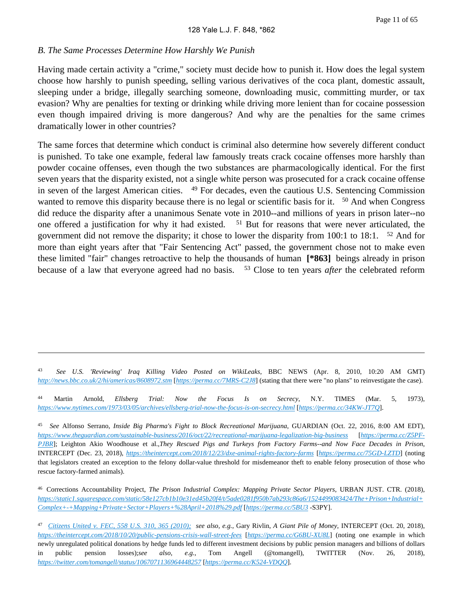# *B. The Same Processes Determine How Harshly We Punish*

Having made certain activity a "crime," society must decide how to punish it. How does the legal system choose how harshly to punish speeding, selling various derivatives of the coca plant, domestic assault, sleeping under a bridge, illegally searching someone, downloading music, committing murder, or tax evasion? Why are penalties for texting or drinking while driving more lenient than for cocaine possession even though impaired driving is more dangerous? And why are the penalties for the same crimes dramatically lower in other countries?

The same forces that determine which conduct is criminal also determine how severely different conduct is punished. To take one example, federal law famously treats crack cocaine offenses more harshly than powder cocaine offenses, even though the two substances are pharmacologically identical. For the first seven years that the disparity existed, not a single white person was prosecuted for a crack cocaine offense in seven of the largest American cities. <sup>49</sup> For decades, even the cautious U.S. Sentencing Commission wanted to remove this disparity because there is no legal or scientific basis for it. <sup>50</sup> And when Congress did reduce the disparity after a unanimous Senate vote in 2010--and millions of years in prison later--no one offered a justification for why it had existed. <sup>51</sup> But for reasons that were never articulated, the government did not remove the disparity; it chose to lower the disparity from 100:1 to 18:1. <sup>52</sup> And for more than eight years after that "Fair Sentencing Act" passed, the government chose not to make even these limited "fair" changes retroactive to help the thousands of human **[\*863]** beings already in prison because of a law that everyone agreed had no basis. <sup>53</sup> Close to ten years *after* the celebrated reform

43 *See U.S. 'Reviewing' Iraq Killing Video Posted on WikiLeaks*, BBC NEWS (Apr. 8, 2010, 10:20 AM GMT) *<http://news.bbc.co.uk/2/hi/americas/8608972.stm>* [*<https://perma.cc/7MRS-C2J8>*] (stating that there were "no plans" to reinvestigate the case).

<sup>44</sup>Martin Arnold, *Ellsberg Trial: Now the Focus Is on Secrecy*, N.Y. TIMES (Mar. 5, 1973), *<https://www.nytimes.com/1973/03/05/archives/ellsberg-trial-now-the-focus-is-on-secrecy.html>* [*<https://perma.cc/34KW-JT7Q>*].

45 *See* Alfonso Serrano, *Inside Big Pharma's Fight to Block Recreational Marijuana*, GUARDIAN (Oct. 22, 2016, 8:00 AM EDT), *<https://www.theguardian.com/sustainable-business/2016/oct/22/recreational-marijuana-legalization-big-business>* [*[https://perma.cc/Z5PF-](https://perma.cc/Z5PF-PJBR)[PJBR](https://perma.cc/Z5PF-PJBR)*]; Leighton Akio Woodhouse et al.,*They Rescued Pigs and Turkeys from Factory Farms--and Now Face Decades in Prison*, INTERCEPT (Dec. 23, 2018), *<https://theintercept.com/2018/12/23/dxe-animal-rights-factory-farms>* [*<https://perma.cc/75GD-LZTD>*] (noting that legislators created an exception to the felony dollar-value threshold for misdemeanor theft to enable felony prosecution of those who rescue factory-farmed animals).

<sup>46</sup>Corrections Accountability Project, *The Prison Industrial Complex: Mapping Private Sector Players*, URBAN JUST. CTR. (2018), *[https://static1.squarespace.com/static/58e127cb1b10e31ed45b20f4/t/5ade0281f950b7ab293c86a6/1524499083424/The+Prison+Industrial+](https://static1.squarespace.com/static/58e127cb1b10e31ed45b20f4/t/5ade0281f950b7ab293c86a6/1524499083424/The+Prison+Industrial+Complex+-+Mapping+Private+Sector+Players+(April+2018).pdf) [Complex+-+Mapping+Private+Sector+Players+%28April+2018%29.pdf](https://static1.squarespace.com/static/58e127cb1b10e31ed45b20f4/t/5ade0281f950b7ab293c86a6/1524499083424/The+Prison+Industrial+Complex+-+Mapping+Private+Sector+Players+(April+2018).pdf)* [*<https://perma.cc/5BU3>* -S3PY].

47 *[Citizens United v. FEC, 558 U.S. 310, 365 \(2010\);](https://advance.lexis.com/api/document?collection=cases&id=urn:contentItem:7XKV-KRG0-YB0V-9128-00000-00&context=) see also, e.g.*, Gary Rivlin, *A Giant Pile of Money*, INTERCEPT (Oct. 20, 2018), *<https://theintercept.com/2018/10/20/public-pensions-crisis-wall-street-fees>* [*<https://perma.cc/G6BU-XU8L>*] (noting one example in which newly unregulated political donations by hedge funds led to different investment decisions by public pension managers and billions of dollars in public pension losses);*see also, e.g.*, Tom Angell (@tomangell), TWITTER (Nov. 26, 2018), *<https://twitter.com/tomangell/status/1067071136964448257>* [*<https://perma.cc/K524-VDQQ>*].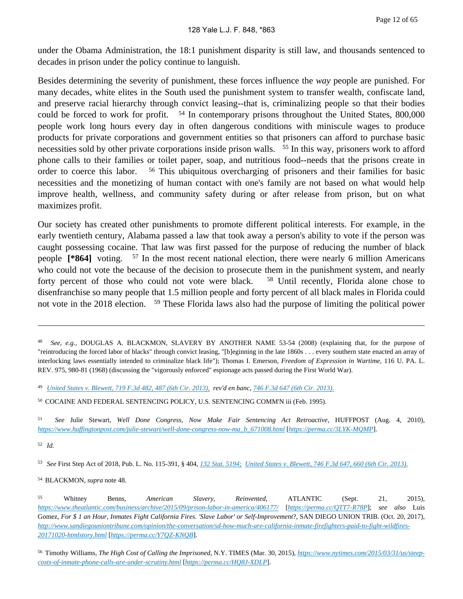under the Obama Administration, the 18:1 punishment disparity is still law, and thousands sentenced to decades in prison under the policy continue to languish.

Besides determining the severity of punishment, these forces influence the *way* people are punished. For many decades, white elites in the South used the punishment system to transfer wealth, confiscate land, and preserve racial hierarchy through convict leasing--that is, criminalizing people so that their bodies could be forced to work for profit. <sup>54</sup> In contemporary prisons throughout the United States, 800,000 people work long hours every day in often dangerous conditions with miniscule wages to produce products for private corporations and government entities so that prisoners can afford to purchase basic necessities sold by other private corporations inside prison walls. <sup>55</sup> In this way, prisoners work to afford phone calls to their families or toilet paper, soap, and nutritious food--needs that the prisons create in order to coerce this labor. <sup>56</sup> This ubiquitous overcharging of prisoners and their families for basic necessities and the monetizing of human contact with one's family are not based on what would help improve health, wellness, and community safety during or after release from prison, but on what maximizes profit.

Our society has created other punishments to promote different political interests. For example, in the early twentieth century, Alabama passed a law that took away a person's ability to vote if the person was caught possessing cocaine. That law was first passed for the purpose of reducing the number of black people **[\*864]** voting. <sup>57</sup> In the most recent national election, there were nearly 6 million Americans who could not vote the because of the decision to prosecute them in the punishment system, and nearly forty percent of those who could not vote were black. <sup>58</sup> Until recently, Florida alone chose to disenfranchise so many people that 1.5 million people and forty percent of all black males in Florida could not vote in the 2018 election. <sup>59</sup> These Florida laws also had the purpose of limiting the political power

51 *See* Julie Stewart, *Well Done Congress, Now Make Fair Sentencing Act Retroactive*, HUFFPOST (Aug. 4, 2010), *[https://www.huffingtonpost.com/julie-stewart/well-done-congress-now-ma\\_b\\_671008.html](https://www.huffingtonpost.com/julie-stewart/well-done-congress-now-ma_b_671008.html)* [*<https://perma.cc/3LYK-MQMP>*].

52 *Id.*

53 *See* First Step Act of 2018, Pub. L. No. 115-391, § 404, *[132 Stat. 5194;](https://advance.lexis.com/api/document?collection=statutes-legislation&id=urn:contentItem:5V6G-42H0-0019-T46H-00000-00&context=) [United States v. Blewett, 746 F.3d 647, 660 \(6th Cir. 2013\).](https://advance.lexis.com/api/document?collection=cases&id=urn:contentItem:59YX-CJW1-F04K-P0X4-00000-00&context=)*

<sup>54</sup> BLACKMON, *supra* note 48.

<sup>48</sup>  *See, e.g.*, DOUGLAS A. BLACKMON, SLAVERY BY ANOTHER NAME 53-54 (2008) (explaining that, for the purpose of "reintroducing the forced labor of blacks" through convict leasing, "[b]eginning in the late 1860s . . . every southern state enacted an array of interlocking laws essentially intended to criminalize black life"); Thomas I. Emerson, *Freedom of Expression in Wartime*, 116 U. PA. L. REV. 975, 980-81 (1968) (discussing the "vigorously enforced" espionage acts passed during the First World War).

<sup>49</sup>  *[United States v. Blewett, 719 F.3d 482, 487 \(6th Cir. 2013\),](https://advance.lexis.com/api/document?collection=cases&id=urn:contentItem:58F8-2771-F04K-P0C7-00000-00&context=) rev'd en banc*, *[746 F.3d 647 \(6th Cir. 2013\).](https://advance.lexis.com/api/document?collection=cases&id=urn:contentItem:59YX-CJW1-F04K-P0X4-00000-00&context=)*

<sup>50</sup>COCAINE AND FEDERAL SENTENCING POLICY, U.S. SENTENCING COMM'N iii (Feb. 1995).

<sup>55</sup>Whitney Benns, *American Slavery, Reinvented*, ATLANTIC (Sept. 21, 2015), *<https://www.theatlantic.com/business/archive/2015/09/prison-labor-in-america/406177/>* [*<https://perma.cc/QTT7-R78P>*]; *see also* Luis Gomez, *For \$ 1 an Hour, Inmates Fight California Fires. 'Slave Labor' or Self-Improvement*?, SAN DIEGO UNION TRIB. (Oct. 20, 2017), *[http://www.sandiegouniontribune.com/opinion/the-conversation/sd-how-much-are-california-inmate-firefighters-paid-to-fight-wildfires-](http://www.sandiegouniontribune.com/opinion/the-conversation/sd-how-much-are-california-inmate-firefighters-paid-to-fight-wildfires-20171020-htmlstory.html)[20171020-htmlstory.html](http://www.sandiegouniontribune.com/opinion/the-conversation/sd-how-much-are-california-inmate-firefighters-paid-to-fight-wildfires-20171020-htmlstory.html)* [*<https://perma.cc/Y7QZ-KNQB>*].

<sup>56</sup> Timothy Williams, *The High Cost of Calling the Imprisoned*, N.Y. TIMES (Mar. 30, 2015), *[https://www.nytimes.com/2015/03/31/us/steep](https://www.nytimes.com/2015/03/31/us/steep-costs-of-inmate-phone-calls-are-under-scrutiny.html)[costs-of-inmate-phone-calls-are-under-scrutiny.html](https://www.nytimes.com/2015/03/31/us/steep-costs-of-inmate-phone-calls-are-under-scrutiny.html)* [*<https://perma.cc/HQ8J-XDLP>*].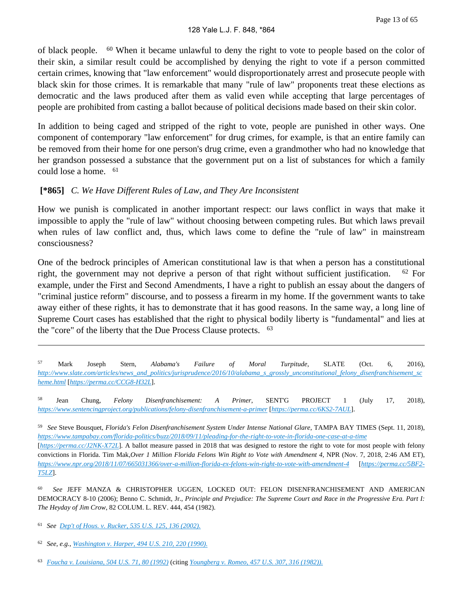of black people. <sup>60</sup> When it became unlawful to deny the right to vote to people based on the color of their skin, a similar result could be accomplished by denying the right to vote if a person committed certain crimes, knowing that "law enforcement" would disproportionately arrest and prosecute people with black skin for those crimes. It is remarkable that many "rule of law" proponents treat these elections as democratic and the laws produced after them as valid even while accepting that large percentages of people are prohibited from casting a ballot because of political decisions made based on their skin color.

In addition to being caged and stripped of the right to vote, people are punished in other ways. One component of contemporary "law enforcement" for drug crimes, for example, is that an entire family can be removed from their home for one person's drug crime, even a grandmother who had no knowledge that her grandson possessed a substance that the government put on a list of substances for which a family could lose a home. <sup>61</sup>

## **[\*865]** *C. We Have Different Rules of Law, and They Are Inconsistent*

How we punish is complicated in another important respect: our laws conflict in ways that make it impossible to apply the "rule of law" without choosing between competing rules. But which laws prevail when rules of law conflict and, thus, which laws come to define the "rule of law" in mainstream consciousness?

One of the bedrock principles of American constitutional law is that when a person has a constitutional right, the government may not deprive a person of that right without sufficient justification. <sup>62</sup> For example, under the First and Second Amendments, I have a right to publish an essay about the dangers of "criminal justice reform" discourse, and to possess a firearm in my home. If the government wants to take away either of these rights, it has to demonstrate that it has good reasons. In the same way, a long line of Supreme Court cases has established that the right to physical bodily liberty is "fundamental" and lies at the "core" of the liberty that the Due Process Clause protects. <sup>63</sup>

<sup>57</sup>Mark Joseph Stern, *Alabama's Failure of Moral Turpitude*, SLATE (Oct. 6, 2016), *[http://www.slate.com/articles/news\\_and\\_politics/jurisprudence/2016/10/alabama\\_s\\_grossly\\_unconstitutional\\_felony\\_disenfranchisement\\_sc](http://www.slate.com/articles/news_and_politics/jurisprudence/2016/10/alabama_s_grossly_unconstitutional_felony_disenfranchisement_scheme.html) [heme.html](http://www.slate.com/articles/news_and_politics/jurisprudence/2016/10/alabama_s_grossly_unconstitutional_felony_disenfranchisement_scheme.html)* [*<https://perma.cc/CCG8-H32L>*].

<sup>58</sup>Jean Chung, *Felony Disenfranchisement: A Primer*, SENT'G PROJECT 1 (July 17, 2018), *<https://www.sentencingproject.org/publications/felony-disenfranchisement-a-primer>* [*<https://perma.cc/6KS2-7AUL>*].

59 *See* Steve Bousquet, *Florida's Felon Disenfranchisement System Under Intense National Glare*, TAMPA BAY TIMES (Sept. 11, 2018), *<https://www.tampabay.com/florida-politics/buzz/2018/09/11/pleading-for-the-right-to-vote-in-florida-one-case-at-a-time>* [*<https://perma.cc/J2NK-X72L>*]. A ballot measure passed in 2018 that was designed to restore the right to vote for most people with felony convictions in Florida. Tim Mak,*Over 1 Million Florida Felons Win Right to Vote with Amendment 4*, NPR (Nov. 7, 2018, 2:46 AM ET), *<https://www.npr.org/2018/11/07/665031366/over-a-million-florida-ex-felons-win-right-to-vote-with-amendment-4>* [*[https://perma.cc/5BF2-](https://perma.cc/5BF2-T5LZ) [T5LZ](https://perma.cc/5BF2-T5LZ)*].

61 *See [Dep't of Hous. v. Rucker, 535 U.S. 125, 136 \(2002\).](https://advance.lexis.com/api/document?collection=cases&id=urn:contentItem:45FB-8100-004B-Y05T-00000-00&context=)*

62 *See, e.g.*, *[Washington v. Harper, 494 U.S. 210, 220 \(1990\).](https://advance.lexis.com/api/document?collection=cases&id=urn:contentItem:3S4X-7TS0-003B-418C-00000-00&context=)*

<sup>60</sup>  *See* JEFF MANZA & CHRISTOPHER UGGEN, LOCKED OUT: FELON DISENFRANCHISEMENT AND AMERICAN DEMOCRACY 8-10 (2006); Benno C. Schmidt, Jr., *Principle and Prejudice: The Supreme Court and Race in the Progressive Era. Part I: The Heyday of Jim Crow*, 82 COLUM. L. REV. 444, 454 (1982).

<sup>63</sup>  *[Foucha v. Louisiana, 504 U.S. 71, 80 \(1992\)](https://advance.lexis.com/api/document?collection=cases&id=urn:contentItem:3S4W-XDY0-003B-R3RF-00000-00&context=)* (citing *[Youngberg v. Romeo, 457 U.S. 307, 316 \(1982\)\).](https://advance.lexis.com/api/document?collection=cases&id=urn:contentItem:3S4X-5GP0-003B-S4S6-00000-00&context=)*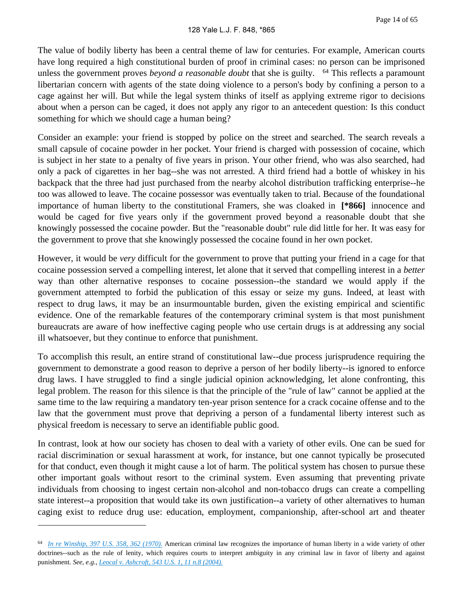The value of bodily liberty has been a central theme of law for centuries. For example, American courts have long required a high constitutional burden of proof in criminal cases: no person can be imprisoned unless the government proves *beyond a reasonable doubt* that she is guilty. <sup>64</sup> This reflects a paramount libertarian concern with agents of the state doing violence to a person's body by confining a person to a cage against her will. But while the legal system thinks of itself as applying extreme rigor to decisions about when a person can be caged, it does not apply any rigor to an antecedent question: Is this conduct something for which we should cage a human being?

Consider an example: your friend is stopped by police on the street and searched. The search reveals a small capsule of cocaine powder in her pocket. Your friend is charged with possession of cocaine, which is subject in her state to a penalty of five years in prison. Your other friend, who was also searched, had only a pack of cigarettes in her bag--she was not arrested. A third friend had a bottle of whiskey in his backpack that the three had just purchased from the nearby alcohol distribution trafficking enterprise--he too was allowed to leave. The cocaine possessor was eventually taken to trial. Because of the foundational importance of human liberty to the constitutional Framers, she was cloaked in **[\*866]** innocence and would be caged for five years only if the government proved beyond a reasonable doubt that she knowingly possessed the cocaine powder. But the "reasonable doubt" rule did little for her. It was easy for the government to prove that she knowingly possessed the cocaine found in her own pocket.

However, it would be *very* difficult for the government to prove that putting your friend in a cage for that cocaine possession served a compelling interest, let alone that it served that compelling interest in a *better* way than other alternative responses to cocaine possession--the standard we would apply if the government attempted to forbid the publication of this essay or seize my guns. Indeed, at least with respect to drug laws, it may be an insurmountable burden, given the existing empirical and scientific evidence. One of the remarkable features of the contemporary criminal system is that most punishment bureaucrats are aware of how ineffective caging people who use certain drugs is at addressing any social ill whatsoever, but they continue to enforce that punishment.

To accomplish this result, an entire strand of constitutional law--due process jurisprudence requiring the government to demonstrate a good reason to deprive a person of her bodily liberty--is ignored to enforce drug laws. I have struggled to find a single judicial opinion acknowledging, let alone confronting, this legal problem. The reason for this silence is that the principle of the "rule of law" cannot be applied at the same time to the law requiring a mandatory ten-year prison sentence for a crack cocaine offense and to the law that the government must prove that depriving a person of a fundamental liberty interest such as physical freedom is necessary to serve an identifiable public good.

In contrast, look at how our society has chosen to deal with a variety of other evils. One can be sued for racial discrimination or sexual harassment at work, for instance, but one cannot typically be prosecuted for that conduct, even though it might cause a lot of harm. The political system has chosen to pursue these other important goals without resort to the criminal system. Even assuming that preventing private individuals from choosing to ingest certain non-alcohol and non-tobacco drugs can create a compelling state interest--a proposition that would take its own justification--a variety of other alternatives to human caging exist to reduce drug use: education, employment, companionship, after-school art and theater

<sup>64</sup>  *[In re Winship, 397 U.S. 358, 362 \(1970\).](https://advance.lexis.com/api/document?collection=cases&id=urn:contentItem:3S4X-F240-003B-S2XS-00000-00&context=)* American criminal law recognizes the importance of human liberty in a wide variety of other doctrines--such as the rule of lenity, which requires courts to interpret ambiguity in any criminal law in favor of liberty and against punishment. *See, e.g.*, *[Leocal v. Ashcroft, 543 U.S. 1, 11 n.8 \(2004\).](https://advance.lexis.com/api/document?collection=cases&id=urn:contentItem:4DRV-1H90-004C-000G-00000-00&context=)*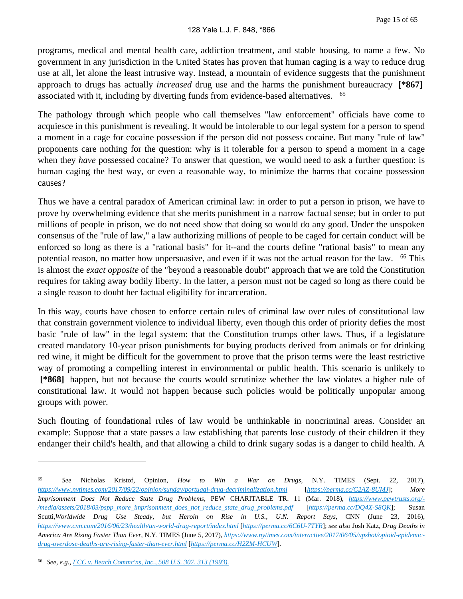programs, medical and mental health care, addiction treatment, and stable housing, to name a few. No government in any jurisdiction in the United States has proven that human caging is a way to reduce drug use at all, let alone the least intrusive way. Instead, a mountain of evidence suggests that the punishment approach to drugs has actually *increased* drug use and the harms the punishment bureaucracy **[\*867]**  associated with it, including by diverting funds from evidence-based alternatives. <sup>65</sup>

The pathology through which people who call themselves "law enforcement" officials have come to acquiesce in this punishment is revealing. It would be intolerable to our legal system for a person to spend a moment in a cage for cocaine possession if the person did not possess cocaine. But many "rule of law" proponents care nothing for the question: why is it tolerable for a person to spend a moment in a cage when they *have* possessed cocaine? To answer that question, we would need to ask a further question: is human caging the best way, or even a reasonable way, to minimize the harms that cocaine possession causes?

Thus we have a central paradox of American criminal law: in order to put a person in prison, we have to prove by overwhelming evidence that she merits punishment in a narrow factual sense; but in order to put millions of people in prison, we do not need show that doing so would do any good. Under the unspoken consensus of the "rule of law," a law authorizing millions of people to be caged for certain conduct will be enforced so long as there is a "rational basis" for it--and the courts define "rational basis" to mean any potential reason, no matter how unpersuasive, and even if it was not the actual reason for the law. <sup>66</sup> This is almost the *exact opposite* of the "beyond a reasonable doubt" approach that we are told the Constitution requires for taking away bodily liberty. In the latter, a person must not be caged so long as there could be a single reason to doubt her factual eligibility for incarceration.

In this way, courts have chosen to enforce certain rules of criminal law over rules of constitutional law that constrain government violence to individual liberty, even though this order of priority defies the most basic "rule of law" in the legal system: that the Constitution trumps other laws. Thus, if a legislature created mandatory 10-year prison punishments for buying products derived from animals or for drinking red wine, it might be difficult for the government to prove that the prison terms were the least restrictive way of promoting a compelling interest in environmental or public health. This scenario is unlikely to  **[\*868]** happen, but not because the courts would scrutinize whether the law violates a higher rule of constitutional law. It would not happen because such policies would be politically unpopular among groups with power.

Such flouting of foundational rules of law would be unthinkable in noncriminal areas. Consider an example: Suppose that a state passes a law establishing that parents lose custody of their children if they endanger their child's health, and that allowing a child to drink sugary sodas is a danger to child health. A

<sup>65</sup>  *See* Nicholas Kristof, Opinion, *How to Win a War on Drugs*, N.Y. TIMES (Sept. 22, 2017), *<https://www.nytimes.com/2017/09/22/opinion/sunday/portugal-drug-decriminalization.html>* [*<https://perma.cc/C2AZ-8UMJ>*]; *More Imprisonment Does Not Reduce State Drug Problems*, PEW CHARITABLE TR. 11 (Mar. 2018), *[https://www.pewtrusts.org/-](https://www.pewtrusts.org/-/media/assets/2018/03/pspp_more_imprisonment_does_not_reduce_state_drug_problems.pdf) [/media/assets/2018/03/pspp\\_more\\_imprisonment\\_does\\_not\\_reduce\\_state\\_drug\\_problems.pdf](https://www.pewtrusts.org/-/media/assets/2018/03/pspp_more_imprisonment_does_not_reduce_state_drug_problems.pdf)* [*<https://perma.cc/DQ4X-S8QK>*]; Susan Scutti,*Worldwide Drug Use Steady, but Heroin on Rise in U.S., U.N. Report Says*, CNN (June 23, 2016), *<https://www.cnn.com/2016/06/23/health/un-world-drug-report/index.html>* [*<https://perma.cc/6C6U-7TYR>*]; *see also* Josh Katz, *Drug Deaths in America Are Rising Faster Than Ever*, N.Y. TIMES (June 5, 2017), *[https://www.nytimes.com/interactive/2017/06/05/upshot/opioid-epidemic](https://www.nytimes.com/interactive/2017/06/05/upshot/opioid-epidemic-drug-overdose-deaths-are-rising-faster-than-ever.html)[drug-overdose-deaths-are-rising-faster-than-ever.html](https://www.nytimes.com/interactive/2017/06/05/upshot/opioid-epidemic-drug-overdose-deaths-are-rising-faster-than-ever.html)* [*<https://perma.cc/H2ZM-HCUW>*].

<sup>66</sup>  *See, e.g.*, *[FCC v. Beach Commc'ns, Inc., 508 U.S. 307, 313 \(1993\).](https://advance.lexis.com/api/document?collection=cases&id=urn:contentItem:3S65-K4V0-003B-R3SK-00000-00&context=)*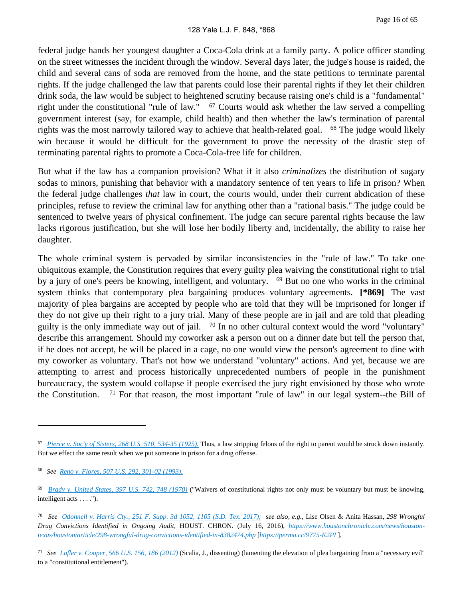federal judge hands her youngest daughter a Coca-Cola drink at a family party. A police officer standing on the street witnesses the incident through the window. Several days later, the judge's house is raided, the child and several cans of soda are removed from the home, and the state petitions to terminate parental rights. If the judge challenged the law that parents could lose their parental rights if they let their children drink soda, the law would be subject to heightened scrutiny because raising one's child is a "fundamental" right under the constitutional "rule of law." <sup>67</sup> Courts would ask whether the law served a compelling government interest (say, for example, child health) and then whether the law's termination of parental rights was the most narrowly tailored way to achieve that health-related goal. <sup>68</sup> The judge would likely win because it would be difficult for the government to prove the necessity of the drastic step of terminating parental rights to promote a Coca-Cola-free life for children.

But what if the law has a companion provision? What if it also *criminalizes* the distribution of sugary sodas to minors, punishing that behavior with a mandatory sentence of ten years to life in prison? When the federal judge challenges *that* law in court, the courts would, under their current abdication of these principles, refuse to review the criminal law for anything other than a "rational basis." The judge could be sentenced to twelve years of physical confinement. The judge can secure parental rights because the law lacks rigorous justification, but she will lose her bodily liberty and, incidentally, the ability to raise her daughter.

The whole criminal system is pervaded by similar inconsistencies in the "rule of law." To take one ubiquitous example, the Constitution requires that every guilty plea waiving the constitutional right to trial by a jury of one's peers be knowing, intelligent, and voluntary. <sup>69</sup> But no one who works in the criminal system thinks that contemporary plea bargaining produces voluntary agreements. **[\*869]** The vast majority of plea bargains are accepted by people who are told that they will be imprisoned for longer if they do not give up their right to a jury trial. Many of these people are in jail and are told that pleading guilty is the only immediate way out of jail.  $\frac{70}{2}$  In no other cultural context would the word "voluntary" describe this arrangement. Should my coworker ask a person out on a dinner date but tell the person that, if he does not accept, he will be placed in a cage, no one would view the person's agreement to dine with my coworker as voluntary. That's not how we understand "voluntary" actions. And yet, because we are attempting to arrest and process historically unprecedented numbers of people in the punishment bureaucracy, the system would collapse if people exercised the jury right envisioned by those who wrote the Constitution. <sup>71</sup> For that reason, the most important "rule of law" in our legal system--the Bill of

<sup>67</sup>  *[Pierce v. Soc'y of Sisters, 268 U.S. 510, 534-35 \(1925\).](https://advance.lexis.com/api/document?collection=cases&id=urn:contentItem:3S4X-H0K0-003B-714R-00000-00&context=)* Thus, a law stripping felons of the right to parent would be struck down instantly. But we effect the same result when we put someone in prison for a drug offense.

<sup>68</sup>  *See [Reno v. Flores, 507 U.S. 292, 301-02 \(1993\).](https://advance.lexis.com/api/document?collection=cases&id=urn:contentItem:3S70-NFF0-003B-R512-00000-00&context=)*

<sup>69</sup>  *[Brady v. United States, 397 U.S. 742, 748 \(1970\)](https://advance.lexis.com/api/document?collection=cases&id=urn:contentItem:3S4X-F1M0-003B-S29M-00000-00&context=)* ("Waivers of constitutional rights not only must be voluntary but must be knowing, intelligent acts . . . .").

<sup>70</sup>  *See [Odonnell v. Harris Cty., 251 F. Supp. 3d 1052, 1105 \(S.D. Tex. 2017\);](https://advance.lexis.com/api/document?collection=cases&id=urn:contentItem:5NFB-W491-F04F-C0MG-00000-00&context=) see also, e.g.*, Lise Olsen & Anita Hassan, *298 Wrongful Drug Convictions Identified in Ongoing Audit*, HOUST. CHRON. (July 16, 2016), *[https://www.houstonchronicle.com/news/houston](https://www.houstonchronicle.com/news/houston-texas/houston/article/298-wrongful-drug-convictions-identified-in-8382474.php)[texas/houston/article/298-wrongful-drug-convictions-identified-in-8382474.php](https://www.houstonchronicle.com/news/houston-texas/houston/article/298-wrongful-drug-convictions-identified-in-8382474.php)* [*<https://perma.cc/9775-K2PL>*].

<sup>71</sup>  *See [Lafler v. Cooper, 566 U.S. 156, 186 \(2012\)](https://advance.lexis.com/api/document?collection=cases&id=urn:contentItem:5578-FHM1-F04K-F28N-00000-00&context=)* (Scalia, J., dissenting) (lamenting the elevation of plea bargaining from a "necessary evil" to a "constitutional entitlement").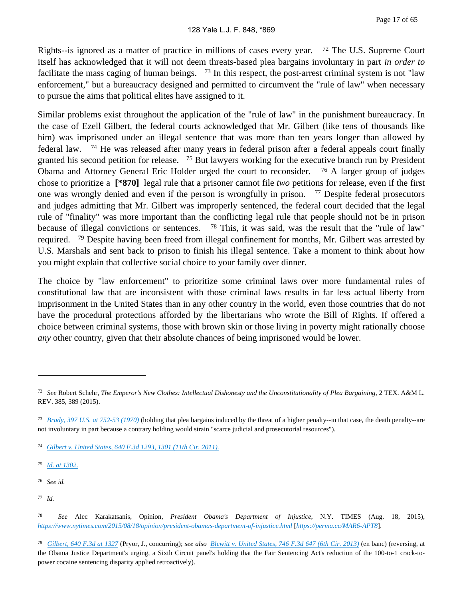Rights--is ignored as a matter of practice in millions of cases every year. <sup>72</sup> The U.S. Supreme Court itself has acknowledged that it will not deem threats-based plea bargains involuntary in part *in order to* facilitate the mass caging of human beings.  $^{73}$  In this respect, the post-arrest criminal system is not "law enforcement," but a bureaucracy designed and permitted to circumvent the "rule of law" when necessary to pursue the aims that political elites have assigned to it.

Similar problems exist throughout the application of the "rule of law" in the punishment bureaucracy. In the case of Ezell Gilbert, the federal courts acknowledged that Mr. Gilbert (like tens of thousands like him) was imprisoned under an illegal sentence that was more than ten years longer than allowed by federal law. <sup>74</sup> He was released after many years in federal prison after a federal appeals court finally granted his second petition for release. <sup>75</sup> But lawyers working for the executive branch run by President Obama and Attorney General Eric Holder urged the court to reconsider. <sup>76</sup> A larger group of judges chose to prioritize a **[\*870]** legal rule that a prisoner cannot file *two* petitions for release, even if the first one was wrongly denied and even if the person is wrongfully in prison. <sup>77</sup> Despite federal prosecutors and judges admitting that Mr. Gilbert was improperly sentenced, the federal court decided that the legal rule of "finality" was more important than the conflicting legal rule that people should not be in prison because of illegal convictions or sentences. <sup>78</sup> This, it was said, was the result that the "rule of law" required. <sup>79</sup> Despite having been freed from illegal confinement for months, Mr. Gilbert was arrested by U.S. Marshals and sent back to prison to finish his illegal sentence. Take a moment to think about how you might explain that collective social choice to your family over dinner.

The choice by "law enforcement" to prioritize some criminal laws over more fundamental rules of constitutional law that are inconsistent with those criminal laws results in far less actual liberty from imprisonment in the United States than in any other country in the world, even those countries that do not have the procedural protections afforded by the libertarians who wrote the Bill of Rights. If offered a choice between criminal systems, those with brown skin or those living in poverty might rationally choose *any* other country, given that their absolute chances of being imprisoned would be lower.

75 *[Id. at 1302.](https://advance.lexis.com/api/document?collection=cases&id=urn:contentItem:52WT-BF71-652R-B193-00000-00&context=)*

76 *See id.*

<sup>72</sup>  *See* Robert Schehr, *The Emperor's New Clothes: Intellectual Dishonesty and the Unconstitutionality of Plea Bargaining*, 2 TEX. A&M L. REV. 385, 389 (2015).

<sup>73</sup>  *[Brady, 397 U.S. at 752-53 \(1970\)](https://advance.lexis.com/api/document?collection=cases&id=urn:contentItem:3S4X-F1M0-003B-S29M-00000-00&context=)* (holding that plea bargains induced by the threat of a higher penalty--in that case, the death penalty--are not involuntary in part because a contrary holding would strain "scarce judicial and prosecutorial resources").

<sup>74</sup>  *[Gilbert v. United States, 640 F.3d 1293, 1301 \(11th Cir. 2011\).](https://advance.lexis.com/api/document?collection=cases&id=urn:contentItem:52WT-BF71-652R-B193-00000-00&context=)*

<sup>77</sup>  *Id.*

<sup>78</sup>  *See* Alec Karakatsanis, Opinion, *President Obama's Department of Injustice*, N.Y. TIMES (Aug. 18, 2015), *<https://www.nytimes.com/2015/08/18/opinion/president-obamas-department-of-injustice.html>* [*<https://perma.cc/MAR6-APT8>*].

<sup>79</sup>  *[Gilbert, 640 F.3d at 1327](https://advance.lexis.com/api/document?collection=cases&id=urn:contentItem:52WT-BF71-652R-B193-00000-00&context=)* (Pryor, J., concurring); *see also [Blewitt v. United States, 746 F.3d 647 \(6th Cir. 2013\)](https://advance.lexis.com/api/document?collection=cases&id=urn:contentItem:59YX-CJW1-F04K-P0X4-00000-00&context=)* (en banc) (reversing, at the Obama Justice Department's urging, a Sixth Circuit panel's holding that the Fair Sentencing Act's reduction of the 100-to-1 crack-topower cocaine sentencing disparity applied retroactively).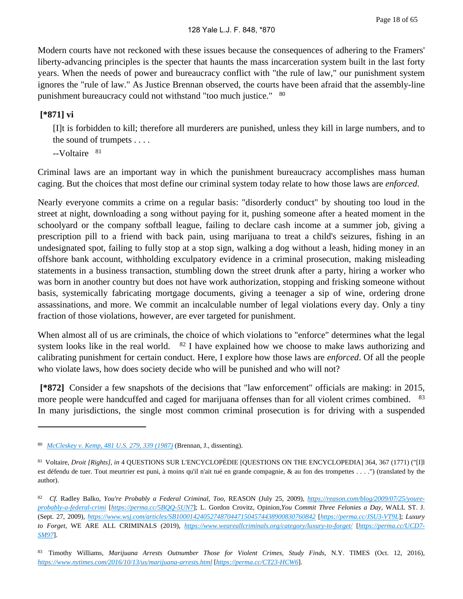Modern courts have not reckoned with these issues because the consequences of adhering to the Framers' liberty-advancing principles is the specter that haunts the mass incarceration system built in the last forty years. When the needs of power and bureaucracy conflict with "the rule of law," our punishment system ignores the "rule of law." As Justice Brennan observed, the courts have been afraid that the assembly-line punishment bureaucracy could not withstand "too much justice." <sup>80</sup>

## **[\*871] vi**

[I]t is forbidden to kill; therefore all murderers are punished, unless they kill in large numbers, and to the sound of trumpets . . . .

 $-Voltaire$ <sup>81</sup>

Criminal laws are an important way in which the punishment bureaucracy accomplishes mass human caging. But the choices that most define our criminal system today relate to how those laws are *enforced*.

Nearly everyone commits a crime on a regular basis: "disorderly conduct" by shouting too loud in the street at night, downloading a song without paying for it, pushing someone after a heated moment in the schoolyard or the company softball league, failing to declare cash income at a summer job, giving a prescription pill to a friend with back pain, using marijuana to treat a child's seizures, fishing in an undesignated spot, failing to fully stop at a stop sign, walking a dog without a leash, hiding money in an offshore bank account, withholding exculpatory evidence in a criminal prosecution, making misleading statements in a business transaction, stumbling down the street drunk after a party, hiring a worker who was born in another country but does not have work authorization, stopping and frisking someone without basis, systemically fabricating mortgage documents, giving a teenager a sip of wine, ordering drone assassinations, and more. We commit an incalculable number of legal violations every day. Only a tiny fraction of those violations, however, are ever targeted for punishment.

When almost all of us are criminals, the choice of which violations to "enforce" determines what the legal system looks like in the real world. <sup>82</sup> I have explained how we choose to make laws authorizing and calibrating punishment for certain conduct. Here, I explore how those laws are *enforced*. Of all the people who violate laws, how does society decide who will be punished and who will not?

 **[\*872]** Consider a few snapshots of the decisions that "law enforcement" officials are making: in 2015, more people were handcuffed and caged for marijuana offenses than for all violent crimes combined. <sup>83</sup> In many jurisdictions, the single most common criminal prosecution is for driving with a suspended

<sup>80</sup>  *[McCleskey v. Kemp, 481 U.S. 279, 339 \(1987\)](https://advance.lexis.com/api/document?collection=cases&id=urn:contentItem:3S4X-HH80-003B-40SH-00000-00&context=)* (Brennan, J., dissenting).

<sup>81</sup>Voltaire, *Droit [Rights], in* 4 QUESTIONS SUR L'ENCYCLOPÉDIE [QUESTIONS ON THE ENCYCLOPEDIA] 364, 367 (1771) ("[I]l est défendu de tuer. Tout meurtrier est puni, à moins qu'il n'ait tué en grande compagnie, & au fon des trompettes . . . .") (translated by the author).

<sup>82</sup>  *Cf.* Radley Balko, *You're Probably a Federal Criminal, Too*, REASON (July 25, 2009), *[https://reason.com/blog/2009/07/25/youre](https://reason.com/blog/2009/07/25/youre-probably-a-federal-crimi)[probably-a-federal-crimi](https://reason.com/blog/2009/07/25/youre-probably-a-federal-crimi)* [*<https://perma.cc/5BQQ-5UN7>*]; L. Gordon Crovitz, Opinion,*You Commit Three Felonies a Day*, WALL ST. J. (Sept. 27, 2009), *<https://www.wsj.com/articles/SB10001424052748704471504574438900830760842>* [*<https://perma.cc/JSU3-VT9L>*]; *Luxury to Forget*, WE ARE ALL CRIMINALS (2019), *<https://www.weareallcriminals.org/category/luxury-to-forget/>* [*[https://perma.cc/UCD7-](https://perma.cc/UCD7-SM97) [SM97](https://perma.cc/UCD7-SM97)*].

<sup>83</sup>Timothy Williams, *Marijuana Arrests Outnumber Those for Violent Crimes, Study Finds*, N.Y. TIMES (Oct. 12, 2016), *<https://www.nytimes.com/2016/10/13/us/marijuana-arrests.html>* [*<https://perma.cc/CT23-HCW6>*].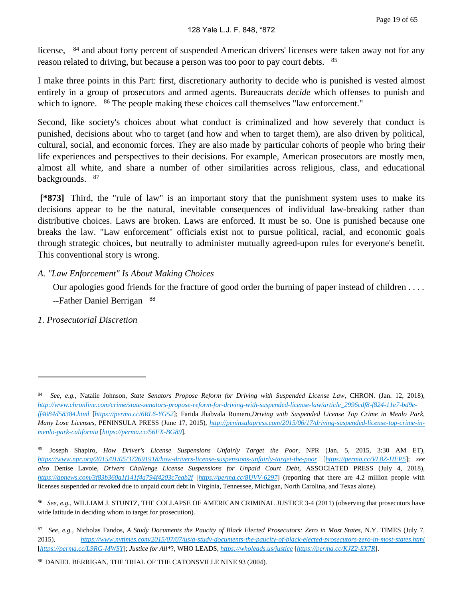license, <sup>84</sup> and about forty percent of suspended American drivers' licenses were taken away not for any reason related to driving, but because a person was too poor to pay court debts. <sup>85</sup>

I make three points in this Part: first, discretionary authority to decide who is punished is vested almost entirely in a group of prosecutors and armed agents. Bureaucrats *decide* which offenses to punish and which to ignore. <sup>86</sup> The people making these choices call themselves "law enforcement."

Second, like society's choices about what conduct is criminalized and how severely that conduct is punished, decisions about who to target (and how and when to target them), are also driven by political, cultural, social, and economic forces. They are also made by particular cohorts of people who bring their life experiences and perspectives to their decisions. For example, American prosecutors are mostly men, almost all white, and share a number of other similarities across religious, class, and educational backgrounds. 87

 **[\*873]** Third, the "rule of law" is an important story that the punishment system uses to make its decisions appear to be the natural, inevitable consequences of individual law-breaking rather than distributive choices. Laws are broken. Laws are enforced. It must be so. One is punished because one breaks the law. "Law enforcement" officials exist not to pursue political, racial, and economic goals through strategic choices, but neutrally to administer mutually agreed-upon rules for everyone's benefit. This conventional story is wrong.

### *A. "Law Enforcement" Is About Making Choices*

Our apologies good friends for the fracture of good order the burning of paper instead of children . . . . --Father Daniel Berrigan 88

*1. Prosecutorial Discretion*

<sup>84</sup>  *See, e.g.*, Natalie Johnson, *State Senators Propose Reform for Driving with Suspended License Law*, CHRON. (Jan. 12, 2018), *[http://www.chronline.com/crime/state-senators-propose-reform-for-driving-with-suspended-license-law/article\\_2996cdf8-f824-11e7-bd9e](http://www.chronline.com/crime/state-senators-propose-reform-for-driving-with-suspended-license-law/article_2996cdf8-f824-11e7-bd9e-ff4084d58384.html)[ff4084d58384.html](http://www.chronline.com/crime/state-senators-propose-reform-for-driving-with-suspended-license-law/article_2996cdf8-f824-11e7-bd9e-ff4084d58384.html)* [*<https://perma.cc/6RL6-YG52>*]; Farida Jhabvala Romero,*Driving with Suspended License Top Crime in Menlo Park, Many Lose Licenses*, PENINSULA PRESS (June 17, 2015), *[http://peninsulapress.com/2015/06/17/driving-suspended-license-top-crime-in](http://peninsulapress.com/2015/06/17/driving-suspended-license-top-crime-in-menlo-park-california)[menlo-park-california](http://peninsulapress.com/2015/06/17/driving-suspended-license-top-crime-in-menlo-park-california)* [*<https://perma.cc/56FX-BG89>*].

<sup>&</sup>lt;sup>85</sup> Joseph Shapiro, *How Driver's License Suspensions Unfairly Target the Poor*, NPR (Jan. 5, 2015, 3:30 AM ET), *<https://www.npr.org/2015/01/05/372691918/how-drivers-license-suspensions-unfairly-target-the-poor>* [*<https://perma.cc/VL8Z-HFP5>*]; *see also* Denise Lavoie, *Drivers Challenge License Suspensions for Unpaid Court Debt*, ASSOCIATED PRESS (July 4, 2018), *<https://apnews.com/3f83b360a1f141f4a794f4203c7eab2f>* [*<https://perma.cc/8UVV-6297>*] (reporting that there are 4.2 million people with licenses suspended or revoked due to unpaid court debt in Virginia, Tennessee, Michigan, North Carolina, and Texas alone).

<sup>86</sup>  *See, e.g.*, WILLIAM J. STUNTZ, THE COLLAPSE OF AMERICAN CRIMINAL JUSTICE 3-4 (2011) (observing that prosecutors have wide latitude in deciding whom to target for prosecution).

<sup>87</sup>  *See, e.g.*, Nicholas Fandos, *A Study Documents the Paucity of Black Elected Prosecutors: Zero in Most States*, N.Y. TIMES (July 7, 2015), *<https://www.nytimes.com/2015/07/07/us/a-study-documents-the-paucity-of-black-elected-prosecutors-zero-in-most-states.html>* [*<https://perma.cc/L9RG-MWSY>*]; *Justice for All\**?, WHO LEADS, *<https://wholeads.us/justice>* [*<https://perma.cc/KJZ2-SX7R>*].

<sup>88</sup> DANIEL BERRIGAN, THE TRIAL OF THE CATONSVILLE NINE 93 (2004).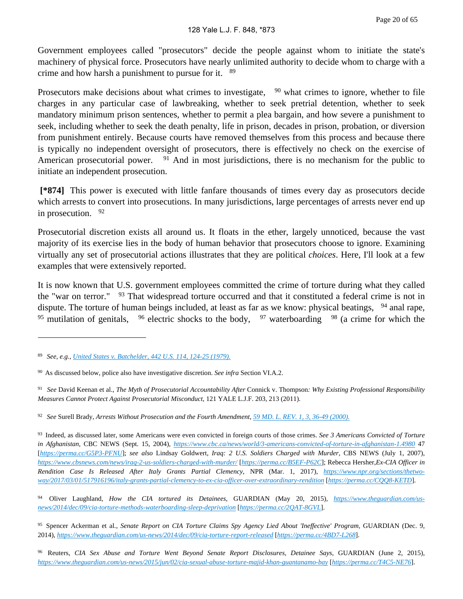Government employees called "prosecutors" decide the people against whom to initiate the state's machinery of physical force. Prosecutors have nearly unlimited authority to decide whom to charge with a crime and how harsh a punishment to pursue for it. <sup>89</sup>

Prosecutors make decisions about what crimes to investigate, <sup>90</sup> what crimes to ignore, whether to file charges in any particular case of lawbreaking, whether to seek pretrial detention, whether to seek mandatory minimum prison sentences, whether to permit a plea bargain, and how severe a punishment to seek, including whether to seek the death penalty, life in prison, decades in prison, probation, or diversion from punishment entirely. Because courts have removed themselves from this process and because there is typically no independent oversight of prosecutors, there is effectively no check on the exercise of American prosecutorial power. <sup>91</sup> And in most jurisdictions, there is no mechanism for the public to initiate an independent prosecution.

 **[\*874]** This power is executed with little fanfare thousands of times every day as prosecutors decide which arrests to convert into prosecutions. In many jurisdictions, large percentages of arrests never end up in prosecution.  $92$ 

Prosecutorial discretion exists all around us. It floats in the ether, largely unnoticed, because the vast majority of its exercise lies in the body of human behavior that prosecutors choose to ignore. Examining virtually any set of prosecutorial actions illustrates that they are political *choices*. Here, I'll look at a few examples that were extensively reported.

It is now known that U.S. government employees committed the crime of torture during what they called the "war on terror." <sup>93</sup> That widespread torture occurred and that it constituted a federal crime is not in dispute. The torture of human beings included, at least as far as we know: physical beatings, <sup>94</sup> anal rape, <sup>95</sup> mutilation of genitals, <sup>96</sup> electric shocks to the body, <sup>97</sup> waterboarding <sup>98</sup> (a crime for which the

<sup>89</sup>  *See, e.g.*, *[United States v. Batchelder, 442 U.S. 114, 124-25 \(1979\).](https://advance.lexis.com/api/document?collection=cases&id=urn:contentItem:3S4X-8430-003B-S1D3-00000-00&context=)*

<sup>90</sup>As discussed below, police also have investigative discretion. *See infra* Section VI.A.2.

<sup>91</sup>  *See* David Keenan et al., *The Myth of Prosecutorial Accountability After* Connick v. Thompson*: Why Existing Professional Responsibility Measures Cannot Protect Against Prosecutorial Misconduct*, 121 YALE L.J.F. 203, 213 (2011).

<sup>92</sup>  *See* Surell Brady, *Arrests Without Prosecution and the Fourth Amendment*, *[59 MD. L. REV. 1, 3, 36-49 \(2000\).](https://advance.lexis.com/api/document?collection=analytical-materials&id=urn:contentItem:4013-V090-00CW-G0BY-00000-00&context=)*

<sup>93</sup>Indeed, as discussed later, some Americans were even convicted in foreign courts of those crimes. *See 3 Americans Convicted of Torture in Afghanistan*, CBC NEWS (Sept. 15, 2004), *<https://www.cbc.ca/news/world/3-americans-convicted-of-torture-in-afghanistan-1.4980>* 47 [*<https://perma.cc/G5P3-PFNU>*]; *see also* Lindsay Goldwert, *Iraq: 2 U.S. Soldiers Charged with Murder*, CBS NEWS (July 1, 2007), *<https://www.cbsnews.com/news/iraq-2-us-soldiers-charged-with-murder/>* [*<https://perma.cc/B5EF-P62C>*]; Rebecca Hersher,*Ex-CIA Officer in Rendition Case Is Released After Italy Grants Partial Clemency*, NPR (Mar. 1, 2017), *[https://www.npr.org/sections/thetwo](https://www.npr.org/sections/thetwo-way/2017/03/01/517916196/italy-grants-partial-clemency-to-ex-cia-officer-over-extraordinary-rendition)[way/2017/03/01/517916196/italy-grants-partial-clemency-to-ex-cia-officer-over-extraordinary-rendition](https://www.npr.org/sections/thetwo-way/2017/03/01/517916196/italy-grants-partial-clemency-to-ex-cia-officer-over-extraordinary-rendition)* [*<https://perma.cc/CQQ8-KETD>*].

<sup>94</sup> Oliver Laughland, *How the CIA tortured its Detainees*, GUARDIAN (May 20, 2015), *[https://www.theguardian.com/us](https://www.theguardian.com/us-news/2014/dec/09/cia-torture-methods-waterboarding-sleep-deprivation)[news/2014/dec/09/cia-torture-methods-waterboarding-sleep-deprivation](https://www.theguardian.com/us-news/2014/dec/09/cia-torture-methods-waterboarding-sleep-deprivation)* [*<https://perma.cc/2QAT-8GVL>*].

<sup>95</sup>Spencer Ackerman et al., *Senate Report on CIA Torture Claims Spy Agency Lied About 'Ineffective' Program*, GUARDIAN (Dec. 9, 2014), *<https://www.theguardian.com/us-news/2014/dec/09/cia-torture-report-released>* [*<https://perma.cc/4BD7-L268>*].

<sup>&</sup>lt;sup>96</sup> Reuters, *CIA Sex Abuse and Torture Went Beyond Senate Report Disclosures, Detainee Says*, GUARDIAN (June 2, 2015), *<https://www.theguardian.com/us-news/2015/jun/02/cia-sexual-abuse-torture-majid-khan-guantanamo-bay>* [*<https://perma.cc/T4C5-NE76>*].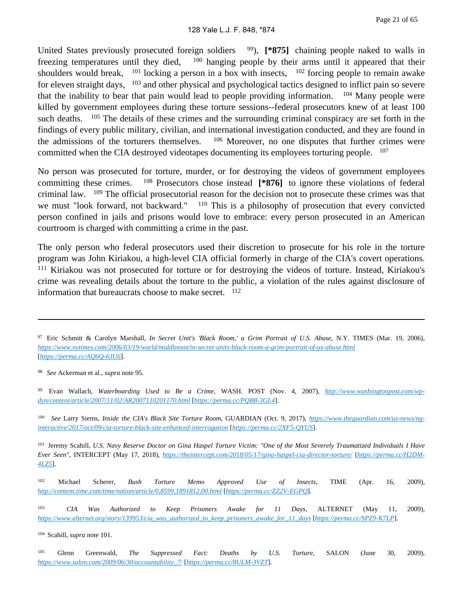United States previously prosecuted foreign soldiers <sup>99</sup>), [\***875**] chaining people naked to walls in freezing temperatures until they died, <sup>100</sup> hanging people by their arms until it appeared that their shoulders would break,  $101$  locking a person in a box with insects,  $102$  forcing people to remain awake for eleven straight days, <sup>103</sup> and other physical and psychological tactics designed to inflict pain so severe that the inability to bear that pain would lead to people providing information. <sup>104</sup> Many people were killed by government employees during these torture sessions--federal prosecutors knew of at least 100 such deaths. <sup>105</sup> The details of these crimes and the surrounding criminal conspiracy are set forth in the findings of every public military, civilian, and international investigation conducted, and they are found in the admissions of the torturers themselves.  $106$  Moreover, no one disputes that further crimes were committed when the CIA destroyed videotapes documenting its employees torturing people. <sup>107</sup>

No person was prosecuted for torture, murder, or for destroying the videos of government employees committing these crimes. <sup>108</sup> Prosecutors chose instead **[\*876]** to ignore these violations of federal criminal law. <sup>109</sup> The official prosecutorial reason for the decision not to prosecute these crimes was that we must "look forward, not backward." <sup>110</sup> This is a philosophy of prosecution that every convicted person confined in jails and prisons would love to embrace: every person prosecuted in an American courtroom is charged with committing a crime in the past.

The only person who federal prosecutors used their discretion to prosecute for his role in the torture program was John Kiriakou, a high-level CIA official formerly in charge of the CIA's covert operations. <sup>111</sup> Kiriakou was not prosecuted for torture or for destroying the videos of torture. Instead, Kiriakou's crime was revealing details about the torture to the public, a violation of the rules against disclosure of information that bureaucrats choose to make secret.  $112$ 

99 Evan Wallach, *Waterboarding Used to Be a Crime*, WASH. POST (Nov. 4, 2007), *[http://www.washingtonpost.com/wp](http://www.washingtonpost.com/wp-dyn/content/article/2007/11/02/AR2007110201170.html)[dyn/content/article/2007/11/02/AR2007110201170.html](http://www.washingtonpost.com/wp-dyn/content/article/2007/11/02/AR2007110201170.html)* [*<https://perma.cc/PQB8-3GL4>*].

100 *See* Larry Siems, *Inside the CIA's Black Site Torture Room*, GUARDIAN (Oct. 9, 2017), *[https://www.theguardian.com/us-news/ng](https://www.theguardian.com/us-news/ng-interactive/2017/oct/09/cia-torture-black-site-enhanced-interrogation)[interactive/2017/oct/09/cia-torture-black-site-enhanced-interrogation](https://www.theguardian.com/us-news/ng-interactive/2017/oct/09/cia-torture-black-site-enhanced-interrogation)* [*<https://perma.cc/2XF5-QYUS>*].

<sup>101</sup> Jeremy Scahill, *U.S. Navy Reserve Doctor on Gina Haspel Torture Victim: "One of the Most Severely Traumatized Individuals I Have Ever Seen"*, INTERCEPT (May 17, 2018), *<https://theintercept.com/2018/05/17/gina-haspel-cia-director-torture/>* [*[https://perma.cc/H2DM-](https://perma.cc/H2DM-4LZ5)[4LZ5](https://perma.cc/H2DM-4LZ5)*].

<sup>102</sup>Michael Scherer, *Bush Torture Memo Approved Use of Insects*, TIME (Apr. 16, 2009), *<http://content.time.com/time/nation/article/0,8599,1891812,00.html>* [*<https://perma.cc/ZZ2V-EGPQ>*].

103 *CIA Was Authorized to Keep Prisoners Awake for 11 Days*, ALTERNET (May 11, 2009), *[https://www.alternet.org/story/139953/cia\\_was\\_authorized\\_to\\_keep\\_prisoners\\_awake\\_for\\_11\\_days](https://www.alternet.org/story/139953/cia_was_authorized_to_keep_prisoners_awake_for_11_days)* [*<https://perma.cc/SPZ9-K7LP>*].

<sup>104</sup> Scahill, *supra* note 101.

<sup>105</sup>Glenn Greenwald, *The Suppressed Fact: Deaths by U.S. Torture*, SALON (June 30, 2009), *[https://www.salon.com/2009/06/30/accountability\\_7/](https://www.salon.com/2009/06/30/accountability_7/)* [*<https://perma.cc/8ULM-3VZT>*].

<sup>97</sup>Eric Schmitt & Carolyn Marshall, *In Secret Unit's 'Black Room,' a Grim Portrait of U.S. Abuse*, N.Y. TIMES (Mar. 19, 2006), *<https://www.nytimes.com/2006/03/19/world/middleeast/in-secret-units-black-room-a-grim-portrait-of-us-abuse.html>* [*<https://perma.cc/AQ6Q-6JU6>*].

<sup>98</sup>  *See* Ackerman et al., *supra* note 95.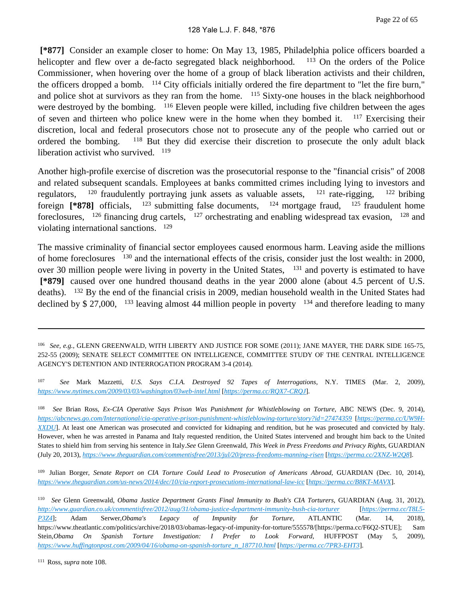**[\*877]** Consider an example closer to home: On May 13, 1985, Philadelphia police officers boarded a helicopter and flew over a de-facto segregated black neighborhood. <sup>113</sup> On the orders of the Police Commissioner, when hovering over the home of a group of black liberation activists and their children, the officers dropped a bomb. <sup>114</sup> City officials initially ordered the fire department to "let the fire burn," and police shot at survivors as they ran from the home. <sup>115</sup> Sixty-one houses in the black neighborhood were destroyed by the bombing. <sup>116</sup> Eleven people were killed, including five children between the ages of seven and thirteen who police knew were in the home when they bombed it.  $117$  Exercising their discretion, local and federal prosecutors chose not to prosecute any of the people who carried out or ordered the bombing. <sup>118</sup> But they did exercise their discretion to prosecute the only adult black liberation activist who survived.  $119$ 

Another high-profile exercise of discretion was the prosecutorial response to the "financial crisis" of 2008 and related subsequent scandals. Employees at banks committed crimes including lying to investors and regulators, <sup>120</sup> fraudulently portraying junk assets as valuable assets, <sup>121</sup> rate-rigging, <sup>122</sup> bribing foreign **[\*878]** officials, <sup>123</sup> submitting false documents, <sup>124</sup> mortgage fraud, <sup>125</sup> fraudulent home foreclosures, <sup>126</sup> financing drug cartels, <sup>127</sup> orchestrating and enabling widespread tax evasion, <sup>128</sup> and violating international sanctions. <sup>129</sup>

The massive criminality of financial sector employees caused enormous harm. Leaving aside the millions of home foreclosures <sup>130</sup> and the international effects of the crisis, consider just the lost wealth: in 2000, over 30 million people were living in poverty in the United States, <sup>131</sup> and poverty is estimated to have  **[\*879]** caused over one hundred thousand deaths in the year 2000 alone (about 4.5 percent of U.S. deaths). <sup>132</sup> By the end of the financial crisis in 2009, median household wealth in the United States had declined by \$ 27,000, <sup>133</sup> leaving almost 44 million people in poverty <sup>134</sup> and therefore leading to many

<sup>109</sup> Julian Borger, *Senate Report on CIA Torture Could Lead to Prosecution of Americans Abroad*, GUARDIAN (Dec. 10, 2014), *<https://www.theguardian.com/us-news/2014/dec/10/cia-report-prosecutions-international-law-icc>* [*<https://perma.cc/B8KT-MAVX>*].

110 *See* Glenn Greenwald, *Obama Justice Department Grants Final Immunity to Bush's CIA Torturers*, GUARDIAN (Aug. 31, 2012), *<http://www.guardian.co.uk/commentisfree/2012/aug/31/obama-justice-department-immunity-bush-cia-torturer>* [*[https://perma.cc/T8L5-](https://perma.cc/T8L5-P3Z4) [P3Z4](https://perma.cc/T8L5-P3Z4)*]; Adam Serwer,*Obama's Legacy of Impunity for Torture*, ATLANTIC (Mar. 14, 2018), https://www.theatlantic.com/politics/archive/2018/03/obamas-legacy-of-impunity-for-torture/555578/[https://perma.cc/F6Q2-STUE]; Sam Stein,*Obama On Spanish Torture Investigation: I Prefer to Look Forward*, HUFFPOST (May 5, 2009), *[https://www.huffingtonpost.com/2009/04/16/obama-on-spanish-torture\\_n\\_187710.html](https://www.huffingtonpost.com/2009/04/16/obama-on-spanish-torture_n_187710.html)* [*<https://perma.cc/7PR3-EHT3>*].

<sup>111</sup>Ross, *supra* note 108.

<sup>106</sup>  *See, e.g.*, GLENN GREENWALD, WITH LIBERTY AND JUSTICE FOR SOME (2011); JANE MAYER, THE DARK SIDE 165-75, 252-55 (2009); SENATE SELECT COMMITTEE ON INTELLIGENCE, COMMITTEE STUDY OF THE CENTRAL INTELLIGENCE AGENCY'S DETENTION AND INTERROGATION PROGRAM 3-4 (2014).

<sup>107</sup>  *See* Mark Mazzetti, *U.S. Says C.I.A. Destroyed 92 Tapes of Interrogations*, N.Y. TIMES (Mar. 2, 2009), *<https://www.nytimes.com/2009/03/03/washington/03web-intel.html>* [*<https://perma.cc/RQX7-CRQJ>*].

<sup>108</sup>  *See* Brian Ross, *Ex-CIA Operative Says Prison Was Punishment for Whistleblowing on Torture*, ABC NEWS (Dec. 9, 2014), *<https://abcnews.go.com/International/cia-operative-prison-punishment-whistleblowing-torture/story?id=27474359>* [*[https://perma.cc/UW9H-](https://perma.cc/UW9H-XXDU)[XXDU](https://perma.cc/UW9H-XXDU)*]. At least one American was prosecuted and convicted for kidnaping and rendition, but he was prosecuted and convicted by Italy. However, when he was arrested in Panama and Italy requested rendition, the United States intervened and brought him back to the United States to shield him from serving his sentence in Italy.*See* Glenn Greenwald, *This Week in Press Freedoms and Privacy Rights*, GUARDIAN (July 20, 2013), *<https://www.theguardian.com/commentisfree/2013/jul/20/press-freedoms-manning-risen>* [*<https://perma.cc/2XNZ-W2Q8>*].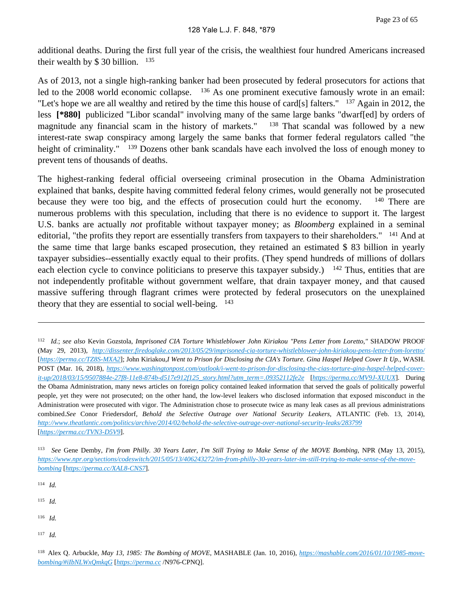additional deaths. During the first full year of the crisis, the wealthiest four hundred Americans increased their wealth by  $$30$  billion.  $135$ 

As of 2013, not a single high-ranking banker had been prosecuted by federal prosecutors for actions that led to the 2008 world economic collapse. <sup>136</sup> As one prominent executive famously wrote in an email: "Let's hope we are all wealthy and retired by the time this house of card[s] falters." <sup>137</sup> Again in 2012, the less **[\*880]** publicized "Libor scandal" involving many of the same large banks "dwarf[ed] by orders of magnitude any financial scam in the history of markets." <sup>138</sup> That scandal was followed by a new interest-rate swap conspiracy among largely the same banks that former federal regulators called "the height of criminality." <sup>139</sup> Dozens other bank scandals have each involved the loss of enough money to prevent tens of thousands of deaths.

The highest-ranking federal official overseeing criminal prosecution in the Obama Administration explained that banks, despite having committed federal felony crimes, would generally not be prosecuted because they were too big, and the effects of prosecution could hurt the economy. <sup>140</sup> There are numerous problems with this speculation, including that there is no evidence to support it. The largest U.S. banks are actually *not* profitable without taxpayer money; as *Bloomberg* explained in a seminal editorial, "the profits they report are essentially transfers from taxpayers to their shareholders." <sup>141</sup> And at the same time that large banks escaped prosecution, they retained an estimated \$ 83 billion in yearly taxpayer subsidies--essentially exactly equal to their profits. (They spend hundreds of millions of dollars each election cycle to convince politicians to preserve this taxpayer subsidy.)  $142$  Thus, entities that are not independently profitable without government welfare, that drain taxpayer money, and that caused massive suffering through flagrant crimes were protected by federal prosecutors on the unexplained theory that they are essential to social well-being.  $143$ 

114 *Id.*

115 *Id.*

116 *Id.*

117 *Id.*

<sup>112</sup>  *Id.*; *see also* Kevin Gozstola, *Imprisoned CIA Torture Whistleblower John Kiriakou "Pens Letter from Loretto*,*"* SHADOW PROOF (May 29, 2013), *<http://dissenter.firedoglake.com/2013/05/29/imprisoned-cia-torture-whistleblower-john-kiriakou-pens-letter-from-loretto/>* [*<https://perma.cc/TZ8S-MXA2>*]; John Kiriakou,*I Went to Prison for Disclosing the CIA's Torture. Gina Haspel Helped Cover It Up.*, WASH. POST (Mar. 16, 2018), *[https://www.washingtonpost.com/outlook/i-went-to-prison-for-disclosing-the-cias-torture-gina-haspel-helped-cover](https://www.washingtonpost.com/outlook/i-went-to-prison-for-disclosing-the-cias-torture-gina-haspel-helped-cover-it-up/2018/03/15/9507884e-27f8-11e8-874b-d517e912f125_story.html?utm_term=.09352112fe2e)[it-up/2018/03/15/9507884e-27f8-11e8-874b-d517e912f125\\_story.html?utm\\_term=.09352112fe2e](https://www.washingtonpost.com/outlook/i-went-to-prison-for-disclosing-the-cias-torture-gina-haspel-helped-cover-it-up/2018/03/15/9507884e-27f8-11e8-874b-d517e912f125_story.html?utm_term=.09352112fe2e)* [*<https://perma.cc/MV9J-XUUX>*]. During the Obama Administration, many news articles on foreign policy contained leaked information that served the goals of politically powerful people, yet they were not prosecuted; on the other hand, the low-level leakers who disclosed information that exposed misconduct in the Administration were prosecuted with vigor. The Administration chose to prosecute twice as many leak cases as all previous administrations combined.*See* Conor Friedersdorf, *Behold the Selective Outrage over National Security Leakers*, ATLANTIC (Feb. 13, 2014), *<http://www.theatlantic.com/politics/archive/2014/02/behold-the-selective-outrage-over-national-security-leaks/283799>* [*<https://perma.cc/TVN3-D5V9>*].

<sup>113</sup>  *See* Gene Demby, *I'm from Philly. 30 Years Later, I'm Still Trying to Make Sense of the MOVE Bombing*, NPR (May 13, 2015), *[https://www.npr.org/sections/codeswitch/2015/05/13/406243272/im-from-philly-30-years-later-im-still-trying-to-make-sense-of-the-move](https://www.npr.org/sections/codeswitch/2015/05/13/406243272/im-from-philly-30-years-later-im-still-trying-to-make-sense-of-the-move-bombing)[bombing](https://www.npr.org/sections/codeswitch/2015/05/13/406243272/im-from-philly-30-years-later-im-still-trying-to-make-sense-of-the-move-bombing)* [*<https://perma.cc/XAL8-CNS7>*].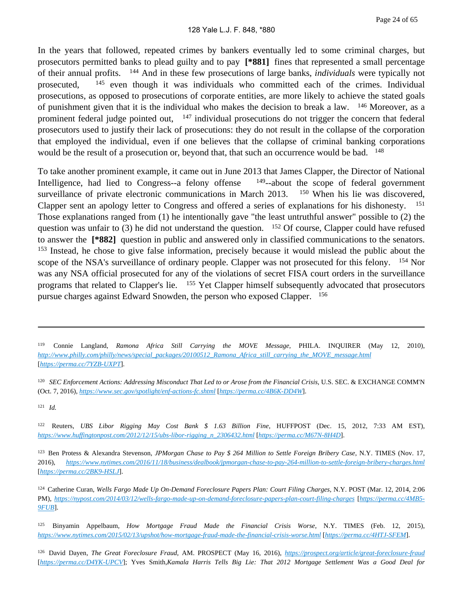In the years that followed, repeated crimes by bankers eventually led to some criminal charges, but prosecutors permitted banks to plead guilty and to pay **[\*881]** fines that represented a small percentage of their annual profits. <sup>144</sup> And in these few prosecutions of large banks, *individuals* were typically not prosecuted, <sup>145</sup> even though it was individuals who committed each of the crimes. Individual prosecutions, as opposed to prosecutions of corporate entities, are more likely to achieve the stated goals of punishment given that it is the individual who makes the decision to break a law. <sup>146</sup> Moreover, as a prominent federal judge pointed out, <sup>147</sup> individual prosecutions do not trigger the concern that federal prosecutors used to justify their lack of prosecutions: they do not result in the collapse of the corporation that employed the individual, even if one believes that the collapse of criminal banking corporations would be the result of a prosecution or, beyond that, that such an occurrence would be bad. <sup>148</sup>

To take another prominent example, it came out in June 2013 that James Clapper, the Director of National Intelligence, had lied to Congress--a felony offense <sup>149</sup>--about the scope of federal government surveillance of private electronic communications in March 2013. <sup>150</sup> When his lie was discovered, Clapper sent an apology letter to Congress and offered a series of explanations for his dishonesty. Those explanations ranged from (1) he intentionally gave "the least untruthful answer" possible to (2) the question was unfair to  $(3)$  he did not understand the question. <sup>152</sup> Of course, Clapper could have refused to answer the **[\*882]** question in public and answered only in classified communications to the senators. <sup>153</sup> Instead, he chose to give false information, precisely because it would mislead the public about the scope of the NSA's surveillance of ordinary people. Clapper was not prosecuted for this felony. <sup>154</sup> Nor was any NSA official prosecuted for any of the violations of secret FISA court orders in the surveillance programs that related to Clapper's lie. <sup>155</sup> Yet Clapper himself subsequently advocated that prosecutors pursue charges against Edward Snowden, the person who exposed Clapper. <sup>156</sup>

<sup>120</sup> SEC Enforcement Actions: Addressing Misconduct That Led to or Arose from the Financial Crisis, U.S. SEC. & EXCHANGE COMM'N (Oct. 7, 2016), *<https://www.sec.gov/spotlight/enf-actions-fc.shtml>* [*<https://perma.cc/4B6K-DD4W>*].

121 *Id.*

<sup>122</sup> Reuters, *UBS Libor Rigging May Cost Bank \$ 1.63 Billion Fine*, HUFFPOST (Dec. 15, 2012, 7:33 AM EST), *[https://www.huffingtonpost.com/2012/12/15/ubs-libor-rigging\\_n\\_2306432.html](https://www.huffingtonpost.com/2012/12/15/ubs-libor-rigging_n_2306432.html)* [*<https://perma.cc/M67N-8H4D>*].

<sup>123</sup>Ben Protess & Alexandra Stevenson, *JPMorgan Chase to Pay \$ 264 Million to Settle Foreign Bribery Case*, N.Y. TIMES (Nov. 17, 2016), *<https://www.nytimes.com/2016/11/18/business/dealbook/jpmorgan-chase-to-pay-264-million-to-settle-foreign-bribery-charges.html>* [*<https://perma.cc/2BK9-HSLJ>*].

<sup>119</sup>Connie Langland, *Ramona Africa Still Carrying the MOVE Message*, PHILA. INQUIRER (May 12, 2010), *[http://www.philly.com/philly/news/special\\_packages/20100512\\_Ramona\\_Africa\\_still\\_carrying\\_the\\_MOVE\\_message.html](http://www.philly.com/philly/news/special_packages/20100512_Ramona_Africa_still_carrying_the_MOVE_message.html)* [*<https://perma.cc/7YZB-UXPT>*].

<sup>124</sup>Catherine Curan, *Wells Fargo Made Up On-Demand Foreclosure Papers Plan: Court Filing Charges*, N.Y. POST (Mar. 12, 2014, 2:06 PM), *<https://nypost.com/2014/03/12/wells-fargo-made-up-on-demand-foreclosure-papers-plan-court-filing-charges>* [*[https://perma.cc/4MB5-](https://perma.cc/4MB5-9FUB) [9FUB](https://perma.cc/4MB5-9FUB)*].

<sup>&</sup>lt;sup>125</sup> Binyamin Appelbaum, *How Mortgage Fraud Made the Financial Crisis Worse*, N.Y. TIMES (Feb. 12, 2015), *<https://www.nytimes.com/2015/02/13/upshot/how-mortgage-fraud-made-the-financial-crisis-worse.html>* [*<https://perma.cc/4HTJ-SFEM>*].

<sup>126</sup>David Dayen, *The Great Foreclosure Fraud*, AM. PROSPECT (May 16, 2016), *<https://prospect.org/article/great-foreclosure-fraud>* [*<https://perma.cc/D4YK-UPCV>*]; Yves Smith,*Kamala Harris Tells Big Lie: That 2012 Mortgage Settlement Was a Good Deal for*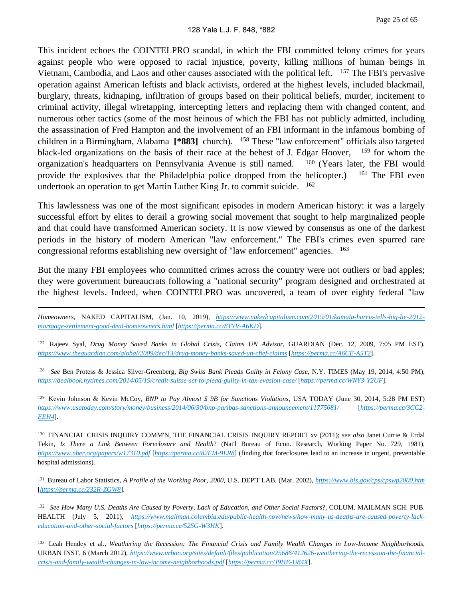This incident echoes the COINTELPRO scandal, in which the FBI committed felony crimes for years against people who were opposed to racial injustice, poverty, killing millions of human beings in Vietnam, Cambodia, and Laos and other causes associated with the political left. <sup>157</sup> The FBI's pervasive operation against American leftists and black activists, ordered at the highest levels, included blackmail, burglary, threats, kidnaping, infiltration of groups based on their political beliefs, murder, incitement to criminal activity, illegal wiretapping, intercepting letters and replacing them with changed content, and numerous other tactics (some of the most heinous of which the FBI has not publicly admitted, including the assassination of Fred Hampton and the involvement of an FBI informant in the infamous bombing of children in a Birmingham, Alabama **[\*883]** church). <sup>158</sup> These "law enforcement" officials also targeted black-led organizations on the basis of their race at the behest of J. Edgar Hoover, <sup>159</sup> for whom the organization's headquarters on Pennsylvania Avenue is still named. <sup>160</sup> (Years later, the FBI would provide the explosives that the Philadelphia police dropped from the helicopter.) <sup>161</sup> The FBI even undertook an operation to get Martin Luther King Jr. to commit suicide. <sup>162</sup>

This lawlessness was one of the most significant episodes in modern American history: it was a largely successful effort by elites to derail a growing social movement that sought to help marginalized people and that could have transformed American society. It is now viewed by consensus as one of the darkest periods in the history of modern American "law enforcement." The FBI's crimes even spurred rare congressional reforms establishing new oversight of "law enforcement" agencies. <sup>163</sup>

But the many FBI employees who committed crimes across the country were not outliers or bad apples; they were government bureaucrats following a "national security" program designed and orchestrated at the highest levels. Indeed, when COINTELPRO was uncovered, a team of over eighty federal "law

<sup>127</sup> Rajeev Syal, *Drug Money Saved Banks in Global Crisis, Claims UN Advisor*, GUARDIAN (Dec. 12, 2009, 7:05 PM EST), *<https://www.theguardian.com/global/2009/dec/13/drug-money-banks-saved-un-cfief-claims>* [*<https://perma.cc/A6CE-A5T2>*].

128 *See* Ben Protess & Jessica Silver-Greenberg, *Big Swiss Bank Pleads Guilty in Felony Case*, N.Y. TIMES (May 19, 2014, 4:50 PM), *<https://dealbook.nytimes.com/2014/05/19/credit-suisse-set-to-plead-guilty-in-tax-evasion-case/>* [*<https://perma.cc/WNY3-Y2UF>*].

<sup>129</sup> Kevin Johnson & Kevin McCoy, *BNP to Pay Almost \$ 9B for Sanctions Violations*, USA TODAY (June 30, 2014, 5:28 PM EST) *<https://www.usatoday.com/story/money/business/2014/06/30/bnp-paribas-sanctions-announcement/11775681/>* [*[https://perma.cc/3CC2-](https://perma.cc/3CC2-EEH4) [EEH4](https://perma.cc/3CC2-EEH4)*].

<sup>130</sup>FINANCIAL CRISIS INQUIRY COMM'N, THE FINANCIAL CRISIS INQUIRY REPORT xv (2011); *see also* Janet Currie & Erdal Tekin, *Is There a Link Between Foreclosure and Health*? (Nat'l Bureau of Econ. Research, Working Paper No. 729, 1981), *<https://www.nber.org/papers/w17310.pdf>* [*<https://perma.cc/82FM-9LR8>*] (finding that foreclosures lead to an increase in urgent, preventable hospital admissions).

<sup>131</sup>Bureau of Labor Statistics, *A Profile of the Working Poor, 2000*, U.S. DEP'T LAB. (Mar. 2002), *<https://www.bls.gov/cps/cpswp2000.htm>* [*<https://perma.cc/232R-ZGW8>*].

132 *See How Many U.S. Deaths Are Caused by Poverty, Lack of Education, and Other Social Factors*?, COLUM. MAILMAN SCH. PUB. HEALTH (July 5, 2011), *[https://www.mailman.columbia.edu/public-health-now/news/how-many-us-deaths-are-caused-poverty-lack](https://www.mailman.columbia.edu/public-health-now/news/how-many-us-deaths-are-caused-poverty-lack-education-and-other-social-factors)[education-and-other-social-factors](https://www.mailman.columbia.edu/public-health-now/news/how-many-us-deaths-are-caused-poverty-lack-education-and-other-social-factors)* [*<https://perma.cc/52SG-W3HK>*].

<sup>133</sup>Leah Hendey et al., *Weathering the Recession: The Financial Crisis and Family Wealth Changes in Low-Income Neighborhoods*, URBAN INST. 6 (March 2012), *[https://www.urban.org/sites/default/files/publication/25686/412626-weathering-the-recession-the-financial](https://www.urban.org/sites/default/files/publication/25686/412626-weathering-the-recession-the-financial-crisis-and-family-wealth-changes-in-low-income-neighborhoods.pdf)[crisis-and-family-wealth-changes-in-low-income-neighborhoods.pdf](https://www.urban.org/sites/default/files/publication/25686/412626-weathering-the-recession-the-financial-crisis-and-family-wealth-changes-in-low-income-neighborhoods.pdf)* [*<https://perma.cc/J9HE-U84X>*].

*Homeowners*, NAKED CAPITALISM, (Jan. 10, 2019), *[https://www.nakedcapitalism.com/2019/01/kamala-harris-tells-big-lie-2012](https://www.nakedcapitalism.com/2019/01/kamala-harris-tells-big-lie-2012-mortgage-settlement-good-deal-homeowners.html) [mortgage-settlement-good-deal-homeowners.html](https://www.nakedcapitalism.com/2019/01/kamala-harris-tells-big-lie-2012-mortgage-settlement-good-deal-homeowners.html)* [*<https://perma.cc/8TYV-A6KD>*].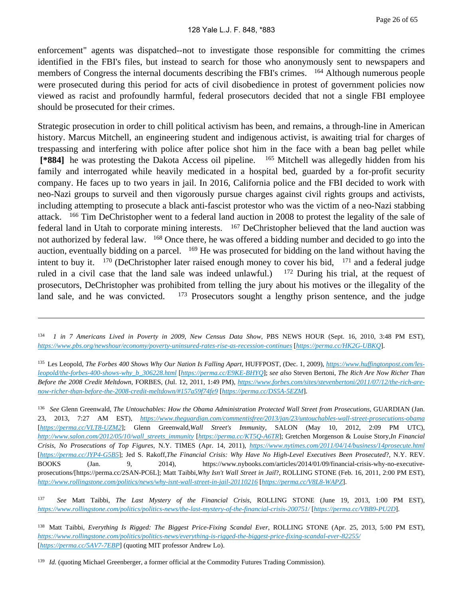enforcement" agents was dispatched--not to investigate those responsible for committing the crimes identified in the FBI's files, but instead to search for those who anonymously sent to newspapers and members of Congress the internal documents describing the FBI's crimes. <sup>164</sup> Although numerous people were prosecuted during this period for acts of civil disobedience in protest of government policies now viewed as racist and profoundly harmful, federal prosecutors decided that not a single FBI employee should be prosecuted for their crimes.

Strategic prosecution in order to chill political activism has been, and remains, a through-line in American history. Marcus Mitchell, an engineering student and indigenous activist, is awaiting trial for charges of trespassing and interfering with police after police shot him in the face with a bean bag pellet while  **[\*884]** he was protesting the Dakota Access oil pipeline. <sup>165</sup> Mitchell was allegedly hidden from his family and interrogated while heavily medicated in a hospital bed, guarded by a for-profit security company. He faces up to two years in jail. In 2016, California police and the FBI decided to work with neo-Nazi groups to surveil and then vigorously pursue charges against civil rights groups and activists, including attempting to prosecute a black anti-fascist protestor who was the victim of a neo-Nazi stabbing attack. <sup>166</sup> Tim DeChristopher went to a federal land auction in 2008 to protest the legality of the sale of federal land in Utah to corporate mining interests. <sup>167</sup> DeChristopher believed that the land auction was not authorized by federal law. <sup>168</sup> Once there, he was offered a bidding number and decided to go into the auction, eventually bidding on a parcel. <sup>169</sup> He was prosecuted for bidding on the land without having the intent to buy it. <sup>170</sup> (DeChristopher later raised enough money to cover his bid, <sup>171</sup> and a federal judge ruled in a civil case that the land sale was indeed unlawful.) <sup>172</sup> During his trial, at the request of prosecutors, DeChristopher was prohibited from telling the jury about his motives or the illegality of the land sale, and he was convicted. <sup>173</sup> Prosecutors sought a lengthy prison sentence, and the judge

<sup>134</sup>  *1 in 7 Americans Lived in Poverty in 2009, New Census Data Show*, PBS NEWS HOUR (Sept. 16, 2010, 3:48 PM EST), *<https://www.pbs.org/newshour/economy/poverty-uninsured-rates-rise-as-recession-continues>* [*<https://perma.cc/HK2G-UBKQ>*].

<sup>135</sup> Les Leopold, *The Forbes 400 Shows Why Our Nation Is Falling Apart*, HUFFPOST, (Dec. 1, 2009), *[https://www.huffingtonpost.com/les](https://www.huffingtonpost.com/les-leopold/the-forbes-400-shows-why_b_306228.html)[leopold/the-forbes-400-shows-why\\_b\\_306228.html](https://www.huffingtonpost.com/les-leopold/the-forbes-400-shows-why_b_306228.html)* [*<https://perma.cc/E9KE-BHYQ>*]; *see also* Steven Bertoni, *The Rich Are Now Richer Than Before the 2008 Credit Meltdown*, FORBES, (Jul. 12, 2011, 1:49 PM), *[https://www.forbes.com/sites/stevenbertoni/2011/07/12/the-rich-are](https://www.forbes.com/sites/stevenbertoni/2011/07/12/the-rich-are-now-richer-than-before-the-2008-credit-meltdown/#157a59f74fe9)[now-richer-than-before-the-2008-credit-meltdown/#157a59f74fe9](https://www.forbes.com/sites/stevenbertoni/2011/07/12/the-rich-are-now-richer-than-before-the-2008-credit-meltdown/#157a59f74fe9)* [*<https://perma.cc/DS5A-5EZM>*].

<sup>136</sup>  *See* Glenn Greenwald, *The Untouchables: How the Obama Administration Protected Wall Street from Prosecutions*, GUARDIAN (Jan. 23, 2013, 7:27 AM EST), *<https://www.theguardian.com/commentisfree/2013/jan/23/untouchables-wall-street-prosecutions-obama>* [*<https://perma.cc/VLT8-UZM2>*]; Glenn Greenwald,*Wall Street's Immunity*, SALON (May 10, 2012, 2:09 PM UTC), *[http://www.salon.com/2012/05/10/wall\\_streets\\_immunity](http://www.salon.com/2012/05/10/wall_streets_immunity)* [*<https://perma.cc/KT5Q-A6TR>*]; Gretchen Morgenson & Louise Story,*In Financial Crisis, No Prosecutions of Top Figures*, N.Y. TIMES (Apr. 14, 2011), *<https://www.nytimes.com/2011/04/14/business/14prosecute.html>* [*<https://perma.cc/JYP4-G5B5>*]; Jed S. Rakoff,*The Financial Crisis: Why Have No High-Level Executives Been Prosecuted*?, N.Y. REV. BOOKS (Jan. 9, 2014), https://www.nybooks.com/articles/2014/01/09/financial-crisis-why-no-executiveprosecutions/[https://perma.cc/2SAN-PC6L]; Matt Taibbi,*Why Isn't Wall Street in Jail*?, ROLLING STONE (Feb. 16, 2011, 2:00 PM EST), *<http://www.rollingstone.com/politics/news/why-isnt-wall-street-in-jail-20110216>* [*<https://perma.cc/V8L8-WAPZ>*].

<sup>137</sup>  *See* Matt Taibbi, *The Last Mystery of the Financial Crisis*, ROLLING STONE (June 19, 2013, 1:00 PM EST), *<https://www.rollingstone.com/politics/politics-news/the-last-mystery-of-the-financial-crisis-200751/>* [*<https://perma.cc/VBB9-PU2D>*].

<sup>&</sup>lt;sup>138</sup> Matt Taibbi, *Everything Is Rigged: The Biggest Price-Fixing Scandal Ever*, ROLLING STONE (Apr. 25, 2013, 5:00 PM EST), *<https://www.rollingstone.com/politics/politics-news/everything-is-rigged-the-biggest-price-fixing-scandal-ever-82255/>* [*<https://perma.cc/5AV7-7EBP>*] (quoting MIT professor Andrew Lo).

<sup>&</sup>lt;sup>139</sup> Id. (quoting Michael Greenberger, a former official at the Commodity Futures Trading Commission).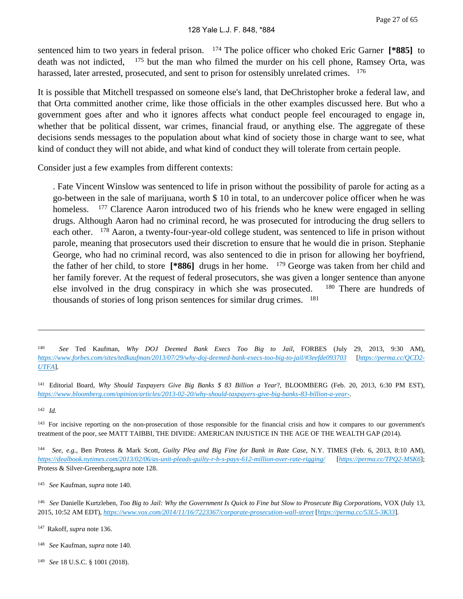sentenced him to two years in federal prison. <sup>174</sup> The police officer who choked Eric Garner **[\*885]** to death was not indicted, <sup>175</sup> but the man who filmed the murder on his cell phone, Ramsey Orta, was harassed, later arrested, prosecuted, and sent to prison for ostensibly unrelated crimes. <sup>176</sup>

It is possible that Mitchell trespassed on someone else's land, that DeChristopher broke a federal law, and that Orta committed another crime, like those officials in the other examples discussed here. But who a government goes after and who it ignores affects what conduct people feel encouraged to engage in, whether that be political dissent, war crimes, financial fraud, or anything else. The aggregate of these decisions sends messages to the population about what kind of society those in charge want to see, what kind of conduct they will not abide, and what kind of conduct they will tolerate from certain people.

Consider just a few examples from different contexts:

. Fate Vincent Winslow was sentenced to life in prison without the possibility of parole for acting as a go-between in the sale of marijuana, worth \$ 10 in total, to an undercover police officer when he was homeless. <sup>177</sup> Clarence Aaron introduced two of his friends who he knew were engaged in selling drugs. Although Aaron had no criminal record, he was prosecuted for introducing the drug sellers to each other. <sup>178</sup> Aaron, a twenty-four-year-old college student, was sentenced to life in prison without parole, meaning that prosecutors used their discretion to ensure that he would die in prison. Stephanie George, who had no criminal record, was also sentenced to die in prison for allowing her boyfriend, the father of her child, to store **[\*886]** drugs in her home. <sup>179</sup> George was taken from her child and her family forever. At the request of federal prosecutors, she was given a longer sentence than anyone else involved in the drug conspiracy in which she was prosecuted.  $180$  There are hundreds of thousands of stories of long prison sentences for similar drug crimes. <sup>181</sup>

142 *Id.*

<sup>143</sup> For incisive reporting on the non-prosecution of those responsible for the financial crisis and how it compares to our government's treatment of the poor, see MATT TAIBBI, THE DIVIDE: AMERICAN INJUSTICE IN THE AGE OF THE WEALTH GAP (2014).

144 *See, e.g.*, Ben Protess & Mark Scott, *Guilty Plea and Big Fine for Bank in Rate Case*, N.Y. TIMES (Feb. 6, 2013, 8:10 AM), *<https://dealbook.nytimes.com/2013/02/06/as-unit-pleads-guilty-r-b-s-pays-612-million-over-rate-rigging/>* [*<https://perma.cc/TPQ2-MSK6>*]; Protess & Silver-Greenberg,*supra* note 128.

145 *See* Kaufman, *supra* note 140.

146 *See* Danielle Kurtzleben, *Too Big to Jail: Why the Government Is Quick to Fine but Slow to Prosecute Big Corporations*, VOX (July 13, 2015, 10:52 AM EDT), *<https://www.vox.com/2014/11/16/7223367/corporate-prosecution-wall-street>* [*<https://perma.cc/53L5-3K33>*].

<sup>147</sup> Rakoff, *supra* note 136.

148 *See* Kaufman, *supra* note 140.

149 *See* 18 U.S.C. § 1001 (2018).

<sup>140</sup>  *See* Ted Kaufman, *Why DOJ Deemed Bank Execs Too Big to Jail*, FORBES (July 29, 2013, 9:30 AM), *<https://www.forbes.com/sites/tedkaufman/2013/07/29/why-doj-deemed-bank-execs-too-big-to-jail/#3eefde093703>* [*[https://perma.cc/QCD2-](https://perma.cc/QCD2-UTFA) [UTFA](https://perma.cc/QCD2-UTFA)*].

<sup>&</sup>lt;sup>141</sup> Editorial Board, *Why Should Taxpayers Give Big Banks \$ 83 Billion a Year*?, BLOOMBERG (Feb. 20, 2013, 6:30 PM EST), *<https://www.bloomberg.com/opinion/articles/2013-02-20/why-should-taxpayers-give-big-banks-83-billion-a-year->*.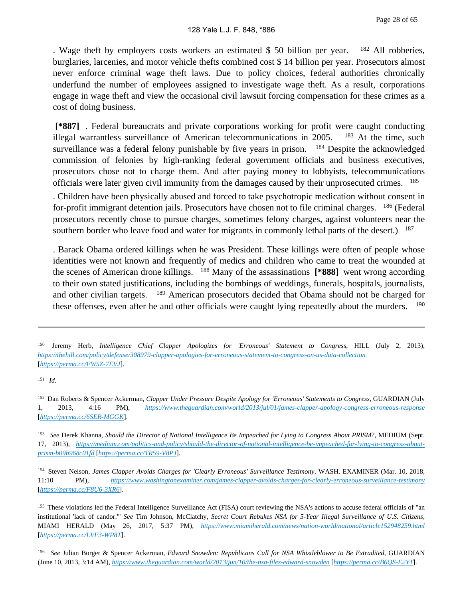. Wage theft by employers costs workers an estimated \$ 50 billion per year.  $182$  All robberies, burglaries, larcenies, and motor vehicle thefts combined cost \$ 14 billion per year. Prosecutors almost never enforce criminal wage theft laws. Due to policy choices, federal authorities chronically underfund the number of employees assigned to investigate wage theft. As a result, corporations engage in wage theft and view the occasional civil lawsuit forcing compensation for these crimes as a cost of doing business.

 **[\*887]** . Federal bureaucrats and private corporations working for profit were caught conducting illegal warrantless surveillance of American telecommunications in  $2005$ . <sup>183</sup> At the time, such surveillance was a federal felony punishable by five years in prison. <sup>184</sup> Despite the acknowledged commission of felonies by high-ranking federal government officials and business executives, prosecutors chose not to charge them. And after paying money to lobbyists, telecommunications officials were later given civil immunity from the damages caused by their unprosecuted crimes. <sup>185</sup>

. Children have been physically abused and forced to take psychotropic medication without consent in for-profit immigrant detention jails. Prosecutors have chosen not to file criminal charges. <sup>186</sup> (Federal prosecutors recently chose to pursue charges, sometimes felony charges, against volunteers near the southern border who leave food and water for migrants in commonly lethal parts of the desert.) <sup>187</sup>

. Barack Obama ordered killings when he was President. These killings were often of people whose identities were not known and frequently of medics and children who came to treat the wounded at the scenes of American drone killings. <sup>188</sup> Many of the assassinations **[\*888]** went wrong according to their own stated justifications, including the bombings of weddings, funerals, hospitals, journalists, and other civilian targets. <sup>189</sup> American prosecutors decided that Obama should not be charged for these offenses, even after he and other officials were caught lying repeatedly about the murders. <sup>190</sup>

<sup>150</sup>Jeremy Herb, *Intelligence Chief Clapper Apologizes for 'Erroneous' Statement to Congress*, HILL (July 2, 2013), *<https://thehill.com/policy/defense/308979-clapper-apologies-for-erroneous-statement-to-congress-on-us-data-collection>* [*<https://perma.cc/FW5Z-7EVJ>*].

<sup>151</sup>  *Id.*

<sup>152</sup> Dan Roberts & Spencer Ackerman, *Clapper Under Pressure Despite Apology for 'Erroneous' Statements to Congress*, GUARDIAN (July 1, 2013, 4:16 PM), *<https://www.theguardian.com/world/2013/jul/01/james-clapper-apology-congress-erroneous-response>* [*<https://perma.cc/6SER-MGGK>*].

<sup>153</sup>  *See* Derek Khanna, *Should the Director of National Intelligence Be Impeached for Lying to Congress About PRISM*?, MEDIUM (Sept. 17, 2013), *[https://medium.com/politics-and-policy/should-the-director-of-national-intelligence-be-impeached-for-lying-to-congress-about](https://medium.com/politics-and-policy/should-the-director-of-national-intelligence-be-impeached-for-lying-to-congress-about-prism-b09b968c01fd)[prism-b09b968c01fd](https://medium.com/politics-and-policy/should-the-director-of-national-intelligence-be-impeached-for-lying-to-congress-about-prism-b09b968c01fd)* [*<https://perma.cc/TR59-V8PJ>*].

<sup>&</sup>lt;sup>154</sup> Steven Nelson, *James Clapper Avoids Charges for 'Clearly Erroneous' Surveillance Testimony*, WASH. EXAMINER (Mar. 10, 2018, 11:10 PM), *<https://www.washingtonexaminer.com/james-clapper-avoids-charges-for-clearly-erroneous-surveillance-testimony>* [*<https://perma.cc/F8U6-3XR6>*].

<sup>155</sup> These violations led the Federal Intelligence Surveillance Act (FISA) court reviewing the NSA's actions to accuse federal officials of "an institutional 'lack of candor.'" *See* Tim Johnson, McClatchy, *Secret Court Rebukes NSA for 5-Year Illegal Surveillance of U.S. Citizens*, MIAMI HERALD (May 26, 2017, 5:37 PM), *<https://www.miamiherald.com/news/nation-world/national/article152948259.html>* [*<https://perma.cc/LVF3-WP8T>*].

<sup>156</sup>  *See* Julian Borger & Spencer Ackerman, *Edward Snowden: Republicans Call for NSA Whistleblower to Be Extradited*, GUARDIAN (June 10, 2013, 3:14 AM), *<https://www.theguardian.com/world/2013/jun/10/the-nsa-files-edward-snowden>* [*<https://perma.cc/B6QS-E2YT>*].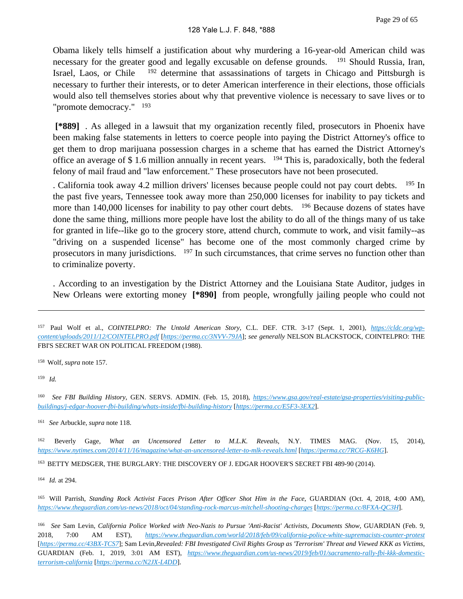Obama likely tells himself a justification about why murdering a 16-year-old American child was necessary for the greater good and legally excusable on defense grounds. <sup>191</sup> Should Russia, Iran, Israel, Laos, or Chile  $192$  determine that assassinations of targets in Chicago and Pittsburgh is necessary to further their interests, or to deter American interference in their elections, those officials would also tell themselves stories about why that preventive violence is necessary to save lives or to "promote democracy."  $193$ 

 **[\*889]** . As alleged in a lawsuit that my organization recently filed, prosecutors in Phoenix have been making false statements in letters to coerce people into paying the District Attorney's office to get them to drop marijuana possession charges in a scheme that has earned the District Attorney's office an average of \$ 1.6 million annually in recent years. <sup>194</sup> This is, paradoxically, both the federal felony of mail fraud and "law enforcement." These prosecutors have not been prosecuted.

. California took away 4.2 million drivers' licenses because people could not pay court debts. <sup>195</sup> In the past five years, Tennessee took away more than 250,000 licenses for inability to pay tickets and more than 140,000 licenses for inability to pay other court debts. <sup>196</sup> Because dozens of states have done the same thing, millions more people have lost the ability to do all of the things many of us take for granted in life--like go to the grocery store, attend church, commute to work, and visit family--as "driving on a suspended license" has become one of the most commonly charged crime by prosecutors in many jurisdictions. <sup>197</sup> In such circumstances, that crime serves no function other than to criminalize poverty.

. According to an investigation by the District Attorney and the Louisiana State Auditor, judges in New Orleans were extorting money **[\*890]** from people, wrongfully jailing people who could not

<sup>158</sup>Wolf, *supra* note 157.

159 *Id.*

160 *See FBI Building History*, GEN. SERVS. ADMIN. (Feb. 15, 2018), *[https://www.gsa.gov/real-estate/gsa-properties/visiting-public](https://www.gsa.gov/real-estate/gsa-properties/visiting-public-buildings/j-edgar-hoover-fbi-building/whats-inside/fbi-building-history)[buildings/j-edgar-hoover-fbi-building/whats-inside/fbi-building-history](https://www.gsa.gov/real-estate/gsa-properties/visiting-public-buildings/j-edgar-hoover-fbi-building/whats-inside/fbi-building-history)* [*<https://perma.cc/E5F3-3EX2>*].

161 *See* Arbuckle, *supra* note 118.

<sup>162</sup>Beverly Gage, *What an Uncensored Letter to M.L.K. Reveals*, N.Y. TIMES MAG. (Nov. 15, 2014), *<https://www.nytimes.com/2014/11/16/magazine/what-an-uncensored-letter-to-mlk-reveals.html>* [*<https://perma.cc/7RCG-K6HG>*].

163 BETTY MEDSGER, THE BURGLARY: THE DISCOVERY OF J. EDGAR HOOVER'S SECRET FBI 489-90 (2014).

164 *Id.* at 294.

166 *See* Sam Levin, *California Police Worked with Neo-Nazis to Pursue 'Anti-Racist' Activists, Documents Show*, GUARDIAN (Feb. 9, 2018, 7:00 AM EST), *<https://www.theguardian.com/world/2018/feb/09/california-police-white-supremacists-counter-protest>* [*<https://perma.cc/43BX-TCS7>*]; Sam Levin,*Revealed: FBI Investigated Civil Rights Group as 'Terrorism' Threat and Viewed KKK as Victims*, GUARDIAN (Feb. 1, 2019, 3:01 AM EST), *[https://www.theguardian.com/us-news/2019/feb/01/sacramento-rally-fbi-kkk-domestic](https://www.theguardian.com/us-news/2019/feb/01/sacramento-rally-fbi-kkk-domestic-terrorism-california)[terrorism-california](https://www.theguardian.com/us-news/2019/feb/01/sacramento-rally-fbi-kkk-domestic-terrorism-california)* [*<https://perma.cc/N2JX-L4DD>*].

<sup>157</sup> Paul Wolf et al., *COINTELPRO: The Untold American Story*, C.L. DEF. CTR. 3-17 (Sept. 1, 2001), *[https://cldc.org/wp](https://cldc.org/wp-content/uploads/2011/12/COINTELPRO.pdf)[content/uploads/2011/12/COINTELPRO.pdf](https://cldc.org/wp-content/uploads/2011/12/COINTELPRO.pdf)* [*<https://perma.cc/3NVV-79JA>*]; *see generally* NELSON BLACKSTOCK, COINTELPRO: THE FBI'S SECRET WAR ON POLITICAL FREEDOM (1988).

<sup>&</sup>lt;sup>165</sup> Will Parrish, *Standing Rock Activist Faces Prison After Officer Shot Him in the Face*, GUARDIAN (Oct. 4, 2018, 4:00 AM), *<https://www.theguardian.com/us-news/2018/oct/04/standing-rock-marcus-mitchell-shooting-charges>* [*<https://perma.cc/8FXA-QC3H>*].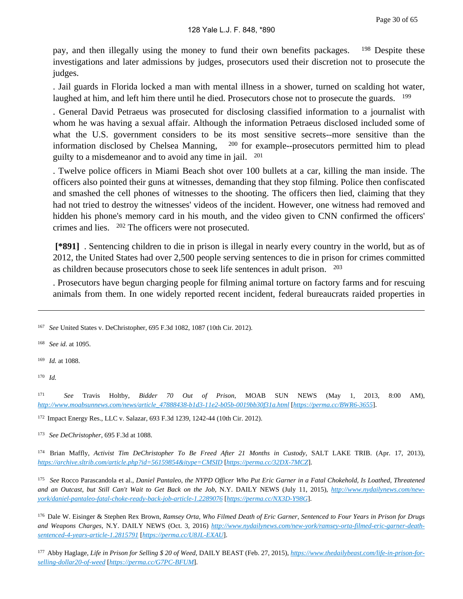pay, and then illegally using the money to fund their own benefits packages. <sup>198</sup> Despite these investigations and later admissions by judges, prosecutors used their discretion not to prosecute the judges.

. Jail guards in Florida locked a man with mental illness in a shower, turned on scalding hot water, laughed at him, and left him there until he died. Prosecutors chose not to prosecute the guards. <sup>199</sup>

. General David Petraeus was prosecuted for disclosing classified information to a journalist with whom he was having a sexual affair. Although the information Petraeus disclosed included some of what the U.S. government considers to be its most sensitive secrets--more sensitive than the information disclosed by Chelsea Manning, <sup>200</sup> for example--prosecutors permitted him to plead guilty to a misdemeanor and to avoid any time in jail. <sup>201</sup>

. Twelve police officers in Miami Beach shot over 100 bullets at a car, killing the man inside. The officers also pointed their guns at witnesses, demanding that they stop filming. Police then confiscated and smashed the cell phones of witnesses to the shooting. The officers then lied, claiming that they had not tried to destroy the witnesses' videos of the incident. However, one witness had removed and hidden his phone's memory card in his mouth, and the video given to CNN confirmed the officers' crimes and lies. <sup>202</sup> The officers were not prosecuted.

 **[\*891]** . Sentencing children to die in prison is illegal in nearly every country in the world, but as of 2012, the United States had over 2,500 people serving sentences to die in prison for crimes committed as children because prosecutors chose to seek life sentences in adult prison. <sup>203</sup>

. Prosecutors have begun charging people for filming animal torture on factory farms and for rescuing animals from them. In one widely reported recent incident, federal bureaucrats raided properties in

168 *See id.* at 1095.

169 *Id.* at 1088.

170 *Id.*

171 *See* Travis Holtby, *Bidder 70 Out of Prison*, MOAB SUN NEWS (May 1, 2013, 8:00 AM), *[http://www.moabsunnews.com/news/article\\_47888438-b1d3-11e2-b05b-0019bb30f31a.html](http://www.moabsunnews.com/news/article_47888438-b1d3-11e2-b05b-0019bb30f31a.html)* [*<https://perma.cc/BWR6-3655>*].

172 Impact Energy Res., LLC v. Salazar, 693 F.3d 1239, 1242-44 (10th Cir. 2012).

173 *See DeChristopher*, 695 F.3d at 1088.

<sup>174</sup>Brian Maffly, *Activist Tim DeChristopher To Be Freed After 21 Months in Custody*, SALT LAKE TRIB. (Apr. 17, 2013), *<https://archive.sltrib.com/article.php?id=56159854&itype=CMSID>* [*<https://perma.cc/32DX-7MCZ>*].

175 *See* Rocco Parascandola et al., *Daniel Pantaleo, the NYPD Officer Who Put Eric Garner in a Fatal Chokehold, Is Loathed, Threatened and an Outcast, but Still Can't Wait to Get Back on the Job*, N.Y. DAILY NEWS (July 11, 2015), *[http://www.nydailynews.com/new](http://www.nydailynews.com/new-york/daniel-pantaleo-fatal-choke-ready-back-job-article-1.2289076)[york/daniel-pantaleo-fatal-choke-ready-back-job-article-1.2289076](http://www.nydailynews.com/new-york/daniel-pantaleo-fatal-choke-ready-back-job-article-1.2289076)* [*<https://perma.cc/NX3D-Y98G>*].

<sup>176</sup>Dale W. Eisinger & Stephen Rex Brown, *Ramsey Orta, Who Filmed Death of Eric Garner, Sentenced to Four Years in Prison for Drugs and Weapons Charges*, N.Y. DAILY NEWS (Oct. 3, 2016) *[http://www.nydailynews.com/new-york/ramsey-orta-filmed-eric-garner-death](http://www.nydailynews.com/new-york/ramsey-orta-filmed-eric-garner-death-sentenced-4-years-article-1.2815791)[sentenced-4-years-article-1.2815791](http://www.nydailynews.com/new-york/ramsey-orta-filmed-eric-garner-death-sentenced-4-years-article-1.2815791)* [*<https://perma.cc/U8JL-EXAU>*].

177 Abby Haglage, *Life in Prison for Selling \$ 20 of Weed*, DAILY BEAST (Feb. 27, 2015), *[https://www.thedailybeast.com/life-in-prison-for](https://www.thedailybeast.com/life-in-prison-for-selling-dollar20-of-weed)[selling-dollar20-of-weed](https://www.thedailybeast.com/life-in-prison-for-selling-dollar20-of-weed)* [*<https://perma.cc/G7PC-BFUM>*].

<sup>167</sup>  *See* United States v. DeChristopher, 695 F.3d 1082, 1087 (10th Cir. 2012).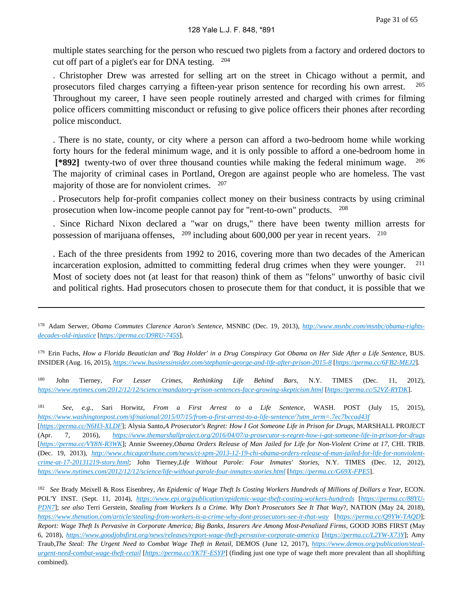multiple states searching for the person who rescued two piglets from a factory and ordered doctors to cut off part of a piglet's ear for DNA testing. <sup>204</sup>

. Christopher Drew was arrested for selling art on the street in Chicago without a permit, and prosecutors filed charges carrying a fifteen-year prison sentence for recording his own arrest. Throughout my career, I have seen people routinely arrested and charged with crimes for filming police officers committing misconduct or refusing to give police officers their phones after recording police misconduct.

. There is no state, county, or city where a person can afford a two-bedroom home while working forty hours for the federal minimum wage, and it is only possible to afford a one-bedroom home in **[\*892]** twenty-two of over three thousand counties while making the federal minimum wage. The majority of criminal cases in Portland, Oregon are against people who are homeless. The vast majority of those are for nonviolent crimes. <sup>207</sup>

. Prosecutors help for-profit companies collect money on their business contracts by using criminal prosecution when low-income people cannot pay for "rent-to-own" products. <sup>208</sup>

. Since Richard Nixon declared a "war on drugs," there have been twenty million arrests for possession of marijuana offenses, <sup>209</sup> including about 600,000 per year in recent years. <sup>210</sup>

. Each of the three presidents from 1992 to 2016, covering more than two decades of the American incarceration explosion, admitted to committing federal drug crimes when they were younger. Most of society does not (at least for that reason) think of them as "felons" unworthy of basic civil and political rights. Had prosecutors chosen to prosecute them for that conduct, it is possible that we

<sup>180</sup>John Tierney, *For Lesser Crimes, Rethinking Life Behind Bars*, N.Y. TIMES (Dec. 11, 2012), *<https://www.nytimes.com/2012/12/12/science/mandatory-prison-sentences-face-growing-skepticism.html>* [*<https://perma.cc/52VZ-RYDK>*].

181 *See, e.g.*, Sari Horwitz, *From a First Arrest to a Life Sentence*, WASH. POST (July 15, 2015), *[https://www.washingtonpost.com/sf/national/2015/07/15/from-a-first-arrest-to-a-life-sentence/?utm\\_term=.7ec7bccad43f](https://www.washingtonpost.com/sf/national/2015/07/15/from-a-first-arrest-to-a-life-sentence/?utm_term=.7ec7bccad43f)*

[*<https://perma.cc/N6H3-XLDF>*]; Alysia Santo,*A Prosecutor's Regret: How I Got Someone Life in Prison for Drugs*, MARSHALL PROJECT (Apr. 7, 2016), *<https://www.themarshallproject.org/2016/04/07/a-prosecutor-s-regret-how-i-got-someone-life-in-prison-for-drugs>* [*<https://perma.cc/VY8N-R3WK>*]; Annie Sweeney,*Obama Orders Release of Man Jailed for Life for Non-Violent Crime at 17*, CHI. TRIB. (Dec. 19, 2013), *[http://www.chicagotribune.com/news/ct-xpm-2013-12-19-chi-obama-orders-release-of-man-jailed-for-life-for-nonviolent](http://www.chicagotribune.com/news/ct-xpm-2013-12-19-chi-obama-orders-release-of-man-jailed-for-life-for-nonviolent-crime-at-17-20131219-story.html)[crime-at-17-20131219-story.html](http://www.chicagotribune.com/news/ct-xpm-2013-12-19-chi-obama-orders-release-of-man-jailed-for-life-for-nonviolent-crime-at-17-20131219-story.html)*; John Tierney,*Life Without Parole: Four Inmates' Stories*, N.Y. TIMES (Dec. 12, 2012), *<https://www.nytimes.com/2012/12/12/science/life-without-parole-four-inmates-stories.html>* [*<https://perma.cc/G69X-FPE5>*].

182 *See* Brady Meixell & Ross Eisenbrey, *An Epidemic of Wage Theft Is Costing Workers Hundreds of Millions of Dollars a Year*, ECON. POL'Y INST. (Sept. 11, 2014), *<https://www.epi.org/publication/epidemic-wage-theft-costing-workers-hundreds>* [*[https://perma.cc/88YU-](https://perma.cc/88YU-PDN7)[PDN7](https://perma.cc/88YU-PDN7)*]; *see also* Terri Gerstein, *Stealing from Workers Is a Crime. Why Don't Prosecutors See It That Way*?, NATION (May 24, 2018), *<https://www.thenation.com/article/stealing-from-workers-is-a-crime-why-dont-prosecutors-see-it-that-way>* [*<https://perma.cc/Q9YW-TAQD>*]; *Report: Wage Theft Is Pervasive in Corporate America; Big Banks, Insurers Are Among Most-Penalized Firms*, GOOD JOBS FIRST (May 6, 2018), *<https://www.goodjobsfirst.org/news/releases/report-wage-theft-pervasive-corporate-america>* [*<https://perma.cc/L2YW-X73Y>*]; Amy Traub,*The Steal: The Urgent Need to Combat Wage Theft in Retail*, DEMOS (June 12, 2017), *[https://www.demos.org/publication/steal](https://www.demos.org/publication/steal-urgent-need-combat-wage-theft-retail)[urgent-need-combat-wage-theft-retail](https://www.demos.org/publication/steal-urgent-need-combat-wage-theft-retail)* [*<https://perma.cc/YK7F-ESYP>*] (finding just one type of wage theft more prevalent than all shoplifting combined).

<sup>178</sup> Adam Serwer, *Obama Commutes Clarence Aaron's Sentence*, MSNBC (Dec. 19, 2013), *[http://www.msnbc.com/msnbc/obama-rights](http://www.msnbc.com/msnbc/obama-rights-decades-old-injustice)[decades-old-injustice](http://www.msnbc.com/msnbc/obama-rights-decades-old-injustice)* [*<https://perma.cc/D9RU-745S>*].

<sup>&</sup>lt;sup>179</sup> Erin Fuchs, *How a Florida Beautician and 'Bag Holder' in a Drug Conspiracy Got Obama on Her Side After a Life Sentence*, BUS. INSIDER (Aug. 16, 2015), *<https://www.businessinsider.com/stephanie-george-and-life-after-prison-2015-8>* [*<https://perma.cc/6FB2-MEJ2>*].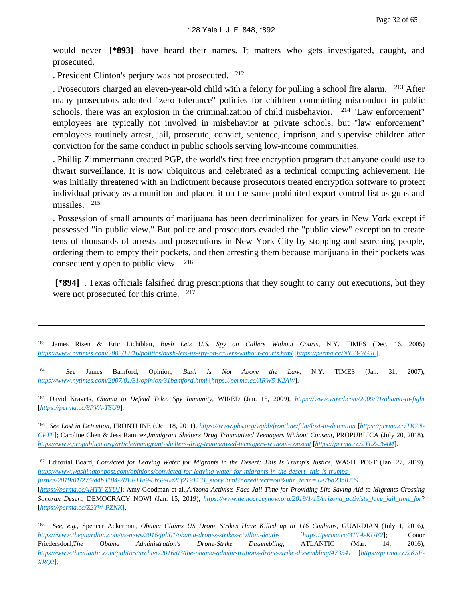would never **[\*893]** have heard their names. It matters who gets investigated, caught, and prosecuted.

. President Clinton's perjury was not prosecuted. <sup>212</sup>

. Prosecutors charged an eleven-year-old child with a felony for pulling a school fire alarm. <sup>213</sup> After many prosecutors adopted "zero tolerance" policies for children committing misconduct in public schools, there was an explosion in the criminalization of child misbehavior. <sup>214</sup> "Law enforcement" employees are typically not involved in misbehavior at private schools, but "law enforcement" employees routinely arrest, jail, prosecute, convict, sentence, imprison, and supervise children after conviction for the same conduct in public schools serving low-income communities.

. Phillip Zimmermann created PGP, the world's first free encryption program that anyone could use to thwart surveillance. It is now ubiquitous and celebrated as a technical computing achievement. He was initially threatened with an indictment because prosecutors treated encryption software to protect individual privacy as a munition and placed it on the same prohibited export control list as guns and missiles. <sup>215</sup>

. Possession of small amounts of marijuana has been decriminalized for years in New York except if possessed "in public view." But police and prosecutors evaded the "public view" exception to create tens of thousands of arrests and prosecutions in New York City by stopping and searching people, ordering them to empty their pockets, and then arresting them because marijuana in their pockets was consequently open to public view. <sup>216</sup>

 **[\*894]** . Texas officials falsified drug prescriptions that they sought to carry out executions, but they were not prosecuted for this crime. <sup>217</sup>

<sup>185</sup>David Kravets, *Obama to Defend Telco Spy Immunity*, WIRED (Jan. 15, 2009), *<https://www.wired.com/2009/01/obama-to-fight>* [*<https://perma.cc/8PVA-TSU9>*].

186 *See Lost in Detention*, FRONTLINE (Oct. 18, 2011), *<https://www.pbs.org/wgbh/frontline/film/lost-in-detention>* [*[https://perma.cc/TK7N-](https://perma.cc/TK7N-CPTF)[CPTF](https://perma.cc/TK7N-CPTF)*]; Caroline Chen & Jess Ramirez,*Immigrant Shelters Drug Traumatized Teenagers Without Consent*, PROPUBLICA (July 20, 2018), *<https://www.propublica.org/article/immigrant-shelters-drug-traumatized-teenagers-without-consent>* [*<https://perma.cc/2TLZ-264M>*].

<sup>183</sup>James Risen & Eric Lichtblau, *Bush Lets U.S. Spy on Callers Without Courts*, N.Y. TIMES (Dec. 16, 2005) *<https://www.nytimes.com/2005/12/16/politics/bush-lets-us-spy-on-callers-without-courts.html>* [*<https://perma.cc/NY53-YG5L>*].

<sup>184</sup>  *See* James Bamford, Opinion, *Bush Is Not Above the Law*, N.Y. TIMES (Jan. 31, 2007), *<https://www.nytimes.com/2007/01/31/opinion/31bamford.html>* [*<https://perma.cc/ARW5-K2AW>*].

<sup>187</sup> Editorial Board, *Convicted for Leaving Water for Migrants in the Desert: This Is Trump's Justice*, WASH. POST (Jan. 27, 2019), *[https://www.washingtonpost.com/opinions/convicted-for-leaving-water-for-migrants-in-the-desert--this-is-trumps-](https://www.washingtonpost.com/opinions/convicted-for-leaving-water-for-migrants-in-the-desert--this-is-trumps-justice/2019/01/27/9d4b3104-2013-11e9-8b59-0a28f2191131_story.html?noredirect=on&utm_term=.0e7ba23a8239)*

*[justice/2019/01/27/9d4b3104-2013-11e9-8b59-0a28f2191131\\_story.html?noredirect=on&utm\\_term=.0e7ba23a8239](https://www.washingtonpost.com/opinions/convicted-for-leaving-water-for-migrants-in-the-desert--this-is-trumps-justice/2019/01/27/9d4b3104-2013-11e9-8b59-0a28f2191131_story.html?noredirect=on&utm_term=.0e7ba23a8239)*

<sup>[</sup>*<https://perma.cc/4HTY-ZYUJ>*]; Amy Goodman et al.,*Arizona Activists Face Jail Time for Providing Life-Saving Aid to Migrants Crossing Sonoran Desert*, DEMOCRACY NOW! (Jan. 15, 2019), *[https://www.democracynow.org/2019/1/15/arizona\\_activists\\_face\\_jail\\_time\\_for](https://www.democracynow.org/2019/1/15/arizona_activists_face_jail_time_for)*? [*<https://perma.cc/Z2YW-PZNK>*].

<sup>188</sup>  *See, e.g.*, Spencer Ackerman, *Obama Claims US Drone Strikes Have Killed up to 116 Civilians*, GUARDIAN (July 1, 2016), *<https://www.theguardian.com/us-news/2016/jul/01/obama-drones-strikes-civilian-deaths>* [*<https://perma.cc/3TTA-KUE2>*]; Conor Friedersdorf,*The Obama Administration's Drone-Strike Dissembling*, ATLANTIC (Mar. 14, 2016), *<https://www.theatlantic.com/politics/archive/2016/03/the-obama-administrations-drone-strike-dissembling/473541>* [*[https://perma.cc/2K5F-](https://perma.cc/2K5F-XRQ2)[XRQ2](https://perma.cc/2K5F-XRQ2)*].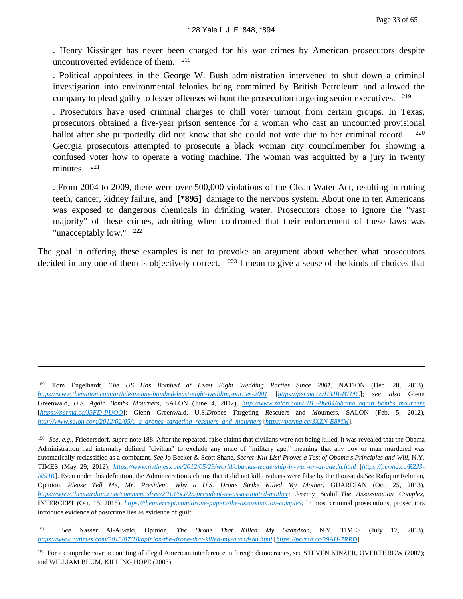. Henry Kissinger has never been charged for his war crimes by American prosecutors despite uncontroverted evidence of them. <sup>218</sup>

. Political appointees in the George W. Bush administration intervened to shut down a criminal investigation into environmental felonies being committed by British Petroleum and allowed the company to plead guilty to lesser offenses without the prosecution targeting senior executives. <sup>219</sup>

. Prosecutors have used criminal charges to chill voter turnout from certain groups. In Texas, prosecutors obtained a five-year prison sentence for a woman who cast an uncounted provisional ballot after she purportedly did not know that she could not vote due to her criminal record. <sup>220</sup> Georgia prosecutors attempted to prosecute a black woman city councilmember for showing a confused voter how to operate a voting machine. The woman was acquitted by a jury in twenty minutes<sup>221</sup>

. From 2004 to 2009, there were over 500,000 violations of the Clean Water Act, resulting in rotting teeth, cancer, kidney failure, and **[\*895]** damage to the nervous system. About one in ten Americans was exposed to dangerous chemicals in drinking water. Prosecutors chose to ignore the "vast majority" of these crimes, admitting when confronted that their enforcement of these laws was "unacceptably low." <sup>222</sup>

The goal in offering these examples is not to provoke an argument about whether what prosecutors decided in any one of them is objectively correct. <sup>223</sup> I mean to give a sense of the kinds of choices that

<sup>189</sup>Tom Engelhardt, *The US Has Bombed at Least Eight Wedding Parties Since 2001*, NATION (Dec. 20, 2013), *<https://www.thenation.com/article/us-has-bombed-least-eight-wedding-parties-2001>* [*<https://perma.cc/H3JB-BTMC>*]; *see also* Glenn Greenwald, *U.S. Again Bombs Mourners*, SALON (June 4, 2012), *[http://www.salon.com/2012/06/04/obama\\_again\\_bombs\\_mourners](http://www.salon.com/2012/06/04/obama_again_bombs_mourners)* [*<https://perma.cc/J3FD-PUQQ>*]; Glenn Greenwald, U.S.*D*rones *T*argeting *R*escuers and *M*ourners, SALON (Feb. 5, 2012), *[http://www.salon.com/2012/02/05/u\\_s\\_drones\\_targeting\\_rescuers\\_and\\_mourners](http://www.salon.com/2012/02/05/u_s_drones_targeting_rescuers_and_mourners)* [*<https://perma.cc/3XZN-E8MM>*].

190 *See, e.g.*, Friedersdorf, *supra* note 188. After the repeated, false claims that civilians were not being killed, it was revealed that the Obama Administration had internally defined "civilian" to exclude any male of "military age," meaning that any boy or man murdered was automatically reclassified as a combatant. *See* Jo Becker & Scott Shane, *Secret 'Kill List' Proves a Test of Obama's Principles and Will*, N.Y. TIMES (May 29, 2012), *<https://www.nytimes.com/2012/05/29/world/obamas-leadership-in-war-on-al-qaeda.html>* [*[https://perma.cc/RZJ3-](https://perma.cc/RZJ3-N5HK) [N5HK](https://perma.cc/RZJ3-N5HK)*]. Even under this definition, the Administration's claims that it did not kill civilians were false by the thousands.*See* Rafiq ur Rehman, Opinion, *Please Tell Me, Mr. President, Why a U.S. Drone Strike Killed My Mother*, GUARDIAN (Oct. 25, 2013), *<https://www.theguardian.com/commentisfree/2013/oct/25/president-us-assassinated-mother>*; Jeremy Scahill,*The Assassination Complex*, INTERCEPT (Oct. 15, 2015), *<https://theintercept.com/drone-papers/the-assassination-complex>*. In most criminal prosecutions, prosecutors introduce evidence of postcrime lies as evidence of guilt.

191 *See* Nasser Al-Alwaki, Opinion, *The Drone That Killed My Grandson*, N.Y. TIMES (July 17, 2013), *<https://www.nytimes.com/2013/07/18/opinion/the-drone-that-killed-my-grandson.html>* [*<https://perma.cc/39AH-7RRD>*].

<sup>192</sup> For a comprehensive accounting of illegal American interference in foreign democracies, see STEVEN KINZER, OVERTHROW (2007); and WILLIAM BLUM, KILLING HOPE (2003).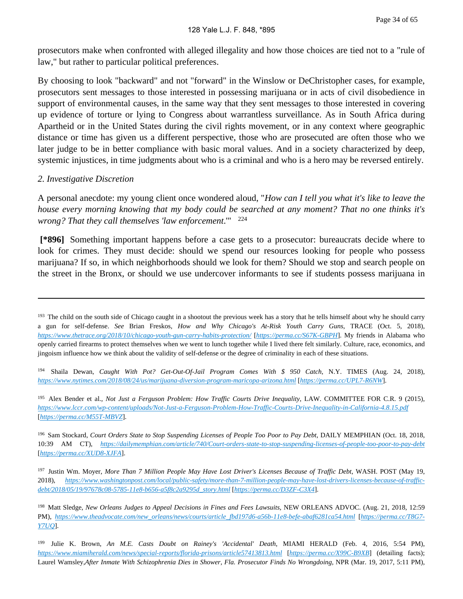prosecutors make when confronted with alleged illegality and how those choices are tied not to a "rule of law," but rather to particular political preferences.

By choosing to look "backward" and not "forward" in the Winslow or DeChristopher cases, for example, prosecutors sent messages to those interested in possessing marijuana or in acts of civil disobedience in support of environmental causes, in the same way that they sent messages to those interested in covering up evidence of torture or lying to Congress about warrantless surveillance. As in South Africa during Apartheid or in the United States during the civil rights movement, or in any context where geographic distance or time has given us a different perspective, those who are prosecuted are often those who we later judge to be in better compliance with basic moral values. And in a society characterized by deep, systemic injustices, in time judgments about who is a criminal and who is a hero may be reversed entirely.

#### *2. Investigative Discretion*

A personal anecdote: my young client once wondered aloud, "*How can I tell you what it's like to leave the house every morning knowing that my body could be searched at any moment? That no one thinks it's wrong? That they call themselves 'law enforcement*.'" <sup>224</sup>

 **[\*896]** Something important happens before a case gets to a prosecutor: bureaucrats decide where to look for crimes. They must decide: should we spend our resources looking for people who possess marijuana? If so, in which neighborhoods should we look for them? Should we stop and search people on the street in the Bronx, or should we use undercover informants to see if students possess marijuana in

195 Alex Bender et al., *Not Just a Ferguson Problem: How Traffic Courts Drive Inequality*, LAW. COMMITTEE FOR C.R. 9 (2015), *<https://www.lccr.com/wp-content/uploads/Not-Just-a-Ferguson-Problem-How-Traffic-Courts-Drive-Inequality-in-California-4.8.15.pdf>* [*<https://perma.cc/M55T-MBVZ>*].

<sup>196</sup>Sam Stockard, *Court Orders State to Stop Suspending Licenses of People Too Poor to Pay Debt*, DAILY MEMPHIAN (Oct. 18, 2018, 10:39 AM CT), *<https://dailymemphian.com/article/740/Court-orders-state-to-stop-suspending-licenses-of-people-too-poor-to-pay-debt>* [*<https://perma.cc/XUD8-XJFA>*].

197 Justin Wm. Moyer, *More Than 7 Million People May Have Lost Driver's Licenses Because of Traffic Debt*, WASH. POST (May 19, 2018), *[https://www.washingtonpost.com/local/public-safety/more-than-7-million-people-may-have-lost-drivers-licenses-because-of-traffic](https://www.washingtonpost.com/local/public-safety/more-than-7-million-people-may-have-lost-drivers-licenses-because-of-traffic-debt/2018/05/19/97678c08-5785-11e8-b656-a5f8c2a9295d_story.html)[debt/2018/05/19/97678c08-5785-11e8-b656-a5f8c2a9295d\\_story.html](https://www.washingtonpost.com/local/public-safety/more-than-7-million-people-may-have-lost-drivers-licenses-because-of-traffic-debt/2018/05/19/97678c08-5785-11e8-b656-a5f8c2a9295d_story.html)* [*<https://perma.cc/D3ZF-C3X4>*].

198 Matt Sledge, *New Orleans Judges to Appeal Decisions in Fines and Fees Lawsuits*, NEW ORLEANS ADVOC. (Aug. 21, 2018, 12:59 PM), *[https://www.theadvocate.com/new\\_orleans/news/courts/article\\_fbd197d6-a56b-11e8-befe-abaf6281ca54.html](https://www.theadvocate.com/new_orleans/news/courts/article_fbd197d6-a56b-11e8-befe-abaf6281ca54.html)* [*[https://perma.cc/T8G7-](https://perma.cc/T8G7-Y7UQ) [Y7UQ](https://perma.cc/T8G7-Y7UQ)*].

<sup>199</sup>Julie K. Brown, *An M.E. Casts Doubt on Rainey's 'Accidental' Death*, MIAMI HERALD (Feb. 4, 2016, 5:54 PM), *<https://www.miamiherald.com/news/special-reports/florida-prisons/article57413813.html>* [*<https://perma.cc/X99C-B9XB>*] (detailing facts); Laurel Wamsley,*After Inmate With Schizophrenia Dies in Shower, Fla. Prosecutor Finds No Wrongdoing*, NPR (Mar. 19, 2017, 5:11 PM),

<sup>&</sup>lt;sup>193</sup> The child on the south side of Chicago caught in a shootout the previous week has a story that he tells himself about why he should carry a gun for self-defense. *See* Brian Freskos, *How and Why Chicago's At-Risk Youth Carry Guns*, TRACE (Oct. 5, 2018), *<https://www.thetrace.org/2018/10/chicago-youth-gun-carry-habits-protection/>* [*<https://perma.cc/S67K-GBPH>*]. My friends in Alabama who openly carried firearms to protect themselves when we went to lunch together while I lived there felt similarly. Culture, race, economics, and jingoism influence how we think about the validity of self-defense or the degree of criminality in each of these situations.

<sup>194</sup>Shaila Dewan, *Caught With Pot? Get-Out-Of-Jail Program Comes With \$ 950 Catch*, N.Y. TIMES (Aug. 24, 2018), *<https://www.nytimes.com/2018/08/24/us/marijuana-diversion-program-maricopa-arizona.html>* [*<https://perma.cc/UPL7-R6NW>*].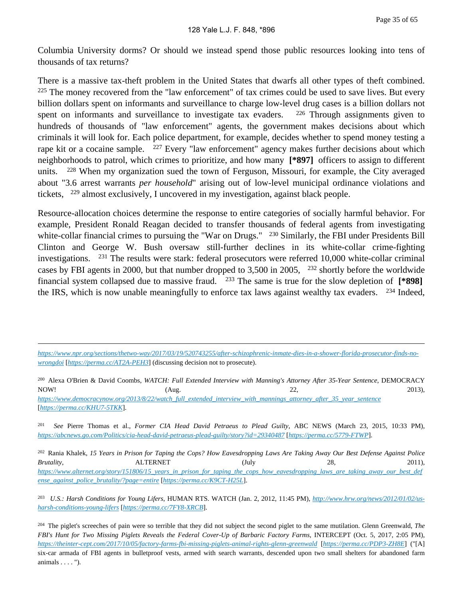Columbia University dorms? Or should we instead spend those public resources looking into tens of thousands of tax returns?

There is a massive tax-theft problem in the United States that dwarfs all other types of theft combined. <sup>225</sup> The money recovered from the "law enforcement" of tax crimes could be used to save lives. But every billion dollars spent on informants and surveillance to charge low-level drug cases is a billion dollars not spent on informants and surveillance to investigate tax evaders.  $226$  Through assignments given to hundreds of thousands of "law enforcement" agents, the government makes decisions about which criminals it will look for. Each police department, for example, decides whether to spend money testing a rape kit or a cocaine sample. <sup>227</sup> Every "law enforcement" agency makes further decisions about which neighborhoods to patrol, which crimes to prioritize, and how many **[\*897]** officers to assign to different units. <sup>228</sup> When my organization sued the town of Ferguson, Missouri, for example, the City averaged about "3.6 arrest warrants *per household*" arising out of low-level municipal ordinance violations and tickets, <sup>229</sup> almost exclusively, I uncovered in my investigation, against black people.

Resource-allocation choices determine the response to entire categories of socially harmful behavior. For example, President Ronald Reagan decided to transfer thousands of federal agents from investigating white-collar financial crimes to pursuing the "War on Drugs." <sup>230</sup> Similarly, the FBI under Presidents Bill Clinton and George W. Bush oversaw still-further declines in its white-collar crime-fighting investigations. <sup>231</sup> The results were stark: federal prosecutors were referred 10,000 white-collar criminal cases by FBI agents in 2000, but that number dropped to 3,500 in 2005, <sup>232</sup> shortly before the worldwide financial system collapsed due to massive fraud. <sup>233</sup> The same is true for the slow depletion of **[\*898]**  the IRS, which is now unable meaningfully to enforce tax laws against wealthy tax evaders. <sup>234</sup> Indeed,

<sup>200</sup>Alexa O'Brien & David Coombs, *WATCH: Full Extended Interview with Manning's Attorney After 35-Year Sentence*, DEMOCRACY NOW! (Aug. 2013), (Aug. 22, 2013), *[https://www.democracynow.org/2013/8/22/watch\\_full\\_extended\\_interview\\_with\\_mannings\\_attorney\\_after\\_35\\_year\\_sentence](https://www.democracynow.org/2013/8/22/watch_full_extended_interview_with_mannings_attorney_after_35_year_sentence)* [*<https://perma.cc/KHU7-5TKK>*].

201 *See* Pierre Thomas et al., *Former CIA Head David Petraeus to Plead Guilty*, ABC NEWS (March 23, 2015, 10:33 PM), *<https://abcnews.go.com/Politics/cia-head-david-petraeus-plead-guilty/story?id=29340487>* [*<https://perma.cc/5779-FTWP>*].

<sup>202</sup>Rania Khalek, *15 Years in Prison for Taping the Cops? How Eavesdropping Laws Are Taking Away Our Best Defense Against Police Brutality*, **ALTERNET** (July 28, 2011), **ALTERNET** *[https://www.alternet.org/story/151806/15\\_years\\_in\\_prison\\_for\\_taping\\_the\\_cops\\_how\\_eavesdropping\\_laws\\_are\\_taking\\_away\\_our\\_best\\_def](https://www.alternet.org/story/151806/15_years_in_prison_for_taping_the_cops_how_eavesdropping_laws_are_taking_away_our_best_defense_against_police_brutality/?page=entire) [ense\\_against\\_police\\_brutality/?page=entire](https://www.alternet.org/story/151806/15_years_in_prison_for_taping_the_cops_how_eavesdropping_laws_are_taking_away_our_best_defense_against_police_brutality/?page=entire)* [*<https://perma.cc/K9CT-H25L>*].

203 *U.S.: Harsh Conditions for Young Lifers*, HUMAN RTS. WATCH (Jan. 2, 2012, 11:45 PM), *[http://www.hrw.org/news/2012/01/02/us](http://www.hrw.org/news/2012/01/02/us-harsh-conditions-young-lifers)[harsh-conditions-young-lifers](http://www.hrw.org/news/2012/01/02/us-harsh-conditions-young-lifers)* [*<https://perma.cc/7FY8-XRCB>*].

*[https://www.npr.org/sections/thetwo-way/2017/03/19/520743255/after-schizophrenic-inmate-dies-in-a-shower-florida-prosecutor-finds-no](https://www.npr.org/sections/thetwo-way/2017/03/19/520743255/after-schizophrenic-inmate-dies-in-a-shower-florida-prosecutor-finds-no-wrongdoi)[wrongdoi](https://www.npr.org/sections/thetwo-way/2017/03/19/520743255/after-schizophrenic-inmate-dies-in-a-shower-florida-prosecutor-finds-no-wrongdoi)* [*<https://perma.cc/AT2A-PEH3>*] (discussing decision not to prosecute).

<sup>204</sup>The piglet's screeches of pain were so terrible that they did not subject the second piglet to the same mutilation. Glenn Greenwald, *The FBI's Hunt for Two Missing Piglets Reveals the Federal Cover-Up of Barbaric Factory Farms*, INTERCEPT (Oct. 5, 2017, 2:05 PM), *<https://theinter-cept.com/2017/10/05/factory-farms-fbi-missing-piglets-animal-rights-glenn-greenwald>* [*<https://perma.cc/PDP3-ZH8E>*] ("[A] six-car armada of FBI agents in bulletproof vests, armed with search warrants, descended upon two small shelters for abandoned farm animals . . . . ").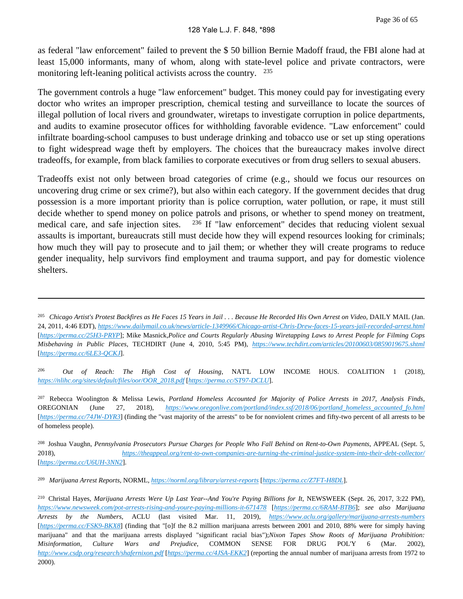as federal "law enforcement" failed to prevent the \$ 50 billion Bernie Madoff fraud, the FBI alone had at least 15,000 informants, many of whom, along with state-level police and private contractors, were monitoring left-leaning political activists across the country. <sup>235</sup>

The government controls a huge "law enforcement" budget. This money could pay for investigating every doctor who writes an improper prescription, chemical testing and surveillance to locate the sources of illegal pollution of local rivers and groundwater, wiretaps to investigate corruption in police departments, and audits to examine prosecutor offices for withholding favorable evidence. "Law enforcement" could infiltrate boarding-school campuses to bust underage drinking and tobacco use or set up sting operations to fight widespread wage theft by employers. The choices that the bureaucracy makes involve direct tradeoffs, for example, from black families to corporate executives or from drug sellers to sexual abusers.

Tradeoffs exist not only between broad categories of crime (e.g., should we focus our resources on uncovering drug crime or sex crime?), but also within each category. If the government decides that drug possession is a more important priority than is police corruption, water pollution, or rape, it must still decide whether to spend money on police patrols and prisons, or whether to spend money on treatment, medical care, and safe injection sites. <sup>236</sup> If "law enforcement" decides that reducing violent sexual assaults is important, bureaucrats still must decide how they will expend resources looking for criminals; how much they will pay to prosecute and to jail them; or whether they will create programs to reduce gender inequality, help survivors find employment and trauma support, and pay for domestic violence shelters.

206 *Out of Reach: The High Cost of Housing*, NAT'L LOW INCOME HOUS. COALITION 1 (2018), *[https://nlihc.org/sites/default/files/oor/OOR\\_2018.pdf](https://nlihc.org/sites/default/files/oor/OOR_2018.pdf)* [*<https://perma.cc/ST97-DCLU>*].

<sup>207</sup>Rebecca Woolington & Melissa Lewis, *Portland Homeless Accounted for Majority of Police Arrests in 2017, Analysis Finds*, OREGONIAN (June 27, 2018), *[https://www.oregonlive.com/portland/index.ssf/2018/06/portland\\_homeless\\_accounted\\_fo.html](https://www.oregonlive.com/portland/index.ssf/2018/06/portland_homeless_accounted_fo.html)* [*<https://perma.cc/74JW-DYR3>*] (finding the "vast majority of the arrests" to be for nonviolent crimes and fifty-two percent of all arrests to be of homeless people).

<sup>208</sup> Joshua Vaughn, Pennsylvania Prosecutors Pursue Charges for People Who Fall Behind on Rent-to-Own Payments, APPEAL (Sept. 5, 2018), *<https://theappeal.org/rent-to-own-companies-are-turning-the-criminal-justice-system-into-their-debt-collector/>* [*<https://perma.cc/U6UH-3NN2>*].

209 *Marijuana Arrest Reports*, NORML, *<https://norml.org/library/arrest-reports>* [*<https://perma.cc/Z7FT-H8DL>*].

<sup>205</sup>  *Chicago Artist's Protest Backfires as He Faces 15 Years in Jail . . . Because He Recorded His Own Arrest on Video*, DAILY MAIL (Jan. 24, 2011, 4:46 EDT), *<https://www.dailymail.co.uk/news/article-1349966/Chicago-artist-Chris-Drew-faces-15-years-jail-recorded-arrest.html>* [*<https://perma.cc/25H3-PRYP>*]; Mike Masnick,*Police and Courts Regularly Abusing Wiretapping Laws to Arrest People for Filming Cops Misbehaving in Public Places*, TECHDIRT (June 4, 2010, 5:45 PM), *<https://www.techdirt.com/articles/20100603/0859019675.shtml>* [*<https://perma.cc/6LE3-QCKJ>*].

<sup>&</sup>lt;sup>210</sup> Christal Hayes, *Marijuana Arrests Were Up Last Year--And You're Paying Billions for It*, NEWSWEEK (Sept. 26, 2017, 3:22 PM), *<https://www.newsweek.com/pot-arrests-rising-and-youre-paying-millions-it-671478>* [*<https://perma.cc/6RAM-BTB6>*]; *see also Marijuana Arrests by the Numbers*, ACLU (last visited Mar. 11, 2019), *<https://www.aclu.org/gallery/marijuana-arrests-numbers>* [*<https://perma.cc/FSK9-BKX8>*] (finding that "[o]f the 8.2 million marijuana arrests between 2001 and 2010, 88% were for simply having marijuana" and that the marijuana arrests displayed "significant racial bias");*Nixon Tapes Show Roots of Marijuana Prohibition: Misinformation, Culture Wars and Prejudice*, COMMON SENSE FOR DRUG POL'Y 6 (Mar. 2002), *<http://www.csdp.org/research/shafernixon.pdf>* [*<https://perma.cc/4JSA-EKK2>*] (reporting the annual number of marijuana arrests from 1972 to 2000).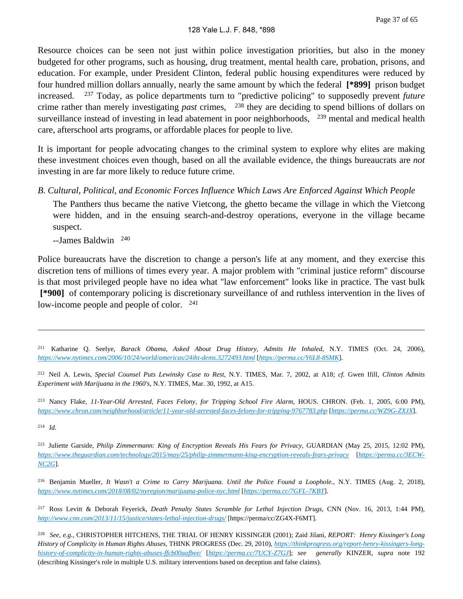Resource choices can be seen not just within police investigation priorities, but also in the money budgeted for other programs, such as housing, drug treatment, mental health care, probation, prisons, and education. For example, under President Clinton, federal public housing expenditures were reduced by four hundred million dollars annually, nearly the same amount by which the federal **[\*899]** prison budget increased. <sup>237</sup> Today, as police departments turn to "predictive policing" to supposedly prevent *future* crime rather than merely investigating *past* crimes, <sup>238</sup> they are deciding to spend billions of dollars on surveillance instead of investing in lead abatement in poor neighborhoods, <sup>239</sup> mental and medical health care, afterschool arts programs, or affordable places for people to live.

It is important for people advocating changes to the criminal system to explore why elites are making these investment choices even though, based on all the available evidence, the things bureaucrats are *not* investing in are far more likely to reduce future crime.

### *B. Cultural, Political, and Economic Forces Influence Which Laws Are Enforced Against Which People*

The Panthers thus became the native Vietcong, the ghetto became the village in which the Vietcong were hidden, and in the ensuing search-and-destroy operations, everyone in the village became suspect.

--James Baldwin <sup>240</sup>

Police bureaucrats have the discretion to change a person's life at any moment, and they exercise this discretion tens of millions of times every year. A major problem with "criminal justice reform" discourse is that most privileged people have no idea what "law enforcement" looks like in practice. The vast bulk  **[\*900]** of contemporary policing is discretionary surveillance of and ruthless intervention in the lives of low-income people and people of color. <sup>241</sup>

<sup>213</sup> Nancy Flake, *11-Year-Old Arrested, Faces Felony, for Tripping School Fire Alarm*, HOUS. CHRON. (Feb. 1, 2005, 6:00 PM), *<https://www.chron.com/neighborhood/article/11-year-old-arrested-faces-felony-for-tripping-9767783.php>* [*<https://perma.cc/WZ9G-ZXJX>*].

214 *Id.*

<sup>211</sup>Katharine Q. Seelye, *Barack Obama, Asked About Drug History, Admits He Inhaled*, N.Y. TIMES (Oct. 24, 2006), *<https://www.nytimes.com/2006/10/24/world/americas/24iht-dems.3272493.html>* [*<https://perma.cc/Y6L8-8SMK>*].

<sup>212</sup>Neil A. Lewis, *Special Counsel Puts Lewinsky Case to Rest*, N.Y. TIMES, Mar. 7, 2002, at A18; *cf.* Gwen Ifill, *Clinton Admits Experiment with Marijuana in the 1960's*, N.Y. TIMES, Mar. 30, 1992, at A15.

<sup>&</sup>lt;sup>215</sup> Juliette Garside, *Philip Zimmermann: King of Encryption Reveals His Fears for Privacy*, GUARDIAN (May 25, 2015, 12:02 PM), *<https://www.theguardian.com/technology/2015/may/25/philip-zimmermann-king-encryption-reveals-fears-privacy>* [*[https://perma.cc/3ECW-](https://perma.cc/3ECW-NC2G)[NC2G](https://perma.cc/3ECW-NC2G)*].

<sup>&</sup>lt;sup>216</sup> Benjamin Mueller, *It Wasn't a Crime to Carry Marijuana. Until the Police Found a Loophole.*, N.Y. TIMES (Aug. 2, 2018), *<https://www.nytimes.com/2018/08/02/nyregion/marijuana-police-nyc.html>* [*<https://perma.cc/7GFL-7KBT>*].

<sup>217</sup>Ross Levitt & Deborah Feyerick, *Death Penalty States Scramble for Lethal Injection Drugs*, CNN (Nov. 16, 2013, 1:44 PM), *<http://www.cnn.com/2013/11/15/justice/states-lethal-injection-drugs/>* [https://perma/cc/ZG4X-F6MT].

<sup>218</sup>  *See, e.g.*, CHRISTOPHER HITCHENS, THE TRIAL OF HENRY KISSINGER (2001); Zaid Jilani, *REPORT: Henry Kissinger's Long History of Complicity in Human Rights Abuses*, THINK PROGRESS (Dec. 29, 2010), *[https://thinkprogress.org/report-henry-kissingers-long](https://thinkprogress.org/report-henry-kissingers-long-history-of-complicity-in-human-rights-abuses-ffcb00aafbee/)[history-of-complicity-in-human-rights-abuses-ffcb00aafbee/](https://thinkprogress.org/report-henry-kissingers-long-history-of-complicity-in-human-rights-abuses-ffcb00aafbee/)* [*<https://perma.cc/7UCY-Z7GJ>*]; *see generally* KINZER, *supra* note 192 (describing Kissinger's role in multiple U.S. military interventions based on deception and false claims).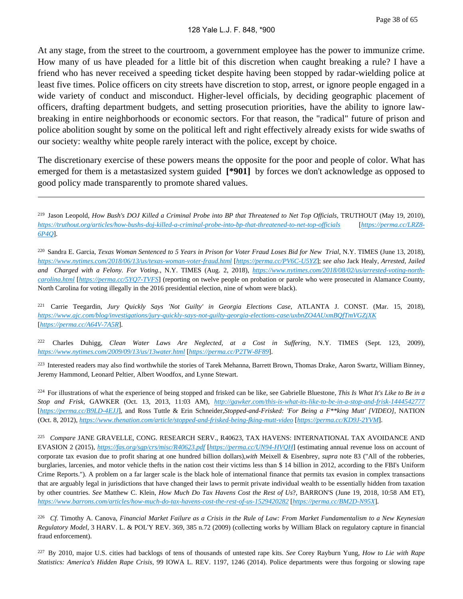At any stage, from the street to the courtroom, a government employee has the power to immunize crime. How many of us have pleaded for a little bit of this discretion when caught breaking a rule? I have a friend who has never received a speeding ticket despite having been stopped by radar-wielding police at least five times. Police officers on city streets have discretion to stop, arrest, or ignore people engaged in a wide variety of conduct and misconduct. Higher-level officials, by deciding geographic placement of officers, drafting department budgets, and setting prosecution priorities, have the ability to ignore lawbreaking in entire neighborhoods or economic sectors. For that reason, the "radical" future of prison and police abolition sought by some on the political left and right effectively already exists for wide swaths of our society: wealthy white people rarely interact with the police, except by choice.

The discretionary exercise of these powers means the opposite for the poor and people of color. What has emerged for them is a metastasized system guided **[\*901]** by forces we don't acknowledge as opposed to good policy made transparently to promote shared values.

<sup>220</sup>Sandra E. Garcia, *Texas Woman Sentenced to 5 Years in Prison for Voter Fraud Loses Bid for New Trial*, N.Y. TIMES (June 13, 2018), *<https://www.nytimes.com/2018/06/13/us/texas-woman-voter-fraud.html>* [*<https://perma.cc/PV6C-U5YZ>*]; *see also* Jack Healy, *Arrested, Jailed and Charged with a Felony. For Voting.*, N.Y. TIMES (Aug. 2, 2018), *[https://www.nytimes.com/2018/08/02/us/arrested-voting-north](https://www.nytimes.com/2018/08/02/us/arrested-voting-north-carolina.html)[carolina.html](https://www.nytimes.com/2018/08/02/us/arrested-voting-north-carolina.html)* [*<https://perma.cc/5YQ7-TVFS>*] (reporting on twelve people on probation or parole who were prosecuted in Alamance County, North Carolina for voting illegally in the 2016 presidential election, nine of whom were black).

<sup>221</sup> Carrie Teegardin, *Jury Quickly Says 'Not Guilty' in Georgia Elections Case*, ATLANTA J. CONST. (Mar. 15, 2018), *<https://www.ajc.com/blog/investigations/jury-quickly-says-not-guilty-georgia-elections-case/uxbnZO4AUxmBQfTmVGZjXK>* [*<https://perma.cc/A64V-7A5R>*].

<sup>222</sup>Charles Duhigg, *Clean Water Laws Are Neglected, at a Cost in Suffering*, N.Y. TIMES (Sept. 123, 2009), *<https://www.nytimes.com/2009/09/13/us/13water.html>* [*<https://perma.cc/P2TW-8F89>*].

<sup>223</sup> Interested readers may also find worthwhile the stories of Tarek Mehanna, Barrett Brown, Thomas Drake, Aaron Swartz, William Binney, Jeremy Hammond, Leonard Peltier, Albert Woodfox, and Lynne Stewart.

<sup>224</sup> For illustrations of what the experience of being stopped and frisked can be like, see Gabrielle Bluestone, *This Is What It's Like to Be in a Stop and Frisk*, GAWKER (Oct. 13, 2013, 11:03 AM), *<http://gawker.com/this-is-what-its-like-to-be-in-a-stop-and-frisk-1444542777>* [*<https://perma.cc/B9LD-4EJJ>*], and Ross Tuttle & Erin Schneider,*Stopped-and-Frisked: 'For Being a F\*\*king Mutt' [VIDEO]*, NATION (Oct. 8, 2012), *<https://www.thenation.com/article/stopped-and-frisked-being-fking-mutt-video>* [*<https://perma.cc/KD9J-2YVM>*].

225 *Compare* JANE GRAVELLE, CONG. RESEARCH SERV., R40623, TAX HAVENS: INTERNATIONAL TAX AVOIDANCE AND EVASION 2 (2015), *<https://fas.org/sgp/crs/misc/R40623.pdf>* [*<https://perma.cc/UN94-HVQH>*] (estimating annual revenue loss on account of corporate tax evasion due to profit sharing at one hundred billion dollars),*with* Meixell & Eisenbrey, *supra* note 83 ("All of the robberies, burglaries, larcenies, and motor vehicle thefts in the nation cost their victims less than \$ 14 billion in 2012, according to the FBI's Uniform Crime Reports."). A problem on a far larger scale is the black hole of international finance that permits tax evasion in complex transactions that are arguably legal in jurisdictions that have changed their laws to permit private individual wealth to be essentially hidden from taxation by other countries. *See* Matthew C. Klein, *How Much Do Tax Havens Cost the Rest of Us*?, BARRON'S (June 19, 2018, 10:58 AM ET), *<https://www.barrons.com/articles/how-much-do-tax-havens-cost-the-rest-of-us-1529420282>* [*<https://perma.cc/BM2D-N95X>*].

226 *Cf.* Timothy A. Canova, *Financial Market Failure as a Crisis in the Rule of Law: From Market Fundamentalism to a New Keynesian Regulatory Model*, 3 HARV. L. & POL'Y REV. 369, 385 n.72 (2009) (collecting works by William Black on regulatory capture in financial fraud enforcement).

<sup>227</sup>By 2010, major U.S. cities had backlogs of tens of thousands of untested rape kits. *See* Corey Rayburn Yung, *How to Lie with Rape Statistics: America's Hidden Rape Crisis*, 99 IOWA L. REV. 1197, 1246 (2014). Police departments were thus forgoing or slowing rape

<sup>&</sup>lt;sup>219</sup> Jason Leopold, *How Bush's DOJ Killed a Criminal Probe into BP that Threatened to Net Top Officials*, TRUTHOUT (May 19, 2010), *<https://truthout.org/articles/how-bushs-doj-killed-a-criminal-probe-into-bp-that-threatened-to-net-top-officials>* [*[https://perma.cc/LRZ8-](https://perma.cc/LRZ8-6P4Q) [6P4Q](https://perma.cc/LRZ8-6P4Q)*].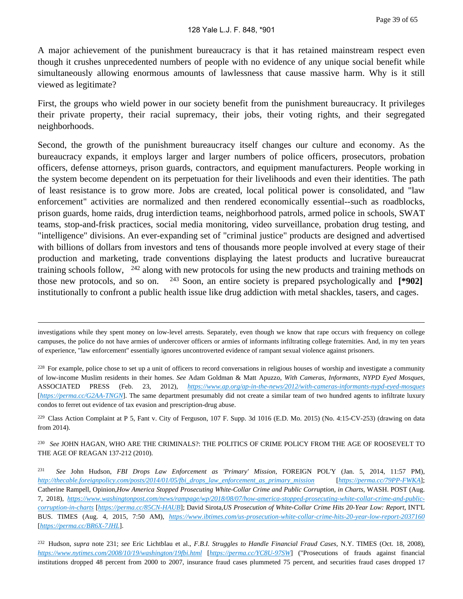A major achievement of the punishment bureaucracy is that it has retained mainstream respect even though it crushes unprecedented numbers of people with no evidence of any unique social benefit while simultaneously allowing enormous amounts of lawlessness that cause massive harm. Why is it still viewed as legitimate?

First, the groups who wield power in our society benefit from the punishment bureaucracy. It privileges their private property, their racial supremacy, their jobs, their voting rights, and their segregated neighborhoods.

Second, the growth of the punishment bureaucracy itself changes our culture and economy. As the bureaucracy expands, it employs larger and larger numbers of police officers, prosecutors, probation officers, defense attorneys, prison guards, contractors, and equipment manufacturers. People working in the system become dependent on its perpetuation for their livelihoods and even their identities. The path of least resistance is to grow more. Jobs are created, local political power is consolidated, and "law enforcement" activities are normalized and then rendered economically essential--such as roadblocks, prison guards, home raids, drug interdiction teams, neighborhood patrols, armed police in schools, SWAT teams, stop-and-frisk practices, social media monitoring, video surveillance, probation drug testing, and "intelligence" divisions. An ever-expanding set of "criminal justice" products are designed and advertised with billions of dollars from investors and tens of thousands more people involved at every stage of their production and marketing, trade conventions displaying the latest products and lucrative bureaucrat training schools follow, <sup>242</sup> along with new protocols for using the new products and training methods on those new protocols, and so on. <sup>243</sup> Soon, an entire society is prepared psychologically and **[\*902]**  institutionally to confront a public health issue like drug addiction with metal shackles, tasers, and cages.

<sup>229</sup> Class Action Complaint at P 5, Fant v. City of Ferguson, 107 F. Supp. 3d 1016 (E.D. Mo. 2015) (No. 4:15-CV-253) (drawing on data from 2014).

230 *See* JOHN HAGAN, WHO ARE THE CRIMINALS?: THE POLITICS OF CRIME POLICY FROM THE AGE OF ROOSEVELT TO THE AGE OF REAGAN 137-212 (2010).

investigations while they spent money on low-level arrests. Separately, even though we know that rape occurs with frequency on college campuses, the police do not have armies of undercover officers or armies of informants infiltrating college fraternities. And, in my ten years of experience, "law enforcement" essentially ignores uncontroverted evidence of rampant sexual violence against prisoners.

<sup>&</sup>lt;sup>228</sup> For example, police chose to set up a unit of officers to record conversations in religious houses of worship and investigate a community of low-income Muslim residents in their homes. *See* Adam Goldman & Matt Apuzzo, *With Cameras, Informants, NYPD Eyed Mosques*, ASSOCIATED PRESS (Feb. 23, 2012), *<https://www.ap.org/ap-in-the-news/2012/with-cameras-informants-nypd-eyed-mosques>* [*<https://perma.cc/G2AA-TNGN>*]. The same department presumably did not create a similar team of two hundred agents to infiltrate luxury condos to ferret out evidence of tax evasion and prescription-drug abuse.

<sup>231</sup>  *See* John Hudson, *FBI Drops Law Enforcement as 'Primary' Mission*, FOREIGN POL'Y (Jan. 5, 2014, 11:57 PM), *[http://thecable.foreignpolicy.com/posts/2014/01/05/fbi\\_drops\\_law\\_enforcement\\_as\\_primary\\_mission](http://thecable.foreignpolicy.com/posts/2014/01/05/fbi_drops_law_enforcement_as_primary_mission)* [*<https://perma.cc/79PP-FWKA>*]; Catherine Rampell, Opinion,*How America Stopped Prosecuting White-Collar Crime and Public Corruption, in Charts*, WASH. POST (Aug. 7, 2018), *[https://www.washingtonpost.com/news/rampage/wp/2018/08/07/how-america-stopped-prosecuting-white-collar-crime-and-public](https://www.washingtonpost.com/news/rampage/wp/2018/08/07/how-america-stopped-prosecuting-white-collar-crime-and-public-corruption-in-charts)[corruption-in-charts](https://www.washingtonpost.com/news/rampage/wp/2018/08/07/how-america-stopped-prosecuting-white-collar-crime-and-public-corruption-in-charts)* [*<https://perma.cc/85CN-HAUB>*]; David Sirota,*US Prosecution of White-Collar Crime Hits 20-Year Low: Report*, INT'L BUS. TIMES (Aug. 4, 2015, 7:50 AM), *<https://www.ibtimes.com/us-prosecution-white-collar-crime-hits-20-year-low-report-2037160>* [*<https://perma.cc/BR6X-7JHL>*].

<sup>232</sup>Hudson, *supra* note 231; *see* Eric Lichtblau et al., *F.B.I. Struggles to Handle Financial Fraud Cases*, N.Y. TIMES (Oct. 18, 2008), *<https://www.nytimes.com/2008/10/19/washington/19fbi.html>* [*<https://perma.cc/YC8U-97SW>*] ("Prosecutions of frauds against financial institutions dropped 48 percent from 2000 to 2007, insurance fraud cases plummeted 75 percent, and securities fraud cases dropped 17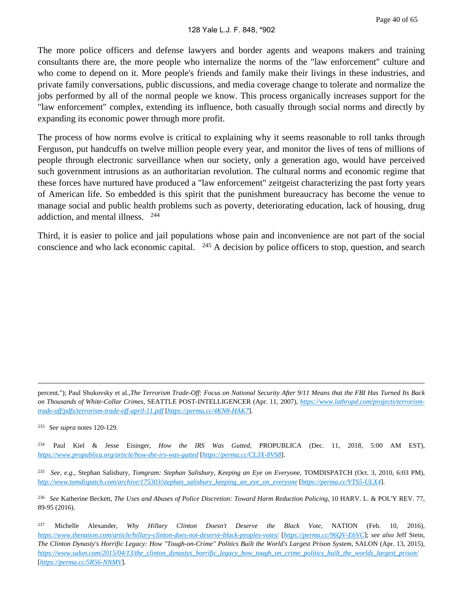The more police officers and defense lawyers and border agents and weapons makers and training consultants there are, the more people who internalize the norms of the "law enforcement" culture and who come to depend on it. More people's friends and family make their livings in these industries, and private family conversations, public discussions, and media coverage change to tolerate and normalize the jobs performed by all of the normal people we know. This process organically increases support for the "law enforcement" complex, extending its influence, both casually through social norms and directly by expanding its economic power through more profit.

The process of how norms evolve is critical to explaining why it seems reasonable to roll tanks through Ferguson, put handcuffs on twelve million people every year, and monitor the lives of tens of millions of people through electronic surveillance when our society, only a generation ago, would have perceived such government intrusions as an authoritarian revolution. The cultural norms and economic regime that these forces have nurtured have produced a "law enforcement" zeitgeist characterizing the past forty years of American life. So embedded is this spirit that the punishment bureaucracy has become the venue to manage social and public health problems such as poverty, deteriorating education, lack of housing, drug addiction, and mental illness. <sup>244</sup>

Third, it is easier to police and jail populations whose pain and inconvenience are not part of the social conscience and who lack economic capital. <sup>245</sup> A decision by police officers to stop, question, and search

percent."); Paul Shukovsky et al.,*The Terrorism Trade-Off: Focus on National Security After 9/11 Means that the FBI Has Turned Its Back on Thousands of White-Collar Crimes*, SEATTLE POST-INTELLIGENCER (Apr. 11, 2007), *[https://www.lathropd.com/projects/terrorism](https://www.lathropd.com/projects/terrorism-trade-off/pdfs/terrorism-trade-off-april-11.pdf)[trade-off/pdfs/terrorism-trade-off-april-11.pdf](https://www.lathropd.com/projects/terrorism-trade-off/pdfs/terrorism-trade-off-april-11.pdf)* [*<https://perma.cc/4KN8-HAK7>*].

233 *See supra* notes 120-129.

<sup>234</sup>Paul Kiel & Jesse Eisinger, *How the IRS Was Gutted*, PROPUBLICA (Dec. 11, 2018, 5:00 AM EST), *<https://www.propublica.org/article/how-the-irs-was-gutted>* [*<https://perma.cc/CL3X-8VS8>*].

235 *See, e.g.*, Stephan Salisbury, *Tomgram: Stephan Salisbury, Keeping an Eye on Everyone*, TOMDISPATCH (Oct. 3, 2010, 6:03 PM), *[http://www.tomdispatch.com/archive/175303/stephan\\_salisbury\\_keeping\\_an\\_eye\\_on\\_everyone](http://www.tomdispatch.com/archive/175303/stephan_salisbury_keeping_an_eye_on_everyone)* [*<https://perma.cc/VTS5-ULX4>*].

236 *See* Katherine Beckett, *The Uses and Abuses of Police Discretion: Toward Harm Reduction Policing*, 10 HARV. L. & POL'Y REV. 77, 89-95 (2016).

<sup>237</sup>Michelle Alexander, *Why Hillary Clinton Doesn't Deserve the Black Vote*, NATION (Feb. 10, 2016), *<https://www.thenation.com/article/hillary-clinton-does-not-deserve-black-peoples-votes/>* [*<https://perma.cc/96QV-E6VC>*]; *see also* Jeff Stein, *The Clinton Dynasty's Horrific Legacy: How "Tough-on-Crime" Politics Built the World's Largest Prison System*, SALON (Apr. 13, 2015), *[https://www.salon.com/2015/04/13/the\\_clinton\\_dynastys\\_horrific\\_legacy\\_how\\_tough\\_on\\_crime\\_politics\\_built\\_the\\_worlds\\_largest\\_prison/](https://www.salon.com/2015/04/13/the_clinton_dynastys_horrific_legacy_how_tough_on_crime_politics_built_the_worlds_largest_prison/)* [*<https://perma.cc/5R56-NNMV>*].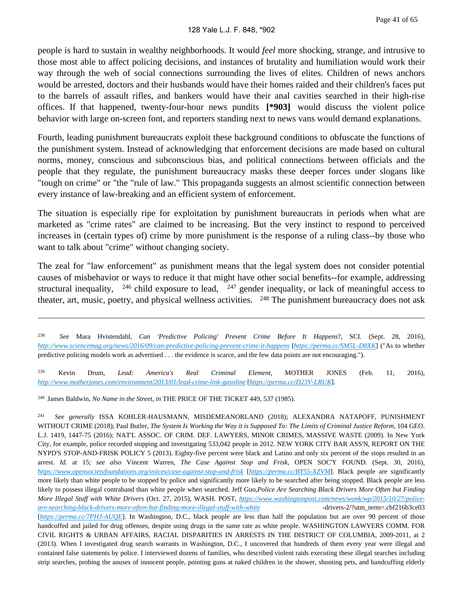people is hard to sustain in wealthy neighborhoods. It would *feel* more shocking, strange, and intrusive to those most able to affect policing decisions, and instances of brutality and humiliation would work their way through the web of social connections surrounding the lives of elites. Children of news anchors would be arrested, doctors and their husbands would have their homes raided and their children's faces put to the barrels of assault rifles, and bankers would have their anal cavities searched in their high-rise offices. If that happened, twenty-four-hour news pundits **[\*903]** would discuss the violent police behavior with large on-screen font, and reporters standing next to news vans would demand explanations.

Fourth, leading punishment bureaucrats exploit these background conditions to obfuscate the functions of the punishment system. Instead of acknowledging that enforcement decisions are made based on cultural norms, money, conscious and subconscious bias, and political connections between officials and the people that they regulate, the punishment bureaucracy masks these deeper forces under slogans like "tough on crime" or "the "rule of law." This propaganda suggests an almost scientific connection between every instance of law-breaking and an efficient system of enforcement.

The situation is especially ripe for exploitation by punishment bureaucrats in periods when what are marketed as "crime rates" are claimed to be increasing. But the very instinct to respond to perceived increases in (certain types of) crime by more punishment is the response of a ruling class--by those who want to talk about "crime" without changing society.

The zeal for "law enforcement" as punishment means that the legal system does not consider potential causes of misbehavior or ways to reduce it that might have other social benefits--for example, addressing structural inequality,  $246$  child exposure to lead,  $247$  gender inequality, or lack of meaningful access to theater, art, music, poetry, and physical wellness activities. <sup>248</sup> The punishment bureaucracy does not ask

<sup>239</sup>Kevin Drum, *Lead: America's Real Criminal Element*, MOTHER JONES (Feb. 11, 2016), *<http://www.motherjones.com/environment/2013/01/lead-crime-link-gasoline>* [*<https://perma.cc/D23V-LRUK>*].

<sup>240</sup> James Baldwin, *No Name in the Street, in* THE PRICE OF THE TICKET 449, 537 (1985).

<sup>238</sup>  *See* Mara Hvistendahl, *Can 'Predictive Policing' Prevent Crime Before It Happens*?, SCI. (Sept. 28, 2016), *<http://www.sciencemag.org/news/2016/09/can-predictive-policing-prevent-crime-it-happens>* [*<https://perma.cc/SM5L-D8XK>*] ("As to whether predictive policing models work as advertised . . . the evidence is scarce, and the few data points are not encouraging.").

<sup>241</sup>  *See generally* ISSA KOHLER-HAUSMANN, MISDEMEANORLAND (2018); ALEXANDRA NATAPOFF, PUNISHMENT WITHOUT CRIME (2018); Paul Butler, *The System Is Working the Way it is Supposed To: The Limits of Criminal Justice Reform*, 104 GEO. L.J. 1419, 1447-75 (2016); NAT'L ASSOC. OF CRIM. DEF. LAWYERS, MINOR CRIMES, MASSIVE WASTE (2009). In New York City, for example, police recorded stopping and investigating 533,042 people in 2012. NEW YORK CITY BAR ASS'N, REPORT ON THE NYPD'S STOP-AND-FRISK POLICY 5 (2013). Eighty-five percent were black and Latino and only six percent of the stops resulted in an arrest. *Id.* at 15; *see also* Vincent Warren, *The Case Against Stop and Frisk*, OPEN SOC'Y FOUND. (Sept. 30, 2016), *<https://www.opensocietyfoundations.org/voices/case-against-stop-and-frisk>* [*<https://perma.cc/BY55-XZVM>*]. Black people are significantly more likely than white people to be stopped by police and significantly more likely to be searched after being stopped. Black people are less likely to possess illegal contraband than white people when searched. Jeff Guo,*Police Are Searching Black Drivers More Often but Finding More Illegal Stuff with White Drivers* (Oct. 27, 2015), WASH. POST, *[https://www.washingtonpost.com/news/wonk/wp/2015/10/27/police](https://www.washingtonpost.com/news/wonk/wp/2015/10/27/police-are-searching-black-drivers-more-often-but-finding-more-illegal-stuff-with-white)[are-searching-black-drivers-more-often-but-finding-more-illegal-stuff-with-white](https://www.washingtonpost.com/news/wonk/wp/2015/10/27/police-are-searching-black-drivers-more-often-but-finding-more-illegal-stuff-with-white)* -drivers-2/?utm\_term=.cbf216b3ce03 [*<https://perma.cc/7PHJ-AUQE>*]. In Washington, D.C., black people are less than half the population but are over 90 percent of those handcuffed and jailed for drug offenses, despite using drugs in the same rate as white people. WASHINGTON LAWYERS COMM. FOR CIVIL RIGHTS & URBAN AFFAIRS, RACIAL DISPARITIES IN ARRESTS IN THE DISTRICT OF COLUMBIA, 2009-2011, at 2 (2013). When I investigated drug search warrants in Washington, D.C., I uncovered that hundreds of them every year were illegal and contained false statements by police. I interviewed dozens of families, who described violent raids executing these illegal searches including strip searches, probing the anuses of innocent people, pointing guns at naked children in the shower, shooting pets, and handcuffing elderly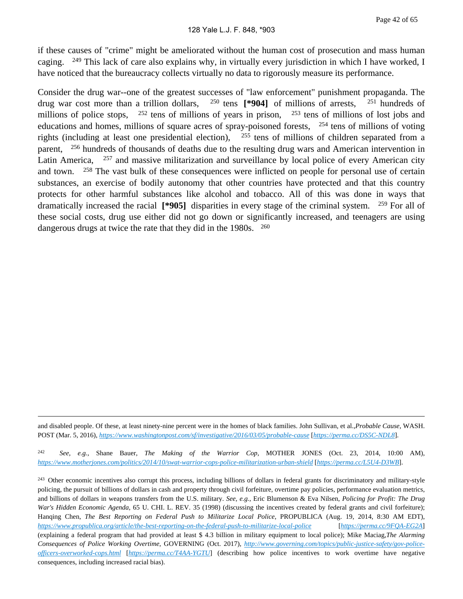if these causes of "crime" might be ameliorated without the human cost of prosecution and mass human caging. <sup>249</sup> This lack of care also explains why, in virtually every jurisdiction in which I have worked, I have noticed that the bureaucracy collects virtually no data to rigorously measure its performance.

Consider the drug war--one of the greatest successes of "law enforcement" punishment propaganda. The drug war cost more than a trillion dollars, <sup>250</sup> tens **[\*904]** of millions of arrests, <sup>251</sup> hundreds of millions of police stops, <sup>252</sup> tens of millions of years in prison, <sup>253</sup> tens of millions of lost jobs and educations and homes, millions of square acres of spray-poisoned forests, <sup>254</sup> tens of millions of voting rights (including at least one presidential election), <sup>255</sup> tens of millions of children separated from a parent, <sup>256</sup> hundreds of thousands of deaths due to the resulting drug wars and American intervention in Latin America, <sup>257</sup> and massive militarization and surveillance by local police of every American city and town. <sup>258</sup> The vast bulk of these consequences were inflicted on people for personal use of certain substances, an exercise of bodily autonomy that other countries have protected and that this country protects for other harmful substances like alcohol and tobacco. All of this was done in ways that dramatically increased the racial **[\*905]** disparities in every stage of the criminal system. <sup>259</sup> For all of these social costs, drug use either did not go down or significantly increased, and teenagers are using dangerous drugs at twice the rate that they did in the 1980s. <sup>260</sup>

and disabled people. Of these, at least ninety-nine percent were in the homes of black families. John Sullivan, et al.,*Probable Cause*, WASH. POST (Mar. 5, 2016), <https://www.washingtonpost.com/sf/investigative/2016/03/05/probable-cause> [<https://perma.cc/DS5C-NDL8>].

242 *See, e.g.*, Shane Bauer, *The Making of the Warrior Cop*, MOTHER JONES (Oct. 23, 2014, 10:00 AM), *<https://www.motherjones.com/politics/2014/10/swat-warrior-cops-police-militarization-urban-shield>* [*<https://perma.cc/L5U4-D3WB>*].

<sup>243</sup> Other economic incentives also corrupt this process, including billions of dollars in federal grants for discriminatory and military-style policing, the pursuit of billions of dollars in cash and property through civil forfeiture, overtime pay policies, performance evaluation metrics, and billions of dollars in weapons transfers from the U.S. military. *See, e.g.*, Eric Blumenson & Eva Nilsen, *Policing for Profit: The Drug War's Hidden Economic Agenda*, 65 U. CHI. L. REV. 35 (1998) (discussing the incentives created by federal grants and civil forfeiture); Hanqing Chen, *The Best Reporting on Federal Push to Militarize Local Police*, PROPUBLICA (Aug. 19, 2014, 8:30 AM EDT), *<https://www.propublica.org/article/the-best-reporting-on-the-federal-push-to-militarize-local-police>* [*<https://perma.cc/9FQA-EG2A>*] (explaining a federal program that had provided at least \$ 4.3 billion in military equipment to local police); Mike Maciag,*The Alarming Consequences of Police Working Overtime*, GOVERNING (Oct. 2017), *[http://www.governing.com/topics/public-justice-safety/gov-police](http://www.governing.com/topics/public-justice-safety/gov-police-officers-overworked-cops.html)[officers-overworked-cops.html](http://www.governing.com/topics/public-justice-safety/gov-police-officers-overworked-cops.html)* [*<https://perma.cc/T4AA-YGTU>*] (describing how police incentives to work overtime have negative consequences, including increased racial bias).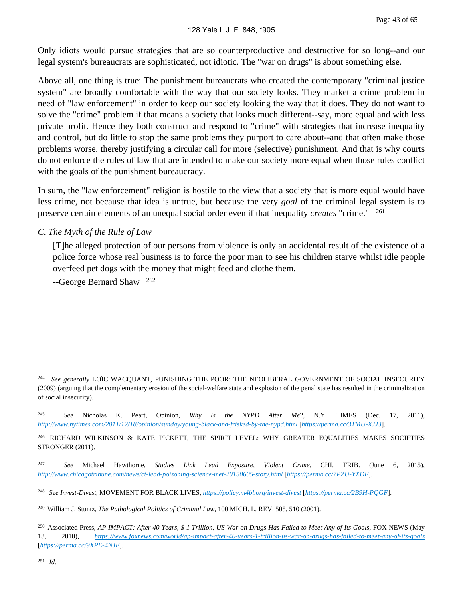Only idiots would pursue strategies that are so counterproductive and destructive for so long--and our legal system's bureaucrats are sophisticated, not idiotic. The "war on drugs" is about something else.

Above all, one thing is true: The punishment bureaucrats who created the contemporary "criminal justice system" are broadly comfortable with the way that our society looks. They market a crime problem in need of "law enforcement" in order to keep our society looking the way that it does. They do not want to solve the "crime" problem if that means a society that looks much different--say, more equal and with less private profit. Hence they both construct and respond to "crime" with strategies that increase inequality and control, but do little to stop the same problems they purport to care about--and that often make those problems worse, thereby justifying a circular call for more (selective) punishment. And that is why courts do not enforce the rules of law that are intended to make our society more equal when those rules conflict with the goals of the punishment bureaucracy.

In sum, the "law enforcement" religion is hostile to the view that a society that is more equal would have less crime, not because that idea is untrue, but because the very *goal* of the criminal legal system is to preserve certain elements of an unequal social order even if that inequality *creates* "crime." <sup>261</sup>

#### *C. The Myth of the Rule of Law*

[T]he alleged protection of our persons from violence is only an accidental result of the existence of a police force whose real business is to force the poor man to see his children starve whilst idle people overfeed pet dogs with the money that might feed and clothe them.

--George Bernard Shaw <sup>262</sup>

245 *See* Nicholas K. Peart, Opinion, *Why Is the NYPD After Me*?, N.Y. TIMES (Dec. 17, 2011), *<http://www.nytimes.com/2011/12/18/opinion/sunday/young-black-and-frisked-by-the-nypd.html>* [*<https://perma.cc/3TMU-XJJ3>*].

<sup>246</sup> RICHARD WILKINSON & KATE PICKETT, THE SPIRIT LEVEL: WHY GREATER EQUALITIES MAKES SOCIETIES STRONGER (2011).

247 *See* Michael Hawthorne, *Studies Link Lead Exposure, Violent Crime*, CHI. TRIB. (June 6, 2015), *<http://www.chicagotribune.com/news/ct-lead-poisoning-science-met-20150605-story.html>* [*<https://perma.cc/7PZU-YXDF>*].

248 *See Invest-Divest*, MOVEMENT FOR BLACK LIVES, *<https://policy.m4bl.org/invest-divest>* [*<https://perma.cc/2B9H-PQGF>*].

<sup>249</sup>William J. Stuntz, *The Pathological Politics of Criminal Law*, 100 MICH. L. REV. 505, 510 (2001).

<sup>244</sup>  *See generally* LOÏC WACQUANT, PUNISHING THE POOR: THE NEOLIBERAL GOVERNMENT OF SOCIAL INSECURITY (2009) (arguing that the complementary erosion of the social-welfare state and explosion of the penal state has resulted in the criminalization of social insecurity).

<sup>250</sup>Associated Press, *AP IMPACT: After 40 Years, \$ 1 Trillion, US War on Drugs Has Failed to Meet Any of Its Goals*, FOX NEWS (May 13, 2010), *<https://www.foxnews.com/world/ap-impact-after-40-years-1-trillion-us-war-on-drugs-has-failed-to-meet-any-of-its-goals>* [*<https://perma.cc/9XPE-4NJE>*].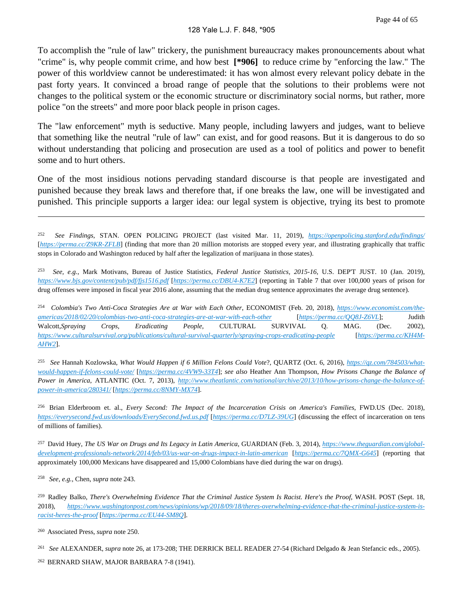To accomplish the "rule of law" trickery, the punishment bureaucracy makes pronouncements about what "crime" is, why people commit crime, and how best **[\*906]** to reduce crime by "enforcing the law." The power of this worldview cannot be underestimated: it has won almost every relevant policy debate in the past forty years. It convinced a broad range of people that the solutions to their problems were not changes to the political system or the economic structure or discriminatory social norms, but rather, more police "on the streets" and more poor black people in prison cages.

The "law enforcement" myth is seductive. Many people, including lawyers and judges, want to believe that something like the neutral "rule of law" can exist, and for good reasons. But it is dangerous to do so without understanding that policing and prosecution are used as a tool of politics and power to benefit some and to hurt others.

One of the most insidious notions pervading standard discourse is that people are investigated and punished because they break laws and therefore that, if one breaks the law, one will be investigated and punished. This principle supports a larger idea: our legal system is objective, trying its best to promote

252 *See Findings*, STAN. OPEN POLICING PROJECT (last visited Mar. 11, 2019), *<https://openpolicing.stanford.edu/findings/>* [*<https://perma.cc/Z9KR-ZFLB>*] (finding that more than 20 million motorists are stopped every year, and illustrating graphically that traffic stops in Colorado and Washington reduced by half after the legalization of marijuana in those states).

253 *See, e.g.*, Mark Motivans, Bureau of Justice Statistics, *Federal Justice Statistics, 2015-16*, U.S. DEP'T JUST. 10 (Jan. 2019), *<https://www.bjs.gov/content/pub/pdf/fjs1516.pdf>* [*<https://perma.cc/DBU4-K7E2>*] (reporting in Table 7 that over 100,000 years of prison for drug offenses were imposed in fiscal year 2016 alone, assuming that the median drug sentence approximates the average drug sentence).

254 *Colombia's Two Anti-Coca Strategies Are at War with Each Other*, ECONOMIST (Feb. 20, 2018), *[https://www.economist.com/the](https://www.economist.com/the-americas/2018/02/20/colombias-two-anti-coca-strategies-are-at-war-with-each-other)[americas/2018/02/20/colombias-two-anti-coca-strategies-are-at-war-with-each-other](https://www.economist.com/the-americas/2018/02/20/colombias-two-anti-coca-strategies-are-at-war-with-each-other)* [*<https://perma.cc/QQ8J-Z6VL>*]; Judith Walcott,*Spraying Crops, Eradicating People*, CULTURAL SURVIVAL Q. MAG. (Dec. 2002), *<https://www.culturalsurvival.org/publications/cultural-survival-quarterly/spraying-crops-eradicating-people>* [*[https://perma.cc/KH4M-](https://perma.cc/KH4M-AHW2)[AHW2](https://perma.cc/KH4M-AHW2)*].

255 *See* Hannah Kozlowska, *What Would Happen if 6 Million Felons Could Vote*?, QUARTZ (Oct. 6, 2016), *[https://qz.com/784503/what](https://qz.com/784503/what-would-happen-if-felons-could-vote/)[would-happen-if-felons-could-vote/](https://qz.com/784503/what-would-happen-if-felons-could-vote/)* [*<https://perma.cc/4VW9-33T4>*]; *see also* Heather Ann Thompson, *How Prisons Change the Balance of Power in America*, ATLANTIC (Oct. 7, 2013), *[http://www.theatlantic.com/national/archive/2013/10/how-prisons-change-the-balance-of](http://www.theatlantic.com/national/archive/2013/10/how-prisons-change-the-balance-of-power-in-america/280341/)[power-in-america/280341/](http://www.theatlantic.com/national/archive/2013/10/how-prisons-change-the-balance-of-power-in-america/280341/)* [*<https://perma.cc/8NMY-MX74>*].

<sup>256</sup>Brian Elderbroom et. al., *Every Second: The Impact of the Incarceration Crisis on America's Families*, FWD.US (Dec. 2018), *<https://everysecond.fwd.us/downloads/EverySecond.fwd.us.pdf>* [*<https://perma.cc/D7LZ-39UG>*] (discussing the effect of incarceration on tens of millions of families).

257 David Huey, *The US War on Drugs and Its Legacy in Latin America*, GUARDIAN (Feb. 3, 2014), *[https://www.theguardian.com/global](https://www.theguardian.com/global-development-professionals-network/2014/feb/03/us-war-on-drugs-impact-in-latin-american)[development-professionals-network/2014/feb/03/us-war-on-drugs-impact-in-latin-american](https://www.theguardian.com/global-development-professionals-network/2014/feb/03/us-war-on-drugs-impact-in-latin-american)* [*<https://perma.cc/7QMX-G645>*] (reporting that approximately 100,000 Mexicans have disappeared and 15,000 Colombians have died during the war on drugs).

258 *See, e.g.*, Chen, *supra* note 243.

<sup>259</sup>Radley Balko, *There's Overwhelming Evidence That the Criminal Justice System Is Racist. Here's the Proof*, WASH. POST (Sept. 18, 2018), *[https://www.washingtonpost.com/news/opinions/wp/2018/09/18/theres-overwhelming-evidence-that-the-criminal-justice-system-is](https://www.washingtonpost.com/news/opinions/wp/2018/09/18/theres-overwhelming-evidence-that-the-criminal-justice-system-is-racist-heres-the-proof)[racist-heres-the-proof](https://www.washingtonpost.com/news/opinions/wp/2018/09/18/theres-overwhelming-evidence-that-the-criminal-justice-system-is-racist-heres-the-proof)* [*<https://perma.cc/EU44-SM8Q>*].

261 *See* ALEXANDER, *supra* note 26, at 173-208; THE DERRICK BELL READER 27-54 (Richard Delgado & Jean Stefancic eds., 2005).

<sup>262</sup> BERNARD SHAW, MAJOR BARBARA 7-8 (1941).

<sup>260</sup>Associated Press, *supra* note 250.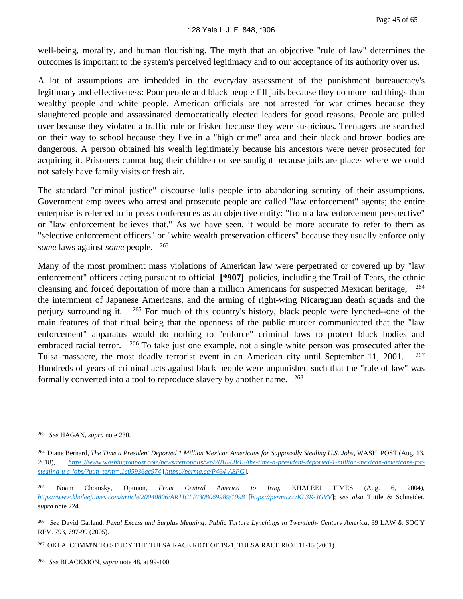well-being, morality, and human flourishing. The myth that an objective "rule of law" determines the outcomes is important to the system's perceived legitimacy and to our acceptance of its authority over us.

A lot of assumptions are imbedded in the everyday assessment of the punishment bureaucracy's legitimacy and effectiveness: Poor people and black people fill jails because they do more bad things than wealthy people and white people. American officials are not arrested for war crimes because they slaughtered people and assassinated democratically elected leaders for good reasons. People are pulled over because they violated a traffic rule or frisked because they were suspicious. Teenagers are searched on their way to school because they live in a "high crime" area and their black and brown bodies are dangerous. A person obtained his wealth legitimately because his ancestors were never prosecuted for acquiring it. Prisoners cannot hug their children or see sunlight because jails are places where we could not safely have family visits or fresh air.

The standard "criminal justice" discourse lulls people into abandoning scrutiny of their assumptions. Government employees who arrest and prosecute people are called "law enforcement" agents; the entire enterprise is referred to in press conferences as an objective entity: "from a law enforcement perspective" or "law enforcement believes that." As we have seen, it would be more accurate to refer to them as "selective enforcement officers" or "white wealth preservation officers" because they usually enforce only *some* laws against *some* people. <sup>263</sup>

Many of the most prominent mass violations of American law were perpetrated or covered up by "law enforcement" officers acting pursuant to official **[\*907]** policies, including the Trail of Tears, the ethnic cleansing and forced deportation of more than a million Americans for suspected Mexican heritage, the internment of Japanese Americans, and the arming of right-wing Nicaraguan death squads and the perjury surrounding it. <sup>265</sup> For much of this country's history, black people were lynched--one of the main features of that ritual being that the openness of the public murder communicated that the "law enforcement" apparatus would do nothing to "enforce" criminal laws to protect black bodies and embraced racial terror. <sup>266</sup> To take just one example, not a single white person was prosecuted after the Tulsa massacre, the most deadly terrorist event in an American city until September 11, 2001. <sup>267</sup> Hundreds of years of criminal acts against black people were unpunished such that the "rule of law" was formally converted into a tool to reproduce slavery by another name. <sup>268</sup>

<sup>263</sup>  *See* HAGAN, *supra* note 230.

<sup>264</sup>Diane Bernard, *The Time a President Deported 1 Million Mexican Americans for Supposedly Stealing U.S. Jobs*, WASH. POST (Aug. 13, 2018), *[https://www.washingtonpost.com/news/retropolis/wp/2018/08/13/the-time-a-president-deported-1-million-mexican-americans-for](https://www.washingtonpost.com/news/retropolis/wp/2018/08/13/the-time-a-president-deported-1-million-mexican-americans-for-stealing-u-s-jobs/?utm_term=.1c05936ac974)[stealing-u-s-jobs/?utm\\_term=.1c05936ac974](https://www.washingtonpost.com/news/retropolis/wp/2018/08/13/the-time-a-president-deported-1-million-mexican-americans-for-stealing-u-s-jobs/?utm_term=.1c05936ac974)* [*<https://perma.cc/P464-ASPG>*].

<sup>265</sup>Noam Chomsky, Opinion, *From Central America to Iraq*, KHALEEJ TIMES (Aug. 6, 2004), *<https://www.khaleejtimes.com/article/20040806/ARTICLE/308069989/1098>* [*<https://perma.cc/KL3K-JGVV>*]; *see also* Tuttle & Schneider, *supra* note 224.

<sup>266</sup>  *See* David Garland, *Penal Excess and Surplus Meaning: Public Torture Lynchings in Twentieth- Century America*, 39 LAW & SOC'Y REV. 793, 797-99 (2005).

 $^{267}$  OKLA. COMM'N TO STUDY THE TULSA RACE RIOT OF 1921, TULSA RACE RIOT 11-15 (2001).

<sup>268</sup>  *See* BLACKMON, *supra* note 48, at 99-100.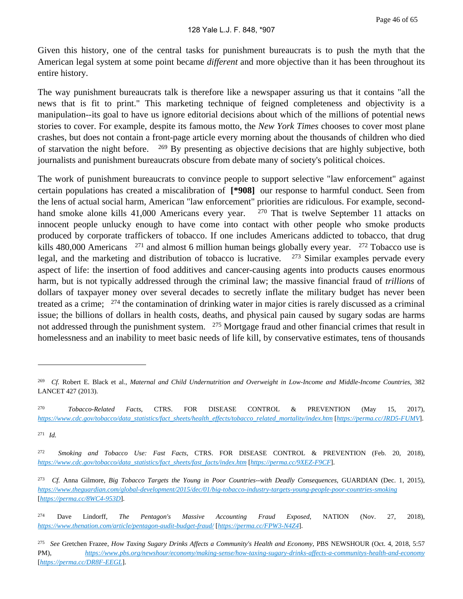Given this history, one of the central tasks for punishment bureaucrats is to push the myth that the American legal system at some point became *different* and more objective than it has been throughout its entire history.

The way punishment bureaucrats talk is therefore like a newspaper assuring us that it contains "all the news that is fit to print." This marketing technique of feigned completeness and objectivity is a manipulation--its goal to have us ignore editorial decisions about which of the millions of potential news stories to cover. For example, despite its famous motto, the *New York Times* chooses to cover most plane crashes, but does not contain a front-page article every morning about the thousands of children who died of starvation the night before. <sup>269</sup> By presenting as objective decisions that are highly subjective, both journalists and punishment bureaucrats obscure from debate many of society's political choices.

The work of punishment bureaucrats to convince people to support selective "law enforcement" against certain populations has created a miscalibration of **[\*908]** our response to harmful conduct. Seen from the lens of actual social harm, American "law enforcement" priorities are ridiculous. For example, secondhand smoke alone kills 41,000 Americans every year. <sup>270</sup> That is twelve September 11 attacks on innocent people unlucky enough to have come into contact with other people who smoke products produced by corporate traffickers of tobacco. If one includes Americans addicted to tobacco, that drug kills 480,000 Americans  $271$  and almost 6 million human beings globally every year.  $272$  Tobacco use is legal, and the marketing and distribution of tobacco is lucrative. <sup>273</sup> Similar examples pervade every aspect of life: the insertion of food additives and cancer-causing agents into products causes enormous harm, but is not typically addressed through the criminal law; the massive financial fraud of *trillions* of dollars of taxpayer money over several decades to secretly inflate the military budget has never been treated as a crime; <sup>274</sup> the contamination of drinking water in major cities is rarely discussed as a criminal issue; the billions of dollars in health costs, deaths, and physical pain caused by sugary sodas are harms not addressed through the punishment system. <sup>275</sup> Mortgage fraud and other financial crimes that result in homelessness and an inability to meet basic needs of life kill, by conservative estimates, tens of thousands

<sup>269</sup>  *Cf.* Robert E. Black et al., *Maternal and Child Undernutrition and Overweight in Low-Income and Middle-Income Countries*, 382 LANCET 427 (2013).

<sup>270</sup>  *Tobacco-Related Facts*, CTRS. FOR DISEASE CONTROL & PREVENTION (May 15, 2017), *[https://www.cdc.gov/tobacco/data\\_statistics/fact\\_sheets/health\\_effects/tobacco\\_related\\_mortality/index.htm](https://www.cdc.gov/tobacco/data_statistics/fact_sheets/health_effects/tobacco_related_mortality/index.htm)* [*<https://perma.cc/JRD5-FUMV>*].

<sup>271</sup>  *Id.*

<sup>272</sup>  *Smoking and Tobacco Use: Fast Facts*, CTRS. FOR DISEASE CONTROL & PREVENTION (Feb. 20, 2018), *[https://www.cdc.gov/tobacco/data\\_statistics/fact\\_sheets/fast\\_facts/index.htm](https://www.cdc.gov/tobacco/data_statistics/fact_sheets/fast_facts/index.htm)* [*<https://perma.cc/9XEZ-F9CF>*].

<sup>273</sup>  *Cf.* Anna Gilmore, *Big Tobacco Targets the Young in Poor Countries--with Deadly Consequences*, GUARDIAN (Dec. 1, 2015), *<https://www.theguardian.com/global-development/2015/dec/01/big-tobacco-industry-targets-young-people-poor-countries-smoking>* [*<https://perma.cc/8WC4-953D>*].

<sup>274</sup>Dave Lindorff, *The Pentagon's Massive Accounting Fraud Exposed*, NATION (Nov. 27, 2018), *<https://www.thenation.com/article/pentagon-audit-budget-fraud/>* [*<https://perma.cc/FPW3-N4Z4>*].

<sup>275</sup>  *See* Gretchen Frazee, *How Taxing Sugary Drinks Affects a Community's Health and Economy*, PBS NEWSHOUR (Oct. 4, 2018, 5:57 PM), *<https://www.pbs.org/newshour/economy/making-sense/how-taxing-sugary-drinks-affects-a-communitys-health-and-economy>* [*<https://perma.cc/DR8F-EEGL>*].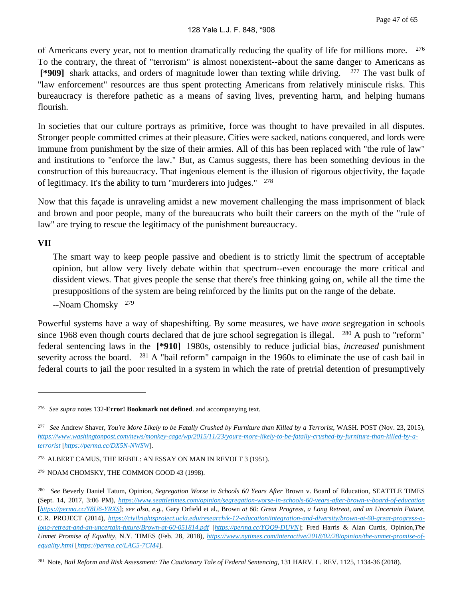of Americans every year, not to mention dramatically reducing the quality of life for millions more. <sup>276</sup> To the contrary, the threat of "terrorism" is almost nonexistent--about the same danger to Americans as  **[\*909]** shark attacks, and orders of magnitude lower than texting while driving. <sup>277</sup> The vast bulk of "law enforcement" resources are thus spent protecting Americans from relatively miniscule risks. This bureaucracy is therefore pathetic as a means of saving lives, preventing harm, and helping humans flourish.

In societies that our culture portrays as primitive, force was thought to have prevailed in all disputes. Stronger people committed crimes at their pleasure. Cities were sacked, nations conquered, and lords were immune from punishment by the size of their armies. All of this has been replaced with "the rule of law" and institutions to "enforce the law." But, as Camus suggests, there has been something devious in the construction of this bureaucracy. That ingenious element is the illusion of rigorous objectivity, the façade of legitimacy. It's the ability to turn "murderers into judges." <sup>278</sup>

Now that this façade is unraveling amidst a new movement challenging the mass imprisonment of black and brown and poor people, many of the bureaucrats who built their careers on the myth of the "rule of law" are trying to rescue the legitimacy of the punishment bureaucracy.

**VII**

The smart way to keep people passive and obedient is to strictly limit the spectrum of acceptable opinion, but allow very lively debate within that spectrum--even encourage the more critical and dissident views. That gives people the sense that there's free thinking going on, while all the time the presuppositions of the system are being reinforced by the limits put on the range of the debate. --Noam Chomsky <sup>279</sup>

Powerful systems have a way of shapeshifting. By some measures, we have *more* segregation in schools since 1968 even though courts declared that de jure school segregation is illegal. <sup>280</sup> A push to "reform" federal sentencing laws in the **[\*910]** 1980s, ostensibly to reduce judicial bias, *increased* punishment severity across the board. <sup>281</sup> A "bail reform" campaign in the 1960s to eliminate the use of cash bail in federal courts to jail the poor resulted in a system in which the rate of pretrial detention of presumptively

<sup>276</sup>  *See supra* notes 132-**Error! Bookmark not defined**. and accompanying text.

<sup>277</sup>  *See* Andrew Shaver, *You're More Likely to be Fatally Crushed by Furniture than Killed by a Terrorist*, WASH. POST (Nov. 23, 2015), *[https://www.washingtonpost.com/news/monkey-cage/wp/2015/11/23/youre-more-likely-to-be-fatally-crushed-by-furniture-than-killed-by-a](https://www.washingtonpost.com/news/monkey-cage/wp/2015/11/23/youre-more-likely-to-be-fatally-crushed-by-furniture-than-killed-by-a-terrorist)[terrorist](https://www.washingtonpost.com/news/monkey-cage/wp/2015/11/23/youre-more-likely-to-be-fatally-crushed-by-furniture-than-killed-by-a-terrorist)* [*<https://perma.cc/DX5N-NWSW>*].

<sup>&</sup>lt;sup>278</sup> ALBERT CAMUS, THE REBEL: AN ESSAY ON MAN IN REVOLT 3 (1951).

<sup>&</sup>lt;sup>279</sup> NOAM CHOMSKY, THE COMMON GOOD 43 (1998).

<sup>280</sup>  *See* Beverly Daniel Tatum, Opinion, *Segregation Worse in Schools 60 Years After* Brown v. Board of Education, SEATTLE TIMES (Sept. 14, 2017, 3:06 PM), *<https://www.seattletimes.com/opinion/segregation-worse-in-schools-60-years-after-brown-v-board-of-education>* [*<https://perma.cc/Y8U6-YRXS>*]; *see also, e.g.*, Gary Orfield et al., Brown *at 60: Great Progress, a Long Retreat, and an Uncertain Future*, C.R. PROJECT (2014), *[https://civilrightsproject.ucla.edu/research/k-12-education/integration-and-diversity/brown-at-60-great-progress-a](https://civilrightsproject.ucla.edu/research/k-12-education/integration-and-diversity/brown-at-60-great-progress-a-long-retreat-and-an-uncertain-future/Brown-at-60-051814.pdf)[long-retreat-and-an-uncertain-future/Brown-at-60-051814.pdf](https://civilrightsproject.ucla.edu/research/k-12-education/integration-and-diversity/brown-at-60-great-progress-a-long-retreat-and-an-uncertain-future/Brown-at-60-051814.pdf)* [*<https://perma.cc/YQQ9-DUVN>*]; Fred Harris & Alan Curtis, Opinion,*The Unmet Promise of Equality*, N.Y. TIMES (Feb. 28, 2018), *[https://www.nytimes.com/interactive/2018/02/28/opinion/the-unmet-promise-of](https://www.nytimes.com/interactive/2018/02/28/opinion/the-unmet-promise-of-equality.html)[equality.html](https://www.nytimes.com/interactive/2018/02/28/opinion/the-unmet-promise-of-equality.html)* [*<https://perma.cc/LAC5-7CM4>*].

<sup>&</sup>lt;sup>281</sup> Note, *Bail Reform and Risk Assessment: The Cautionary Tale of Federal Sentencing*, 131 HARV. L. REV. 1125, 1134-36 (2018).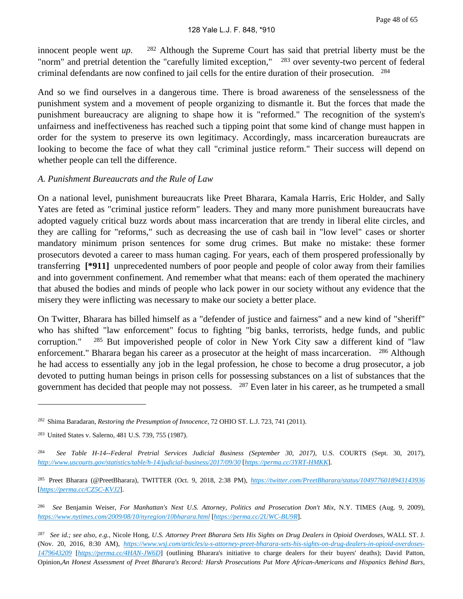innocent people went *up.* <sup>282</sup> Although the Supreme Court has said that pretrial liberty must be the "norm" and pretrial detention the "carefully limited exception," <sup>283</sup> over seventy-two percent of federal criminal defendants are now confined to jail cells for the entire duration of their prosecution. <sup>284</sup>

And so we find ourselves in a dangerous time. There is broad awareness of the senselessness of the punishment system and a movement of people organizing to dismantle it. But the forces that made the punishment bureaucracy are aligning to shape how it is "reformed." The recognition of the system's unfairness and ineffectiveness has reached such a tipping point that some kind of change must happen in order for the system to preserve its own legitimacy. Accordingly, mass incarceration bureaucrats are looking to become the face of what they call "criminal justice reform." Their success will depend on whether people can tell the difference.

### *A. Punishment Bureaucrats and the Rule of Law*

On a national level, punishment bureaucrats like Preet Bharara, Kamala Harris, Eric Holder, and Sally Yates are feted as "criminal justice reform" leaders. They and many more punishment bureaucrats have adopted vaguely critical buzz words about mass incarceration that are trendy in liberal elite circles, and they are calling for "reforms," such as decreasing the use of cash bail in "low level" cases or shorter mandatory minimum prison sentences for some drug crimes. But make no mistake: these former prosecutors devoted a career to mass human caging. For years, each of them prospered professionally by transferring **[\*911]** unprecedented numbers of poor people and people of color away from their families and into government confinement. And remember what that means: each of them operated the machinery that abused the bodies and minds of people who lack power in our society without any evidence that the misery they were inflicting was necessary to make our society a better place.

On Twitter, Bharara has billed himself as a "defender of justice and fairness" and a new kind of "sheriff" who has shifted "law enforcement" focus to fighting "big banks, terrorists, hedge funds, and public corruption." <sup>285</sup> But impoverished people of color in New York City saw a different kind of "law enforcement." Bharara began his career as a prosecutor at the height of mass incarceration. <sup>286</sup> Although he had access to essentially any job in the legal profession, he chose to become a drug prosecutor, a job devoted to putting human beings in prison cells for possessing substances on a list of substances that the government has decided that people may not possess. <sup>287</sup> Even later in his career, as he trumpeted a small

<sup>282</sup>Shima Baradaran, *Restoring the Presumption of Innocence*, 72 OHIO ST. L.J. 723, 741 (2011).

<sup>&</sup>lt;sup>283</sup> United States v. Salerno, 481 U.S. 739, 755 (1987).

<sup>284</sup>  *See Table H-14--Federal Pretrial Services Judicial Business (September 30, 2017)*, U.S. COURTS (Sept. 30, 2017), *<http://www.uscourts.gov/statistics/table/h-14/judicial-business/2017/09/30>* [*<https://perma.cc/3YRT-HMKK>*].

<sup>285</sup>Preet Bharara (@PreetBharara), TWITTER (Oct. 9, 2018, 2:38 PM), *<https://twitter.com/PreetBharara/status/1049776018943143936>* [*<https://perma.cc/CZ5C-KVJ2>*].

<sup>286</sup>  *See* Benjamin Weiser, *For Manhattan's Next U.S. Attorney, Politics and Prosecution Don't Mix*, N.Y. TIMES (Aug. 9, 2009), *<https://www.nytimes.com/2009/08/10/nyregion/10bharara.html>* [*<https://perma.cc/2UWC-BU9R>*].

<sup>287</sup>  *See id.; see also, e.g.*, Nicole Hong, *U.S. Attorney Preet Bharara Sets His Sights on Drug Dealers in Opioid Overdoses*, WALL ST. J. (Nov. 20, 2016, 8:30 AM), *[https://www.wsj.com/articles/u-s-attorney-preet-bharara-sets-his-sights-on-drug-dealers-in-opioid-overdoses-](https://www.wsj.com/articles/u-s-attorney-preet-bharara-sets-his-sights-on-drug-dealers-in-opioid-overdoses-1479643209)[1479643209](https://www.wsj.com/articles/u-s-attorney-preet-bharara-sets-his-sights-on-drug-dealers-in-opioid-overdoses-1479643209)* [*<https://perma.cc/4HAN-JW6D>*] (outlining Bharara's initiative to charge dealers for their buyers' deaths); David Patton, Opinion,*An Honest Assessment of Preet Bharara's Record: Harsh Prosecutions Put More African-Americans and Hispanics Behind Bars*,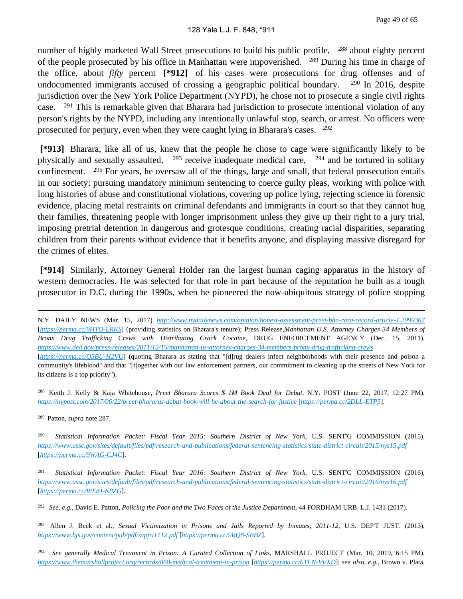number of highly marketed Wall Street prosecutions to build his public profile, <sup>288</sup> about eighty percent of the people prosecuted by his office in Manhattan were impoverished. <sup>289</sup> During his time in charge of the office, about *fifty* percent **[\*912]** of his cases were prosecutions for drug offenses and of undocumented immigrants accused of crossing a geographic political boundary.  $290$  In 2016, despite jurisdiction over the New York Police Department (NYPD), he chose not to prosecute a single civil rights case. <sup>291</sup> This is remarkable given that Bharara had jurisdiction to prosecute intentional violation of any person's rights by the NYPD, including any intentionally unlawful stop, search, or arrest. No officers were prosecuted for perjury, even when they were caught lying in Bharara's cases. <sup>292</sup>

 **[\*913]** Bharara, like all of us, knew that the people he chose to cage were significantly likely to be physically and sexually assaulted, <sup>293</sup> receive inadequate medical care, <sup>294</sup> and be tortured in solitary confinement. <sup>295</sup> For years, he oversaw all of the things, large and small, that federal prosecution entails in our society: pursuing mandatory minimum sentencing to coerce guilty pleas, working with police with long histories of abuse and constitutional violations, covering up police lying, rejecting science in forensic evidence, placing metal restraints on criminal defendants and immigrants in court so that they cannot hug their families, threatening people with longer imprisonment unless they give up their right to a jury trial, imposing pretrial detention in dangerous and grotesque conditions, creating racial disparities, separating children from their parents without evidence that it benefits anyone, and displaying massive disregard for the crimes of elites.

 **[\*914]** Similarly, Attorney General Holder ran the largest human caging apparatus in the history of western democracies. He was selected for that role in part because of the reputation he built as a tough prosecutor in D.C. during the 1990s, when he pioneered the now-ubiquitous strategy of police stopping

<sup>288</sup>Keith J. Kelly & Kaja Whitehouse, *Preet Bharara Scores \$ 1M Book Deal for Debut*, N.Y. POST (June 22, 2017, 12:27 PM), *<https://nypost.com/2017/06/22/preet-bhararas-debut-book-will-be-about-the-search-for-justice>* [*<https://perma.cc/2DLL-ETP5>*].

<sup>289</sup> Patton, *supra* note 287.

its citizens is a top priority").

290 *Statistical Information Packet: Fiscal Year 2015: Southern District of New York*, U.S. SENT'G COMMISSION (2015), *<https://www.ussc.gov/sites/default/files/pdf/research-and-publications/federal-sentencing-statistics/state-district-circuit/2015/nys15.pdf>* [*<https://perma.cc/9WAG-CJ4C>*].

291 *Statistical Information Packet: Fiscal Year 2016: Southern District of New York*, U.S. SENT'G COMMISSION (2016), *<https://www.ussc.gov/sites/default/files/pdf/research-and-publications/federal-sentencing-statistics/state-district-circuit/2016/nys16.pdf>* [*<https://perma.cc/WE8J-K8ZG>*].

292 *See, e.g.*, David E. Patton, *Policing the Poor and the Two Faces of the Justice Department*, 44 FORDHAM URB. L.J. 1431 (2017).

<sup>293</sup>Allen J. Beck et al., *Sexual Victimization in Prisons and Jails Reported by Inmates, 2011-12*, U.S. DEP'T JUST. (2013), *<https://www.bjs.gov/content/pub/pdf/svpjri1112.pdf>* [*<https://perma.cc/9RQ8-SBBZ>*].

294 *See generally Medical Treatment in Prison: A Curated Collection of Links*, MARSHALL PROJECT (Mar. 10, 2019, 6:15 PM), *<https://www.themarshallproject.org/records/868-medical-treatment-in-prison>* [*<https://perma.cc/6TFN-VFXD>*]; *see also, e.g.*, Brown v. Plata,

N.Y. DAILY NEWS (Mar. 15, 2017) *<http://www.nydailynews.com/opinion/honest-assessment-preet-bha-rara-record-article-1.2999367>* [*<https://perma.cc/9HTQ-LRKS>*] (providing statistics on Bharara's tenure); Press Release,*Manhattan U.S. Attorney Charges 34 Members of Bronx Drug Trafficking Crews with Distributing Crack Cocaine*, DRUG ENFORCEMENT AGENCY (Dec. 15, 2011), *<https://www.dea.gov/press-releases/2011/12/15/manhattan-us-attorney-charges-34-members-bronx-drug-trafficking-crews>* [*<https://perma.cc/Q5BU-H2VU>*] (quoting Bharara as stating that "[d]rug dealers infect neighborhoods with their presence and poison a community's lifeblood" and that "[t]ogether with our law enforcement partners, our commitment to cleaning up the streets of New York for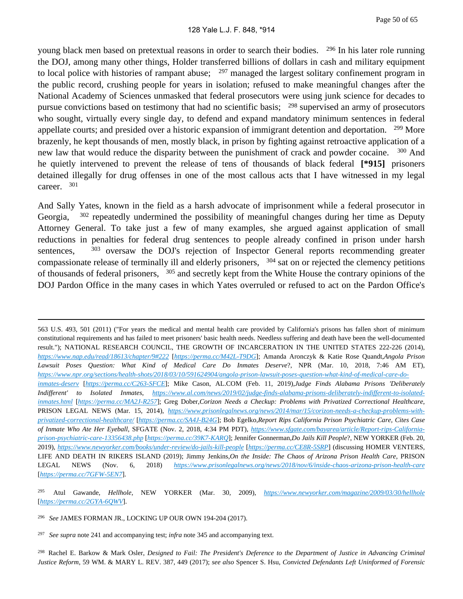young black men based on pretextual reasons in order to search their bodies. <sup>296</sup> In his later role running the DOJ, among many other things, Holder transferred billions of dollars in cash and military equipment to local police with histories of rampant abuse;  $297$  managed the largest solitary confinement program in the public record, crushing people for years in isolation; refused to make meaningful changes after the National Academy of Sciences unmasked that federal prosecutors were using junk science for decades to pursue convictions based on testimony that had no scientific basis; <sup>298</sup> supervised an army of prosecutors who sought, virtually every single day, to defend and expand mandatory minimum sentences in federal appellate courts; and presided over a historic expansion of immigrant detention and deportation. <sup>299</sup> More brazenly, he kept thousands of men, mostly black, in prison by fighting against retroactive application of a new law that would reduce the disparity between the punishment of crack and powder cocaine. <sup>300</sup> And he quietly intervened to prevent the release of tens of thousands of black federal **[\*915]** prisoners detained illegally for drug offenses in one of the most callous acts that I have witnessed in my legal career. <sup>301</sup>

And Sally Yates, known in the field as a harsh advocate of imprisonment while a federal prosecutor in Georgia, <sup>302</sup> repeatedly undermined the possibility of meaningful changes during her time as Deputy Attorney General. To take just a few of many examples, she argued against application of small reductions in penalties for federal drug sentences to people already confined in prison under harsh sentences, <sup>303</sup> oversaw the DOJ's rejection of Inspector General reports recommending greater compassionate release of terminally ill and elderly prisoners, <sup>304</sup> sat on or rejected the clemency petitions of thousands of federal prisoners, <sup>305</sup> and secretly kept from the White House the contrary opinions of the DOJ Pardon Office in the many cases in which Yates overruled or refused to act on the Pardon Office's

563 U.S. 493, 501 (2011) ("For years the medical and mental health care provided by California's prisons has fallen short of minimum constitutional requirements and has failed to meet prisoners' basic health needs. Needless suffering and death have been the well-documented result."); NATIONAL RESEARCH COUNCIL, THE GROWTH OF INCARCERATION IN THE UNITED STATES 222-226 (2014), *<https://www.nap.edu/read/18613/chapter/9#222>* [*<https://perma.cc/M42L-T9DG>*]; Amanda Aronczyk & Katie Rose Quandt,*Angola Prison Lawsuit Poses Question: What Kind of Medical Care Do Inmates Deserve*?, NPR (Mar. 10, 2018, 7:46 AM ET), *[https://www.npr.org/sections/health-shots/2018/03/10/591624904/angola-prison-lawsuit-poses-question-what-kind-of-medical-care-do](https://www.npr.org/sections/health-shots/2018/03/10/591624904/angola-prison-lawsuit-poses-question-what-kind-of-medical-care-do-inmates-deserv)[inmates-deserv](https://www.npr.org/sections/health-shots/2018/03/10/591624904/angola-prison-lawsuit-poses-question-what-kind-of-medical-care-do-inmates-deserv)* [*<https://perma.cc/C263-SFCE>*]; Mike Cason, AL.COM (Feb. 11, 2019),*Judge Finds Alabama Prisons 'Deliberately Indifferent' to Isolated Inmates*, *[https://www.al.com/news/2019/02/judge-finds-alabama-prisons-deliberately-indifferent-to-isolated](https://www.al.com/news/2019/02/judge-finds-alabama-prisons-deliberately-indifferent-to-isolated-inmates.html)[inmates.html](https://www.al.com/news/2019/02/judge-finds-alabama-prisons-deliberately-indifferent-to-isolated-inmates.html)* [*<https://perma.cc/MA2J-R257>*]; Greg Dober,*Corizon Needs a Checkup: Problems with Privatized Correctional Healthcare*, PRISON LEGAL NEWS (Mar. 15, 2014), *[https://www.prisonlegalnews.org/news/2014/mar/15/corizon-needs-a-checkup-problems-with](https://www.prisonlegalnews.org/news/2014/mar/15/corizon-needs-a-checkup-problems-with-privatized-correctional-healthcare/)[privatized-correctional-healthcare/](https://www.prisonlegalnews.org/news/2014/mar/15/corizon-needs-a-checkup-problems-with-privatized-correctional-healthcare/)* [*<https://perma.cc/SA4J-B24G>*]; Bob Egelko,*Report Rips California Prison Psychiatric Care, Cites Case of Inmate Who Ate Her Eyeball*, SFGATE (Nov. 2, 2018, 4:34 PM PDT), *[https://www.sfgate.com/bayarea/article/Report-rips-California](https://www.sfgate.com/bayarea/article/Report-rips-California-prison-psychiatric-care-13356438.php)[prison-psychiatric-care-13356438.php](https://www.sfgate.com/bayarea/article/Report-rips-California-prison-psychiatric-care-13356438.php)* [*<https://perma.cc/39K7-KARQ>*]; Jennifer Gonnerman,*Do Jails Kill People*?, NEW YORKER (Feb. 20, 2019), *<https://www.newyorker.com/books/under-review/do-jails-kill-people>* [*<https://perma.cc/CE8R-5SRP>*] (discussing HOMER VENTERS, LIFE AND DEATH IN RIKERS ISLAND (2019); Jimmy Jenkins,*On the Inside: The Chaos of Arizona Prison Health Care*, PRISON LEGAL NEWS (Nov. 6, 2018) *<https://www.prisonlegalnews.org/news/2018/nov/6/inside-chaos-arizona-prison-health-care>* [*<https://perma.cc/7GFW-5EN7>*].

<sup>295</sup>Atul Gawande, *Hellhole*, NEW YORKER (Mar. 30, 2009), *<https://www.newyorker.com/magazine/2009/03/30/hellhole>* [*<https://perma.cc/2GYA-6QWV>*].

296 *See* JAMES FORMAN JR., LOCKING UP OUR OWN 194-204 (2017).

297 *See supra* note 241 and accompanying test; *infra* note 345 and accompanying text.

<sup>298</sup>Rachel E. Barkow & Mark Osler, *Designed to Fail: The President's Deference to the Department of Justice in Advancing Criminal Justice Reform*, 59 WM. & MARY L. REV. 387, 449 (2017); *see also* Spencer S. Hsu, *Convicted Defendants Left Uninformed of Forensic*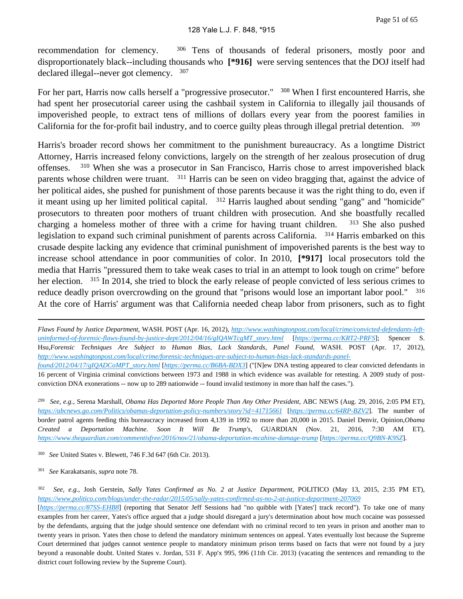recommendation for clemency. <sup>306</sup> Tens of thousands of federal prisoners, mostly poor and disproportionately black--including thousands who **[\*916]** were serving sentences that the DOJ itself had declared illegal--never got clemency. <sup>307</sup>

For her part, Harris now calls herself a "progressive prosecutor." <sup>308</sup> When I first encountered Harris, she had spent her prosecutorial career using the cashbail system in California to illegally jail thousands of impoverished people, to extract tens of millions of dollars every year from the poorest families in California for the for-profit bail industry, and to coerce guilty pleas through illegal pretrial detention. <sup>309</sup>

Harris's broader record shows her commitment to the punishment bureaucracy. As a longtime District Attorney, Harris increased felony convictions, largely on the strength of her zealous prosecution of drug offenses. <sup>310</sup> When she was a prosecutor in San Francisco, Harris chose to arrest impoverished black parents whose children were truant. <sup>311</sup> Harris can be seen on video bragging that, against the advice of her political aides, she pushed for punishment of those parents because it was the right thing to do, even if it meant using up her limited political capital. <sup>312</sup> Harris laughed about sending "gang" and "homicide" prosecutors to threaten poor mothers of truant children with prosecution. And she boastfully recalled charging a homeless mother of three with a crime for having truant children. <sup>313</sup> She also pushed legislation to expand such criminal punishment of parents across California. <sup>314</sup> Harris embarked on this crusade despite lacking any evidence that criminal punishment of impoverished parents is the best way to increase school attendance in poor communities of color. In 2010, **[\*917]** local prosecutors told the media that Harris "pressured them to take weak cases to trial in an attempt to look tough on crime" before her election. <sup>315</sup> In 2014, she tried to block the early release of people convicted of less serious crimes to reduce deadly prison overcrowding on the ground that "prisons would lose an important labor pool." <sup>316</sup> At the core of Harris' argument was that California needed cheap labor from prisoners, such as to fight

*Flaws Found by Justice Department*, WASH. POST (Apr. 16, 2012), *[http://www.washingtonpost.com/local/crime/convicted-defendants-left](http://www.washingtonpost.com/local/crime/convicted-defendants-left-uninformed-of-forensic-flaws-found-by-justice-dept/2012/04/16/gIQAWTcgMT_story.html)[uninformed-of-forensic-flaws-found-by-justice-dept/2012/04/16/gIQAWTcgMT\\_story.html](http://www.washingtonpost.com/local/crime/convicted-defendants-left-uninformed-of-forensic-flaws-found-by-justice-dept/2012/04/16/gIQAWTcgMT_story.html)* [*<https://perma.cc/KRT2-PRFS>*]; Spencer S. Hsu,*Forensic Techniques Are Subject to Human Bias, Lack Standards, Panel Found*, WASH. POST (Apr. 17, 2012), *[http://www.washingtonpost.com/local/crime/forensic-techniques-are-subject-to-human-bias-lack-standards-panel-](http://www.washingtonpost.com/local/crime/forensic-techniques-are-subject-to-human-bias-lack-standards-panel-found/2012/04/17/gIQADCoMPT_story.html)*

299 *See, e.g.*, Serena Marshall, *Obama Has Deported More People Than Any Other President*, ABC NEWS (Aug. 29, 2016, 2:05 PM ET), *<https://abcnews.go.com/Politics/obamas-deportation-policy-numbers/story?id=41715661>* [*<https://perma.cc/64RP-BZV2>*]. The number of border patrol agents feeding this bureaucracy increased from 4,139 in 1992 to more than 20,000 in 2015. Daniel Denvir, Opinion,*Obama Created a Deportation Machine. Soon It Will Be Trump's*, GUARDIAN (Nov. 21, 2016, 7:30 AM ET), *<https://www.theguardian.com/commentisfree/2016/nov/21/obama-deportation-mcahine-damage-trump>* [*<https://perma.cc/Q9BN-K9SZ>*].

300 *See* United States v. Blewett, 746 F.3d 647 (6th Cir. 2013).

301 *See* Karakatsanis, *supra* note 78.

302 *See, e.g.*, Josh Gerstein, *Sally Yates Confirmed as No. 2 at Justice Department*, POLITICO (May 13, 2015, 2:35 PM ET), *<https://www.politico.com/blogs/under-the-radar/2015/05/sally-yates-confirmed-as-no-2-at-justice-department-207069>*

[<https://perma.cc/87SS-EHB8>] (reporting that Senator Jeff Sessions had "no quibble with [Yates'] track record"). To take one of many examples from her career, Yates's office argued that a judge should disregard a jury's determination about how much cocaine was possessed by the defendants, arguing that the judge should sentence one defendant with no criminal record to ten years in prison and another man to twenty years in prison. Yates then chose to defend the mandatory minimum sentences on appeal. Yates eventually lost because the Supreme Court determined that judges cannot sentence people to mandatory minimum prison terms based on facts that were not found by a jury beyond a reasonable doubt. United States v. Jordan, 531 F. App'x 995, 996 (11th Cir. 2013) (vacating the sentences and remanding to the district court following review by the Supreme Court).

*[found/2012/04/17/gIQADCoMPT\\_story.html](http://www.washingtonpost.com/local/crime/forensic-techniques-are-subject-to-human-bias-lack-standards-panel-found/2012/04/17/gIQADCoMPT_story.html)* [*<https://perma.cc/B6BA-BDX3>*] ("[N]ew DNA testing appeared to clear convicted defendants in 16 percent of Virginia criminal convictions between 1973 and 1988 in which evidence was available for retesting. A 2009 study of postconviction DNA exonerations -- now up to 289 nationwide -- found invalid testimony in more than half the cases.").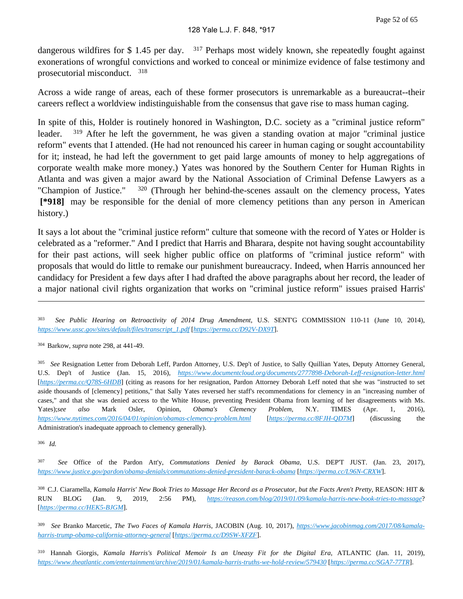dangerous wildfires for \$ 1.45 per day.  $317$  Perhaps most widely known, she repeatedly fought against exonerations of wrongful convictions and worked to conceal or minimize evidence of false testimony and prosecutorial misconduct. <sup>318</sup>

Across a wide range of areas, each of these former prosecutors is unremarkable as a bureaucrat--their careers reflect a worldview indistinguishable from the consensus that gave rise to mass human caging.

In spite of this, Holder is routinely honored in Washington, D.C. society as a "criminal justice reform" leader. <sup>319</sup> After he left the government, he was given a standing ovation at major "criminal justice reform" events that I attended. (He had not renounced his career in human caging or sought accountability for it; instead, he had left the government to get paid large amounts of money to help aggregations of corporate wealth make more money.) Yates was honored by the Southern Center for Human Rights in Atlanta and was given a major award by the National Association of Criminal Defense Lawyers as a "Champion of Justice." <sup>320</sup> (Through her behind-the-scenes assault on the clemency process, Yates  **[\*918]** may be responsible for the denial of more clemency petitions than any person in American history.)

It says a lot about the "criminal justice reform" culture that someone with the record of Yates or Holder is celebrated as a "reformer." And I predict that Harris and Bharara, despite not having sought accountability for their past actions, will seek higher public office on platforms of "criminal justice reform" with proposals that would do little to remake our punishment bureaucracy. Indeed, when Harris announced her candidacy for President a few days after I had drafted the above paragraphs about her record, the leader of a major national civil rights organization that works on "criminal justice reform" issues praised Harris'

<sup>304</sup> Barkow, *supra* note 298, at 441-49.

305 *See* Resignation Letter from Deborah Leff, Pardon Attorney, U.S. Dep't of Justice, to Sally Quillian Yates, Deputy Attorney General, U.S. Dep't of Justice (Jan. 15, 2016), *<https://www.documentcloud.org/documents/2777898-Deborah-Leff-resignation-letter.html>* [*<https://perma.cc/Q78S-6HDB>*] (citing as reasons for her resignation, Pardon Attorney Deborah Leff noted that she was "instructed to set aside thousands of [clemency] petitions," that Sally Yates reversed her staff's recommendations for clemency in an "increasing number of cases," and that she was denied access to the White House, preventing President Obama from learning of her disagreements with Ms. Yates);*see also* Mark Osler, Opinion, *Obama's Clemency Problem*, N.Y. TIMES (Apr. 1, 2016), *<https://www.nytimes.com/2016/04/01/opinion/obamas-clemency-problem.html>* [*<https://perma.cc/8FJH-QD7M>*] (discussing the Administration's inadequate approach to clemency generally).

306 *Id.*

307 *See* Office of the Pardon Att'y, *Commutations Denied by Barack Obama*, U.S. DEP'T JUST. (Jan. 23, 2017), *<https://www.justice.gov/pardon/obama-denials/commutations-denied-president-barack-obama>* [*<https://perma.cc/L96N-CRXW>*].

<sup>308</sup>C.J. Ciaramella, *Kamala Harris' New Book Tries to Massage Her Record as a Prosecutor, but the Facts Aren't Pretty*, REASON: HIT & RUN BLOG (Jan. 9, 2019, 2:56 PM), *<https://reason.com/blog/2019/01/09/kamala-harris-new-book-tries-to-massage>*? [*<https://perma.cc/HEK5-BJGM>*].

309 *See* Branko Marcetic, *The Two Faces of Kamala Harris*, JACOBIN (Aug. 10, 2017), *[https://www.jacobinmag.com/2017/08/kamala](https://www.jacobinmag.com/2017/08/kamala-harris-trump-obama-california-attorney-general)[harris-trump-obama-california-attorney-general](https://www.jacobinmag.com/2017/08/kamala-harris-trump-obama-california-attorney-general)* [*<https://perma.cc/D9SW-XFZF>*].

<sup>310</sup>Hannah Giorgis, *Kamala Harris's Political Memoir Is an Uneasy Fit for the Digital Era*, ATLANTIC (Jan. 11, 2019), *<https://www.theatlantic.com/entertainment/archive/2019/01/kamala-harris-truths-we-hold-review/579430>* [*<https://perma.cc/SGA7-77TR>*].

<sup>303</sup>  *See Public Hearing on Retroactivity of 2014 Drug Amendment*, U.S. SENT'G COMMISSION 110-11 (June 10, 2014), *[https://www.ussc.gov/sites/default/files/transcript\\_1.pdf](https://www.ussc.gov/sites/default/files/transcript_1.pdf)* [*<https://perma.cc/D92V-DX9T>*].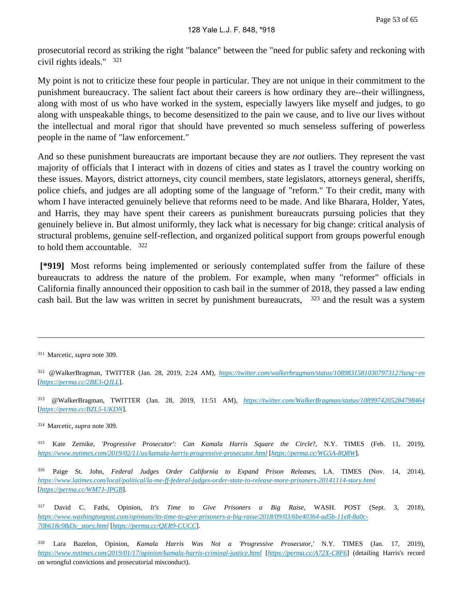prosecutorial record as striking the right "balance" between the "need for public safety and reckoning with civil rights ideals." <sup>321</sup>

My point is not to criticize these four people in particular. They are not unique in their commitment to the punishment bureaucracy. The salient fact about their careers is how ordinary they are--their willingness, along with most of us who have worked in the system, especially lawyers like myself and judges, to go along with unspeakable things, to become desensitized to the pain we cause, and to live our lives without the intellectual and moral rigor that should have prevented so much senseless suffering of powerless people in the name of "law enforcement."

And so these punishment bureaucrats are important because they are *not* outliers. They represent the vast majority of officials that I interact with in dozens of cities and states as I travel the country working on these issues. Mayors, district attorneys, city council members, state legislators, attorneys general, sheriffs, police chiefs, and judges are all adopting some of the language of "reform." To their credit, many with whom I have interacted genuinely believe that reforms need to be made. And like Bharara, Holder, Yates, and Harris, they may have spent their careers as punishment bureaucrats pursuing policies that they genuinely believe in. But almost uniformly, they lack what is necessary for big change: critical analysis of structural problems, genuine self-reflection, and organized political support from groups powerful enough to hold them accountable.  $322$ 

 **[\*919]** Most reforms being implemented or seriously contemplated suffer from the failure of these bureaucrats to address the nature of the problem. For example, when many "reformer" officials in California finally announced their opposition to cash bail in the summer of 2018, they passed a law ending cash bail. But the law was written in secret by punishment bureaucrats,  $323$  and the result was a system

<sup>313</sup>@WalkerBragman, TWITTER (Jan. 28, 2019, 11:51 AM), *<https://twitter.com/WalkerBragman/status/1089974205284798464>* [*<https://perma.cc/BZL5-UKDN>*].

<sup>314</sup>Marcetic, *supra* note 309.

<sup>315</sup>Kate Zernike, *'Progressive Prosecutor': Can Kamala Harris Square the Circle*?, N.Y. TIMES (Feb. 11, 2019), *<https://www.nytimes.com/2019/02/11/us/kamala-harris-progressive-prosecutor.html>* [*<https://perma.cc/WG5A-8Q8W>*].

<sup>316</sup>Paige St. John, *Federal Judges Order California to Expand Prison Releases*, LA. TIMES (Nov. 14, 2014), *<https://www.latimes.com/local/political/la-me-ff-federal-judges-order-state-to-release-more-prisoners-20141114-story.html>* [*<https://perma.cc/WM7J-JPGB>*].

<sup>317</sup>David C. Fathi, Opinion, *It's Time to Give Prisoners a Big Raise*, WASH. POST (Sept. 3, 2018), *[https://www.washingtonpost.com/opinions/its-time-to-give-prisoners-a-big-raise/2018/09/03/6be40364-ad5b-11e8-8a0c-](https://www.washingtonpost.com/opinions/its-time-to-give-prisoners-a-big-raise/2018/09/03/6be40364-ad5b-11e8-8a0c-70b618c98d3c_story.html)[70b618c98d3c\\_story.html](https://www.washingtonpost.com/opinions/its-time-to-give-prisoners-a-big-raise/2018/09/03/6be40364-ad5b-11e8-8a0c-70b618c98d3c_story.html)* [*<https://perma.cc/QER9-CUCC>*].

<sup>318</sup>Lara Bazelon, Opinion, *Kamala Harris Was Not a 'Progressive Prosecutor*,*'* N.Y. TIMES (Jan. 17, 2019), *<https://www.nytimes.com/2019/01/17/opinion/kamala-harris-criminal-justice.html>* [*<https://perma.cc/A72X-C8F6>*] (detailing Harris's record on wrongful convictions and prosecutorial misconduct).

<sup>&</sup>lt;sup>311</sup> Marcetic, *supra* note 309.

<sup>312</sup>@WalkerBragman, TWITTER (Jan. 28, 2019, 2:24 AM), *<https://twitter.com/walkerbragman/status/1089831581030797312?lang=en>* [*<https://perma.cc/2BE3-QJLL>*].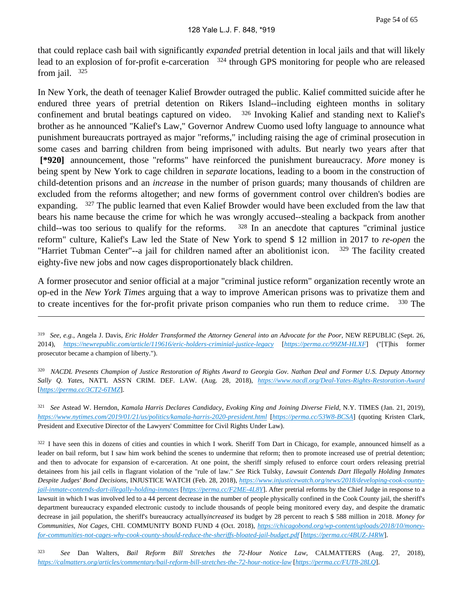that could replace cash bail with significantly *expanded* pretrial detention in local jails and that will likely lead to an explosion of for-profit e-carceration <sup>324</sup> through GPS monitoring for people who are released from jail.  $325$ 

In New York, the death of teenager Kalief Browder outraged the public. Kalief committed suicide after he endured three years of pretrial detention on Rikers Island--including eighteen months in solitary confinement and brutal beatings captured on video. <sup>326</sup> Invoking Kalief and standing next to Kalief's brother as he announced "Kalief's Law," Governor Andrew Cuomo used lofty language to announce what punishment bureaucrats portrayed as major "reforms," including raising the age of criminal prosecution in some cases and barring children from being imprisoned with adults. But nearly two years after that  **[\*920]** announcement, those "reforms" have reinforced the punishment bureaucracy. *More* money is being spent by New York to cage children in *separate* locations, leading to a boom in the construction of child-detention prisons and an *increase* in the number of prison guards; many thousands of children are excluded from the reforms altogether; and new forms of government control over children's bodies are expanding. <sup>327</sup> The public learned that even Kalief Browder would have been excluded from the law that bears his name because the crime for which he was wrongly accused--stealing a backpack from another child--was too serious to qualify for the reforms. <sup>328</sup> In an anecdote that captures "criminal justice reform" culture, Kalief's Law led the State of New York to spend \$ 12 million in 2017 to *re-open* the "Harriet Tubman Center"--a jail for children named after an abolitionist icon. <sup>329</sup> The facility created eighty-five new jobs and now cages disproportionately black children.

A former prosecutor and senior official at a major "criminal justice reform" organization recently wrote an op-ed in the *New York Times* arguing that a way to improve American prisons was to privatize them and to create incentives for the for-profit private prison companies who run them to reduce crime. <sup>330</sup> The

323 *See* Dan Walters, *Bail Reform Bill Stretches the 72-Hour Notice Law*, CALMATTERS (Aug. 27, 2018), *<https://calmatters.org/articles/commentary/bail-reform-bill-stretches-the-72-hour-notice-law>* [*<https://perma.cc/FUT8-28LQ>*].

<sup>319</sup>  *See, e.g.*, Angela J. Davis, *Eric Holder Transformed the Attorney General into an Advocate for the Poor*, NEW REPUBLIC (Sept. 26, 2014), *<https://newrepublic.com/article/119616/eric-holders-criminial-justice-legacy>* [*<https://perma.cc/99ZM-HLXF>*] ("[T]his former prosecutor became a champion of liberty.").

<sup>320</sup>  *NACDL Presents Champion of Justice Restoration of Rights Award to Georgia Gov. Nathan Deal and Former U.S. Deputy Attorney Sally Q. Yates*, NAT'L ASS'N CRIM. DEF. LAW. (Aug. 28, 2018), *<https://www.nacdl.org/Deal-Yates-Rights-Restoration-Award>* [*<https://perma.cc/3CT2-6TMZ>*].

<sup>321</sup>  *See* Astead W. Herndon, *Kamala Harris Declares Candidacy, Evoking King and Joining Diverse Field*, N.Y. TIMES (Jan. 21, 2019), *<https://www.nytimes.com/2019/01/21/us/politics/kamala-harris-2020-president.html>* [*<https://perma.cc/53W8-BCSA>*] (quoting Kristen Clark, President and Executive Director of the Lawyers' Committee for Civil Rights Under Law).

<sup>322</sup> I have seen this in dozens of cities and counties in which I work. Sheriff Tom Dart in Chicago, for example, announced himself as a leader on bail reform, but I saw him work behind the scenes to undermine that reform; then to promote increased use of pretrial detention; and then to advocate for expansion of e-carceration. At one point, the sheriff simply refused to enforce court orders releasing pretrial detainees from his jail cells in flagrant violation of the "rule of law." *See* Rick Tulsky, *Lawsuit Contends Dart Illegally Holding Inmates Despite Judges' Bond Decisions*, INJUSTICE WATCH (Feb. 28, 2018), *[https://www.injusticewatch.org/news/2018/developing-cook-county](https://www.injusticewatch.org/news/2018/developing-cook-county-jail-inmate-contends-dart-illegally-holding-inmates)[jail-inmate-contends-dart-illegally-holding-inmates](https://www.injusticewatch.org/news/2018/developing-cook-county-jail-inmate-contends-dart-illegally-holding-inmates)* [*<https://perma.cc/F2ME-4L8Y>*]. After pretrial reforms by the Chief Judge in response to a lawsuit in which I was involved led to a 44 percent decrease in the number of people physically confined in the Cook County jail, the sheriff's department bureaucracy expanded electronic custody to include thousands of people being monitored every day, and despite the dramatic decrease in jail population, the sheriff's bureaucracy actually*increased* its budget by 28 percent to reach \$ 588 million in 2018. *Money for Communities, Not Cages*, CHI. COMMUNITY BOND FUND 4 (Oct. 2018), *[https://chicagobond.org/wp-content/uploads/2018/10/money](https://chicagobond.org/wp-content/uploads/2018/10/money-for-communities-not-cages-why-cook-county-should-reduce-the-sheriffs-bloated-jail-budget.pdf)[for-communities-not-cages-why-cook-county-should-reduce-the-sheriffs-bloated-jail-budget.pdf](https://chicagobond.org/wp-content/uploads/2018/10/money-for-communities-not-cages-why-cook-county-should-reduce-the-sheriffs-bloated-jail-budget.pdf)* [*<https://perma.cc/4BUZ-J4RW>*].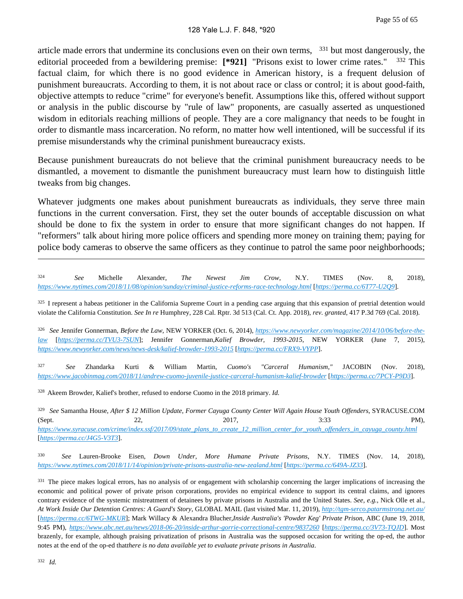article made errors that undermine its conclusions even on their own terms, <sup>331</sup> but most dangerously, the editorial proceeded from a bewildering premise: **[\*921]** "Prisons exist to lower crime rates." <sup>332</sup> This factual claim, for which there is no good evidence in American history, is a frequent delusion of punishment bureaucrats. According to them, it is not about race or class or control; it is about good-faith, objective attempts to reduce "crime" for everyone's benefit. Assumptions like this, offered without support or analysis in the public discourse by "rule of law" proponents, are casually asserted as unquestioned wisdom in editorials reaching millions of people. They are a core malignancy that needs to be fought in order to dismantle mass incarceration. No reform, no matter how well intentioned, will be successful if its premise misunderstands why the criminal punishment bureaucracy exists.

Because punishment bureaucrats do not believe that the criminal punishment bureaucracy needs to be dismantled, a movement to dismantle the punishment bureaucracy must learn how to distinguish little tweaks from big changes.

Whatever judgments one makes about punishment bureaucrats as individuals, they serve three main functions in the current conversation. First, they set the outer bounds of acceptable discussion on what should be done to fix the system in order to ensure that more significant changes do not happen. If "reformers" talk about hiring more police officers and spending more money on training them; paying for police body cameras to observe the same officers as they continue to patrol the same poor neighborhoods;

324 *See* Michelle Alexander, *The Newest Jim Crow*, N.Y. TIMES (Nov. 8, 2018), *<https://www.nytimes.com/2018/11/08/opinion/sunday/criminal-justice-reforms-race-technology.html>* [*<https://perma.cc/6T77-U2Q9>*].

<sup>325</sup> I represent a habeas petitioner in the California Supreme Court in a pending case arguing that this expansion of pretrial detention would violate the California Constitution. *See In re* Humphrey, 228 Cal. Rptr. 3d 513 (Cal. Ct. App. 2018), *rev. granted*, 417 P.3d 769 (Cal. 2018).

326 *See* Jennifer Gonnerman, *Before the Law*, NEW YORKER (Oct. 6, 2014), *[https://www.newyorker.com/magazine/2014/10/06/before-the](https://www.newyorker.com/magazine/2014/10/06/before-the-law)[law](https://www.newyorker.com/magazine/2014/10/06/before-the-law)* [*<https://perma.cc/TVU3-7SUN>*]; Jennifer Gonnerman,*Kalief Browder, 1993-2015*, NEW YORKER (June 7, 2015), *<https://www.newyorker.com/news/news-desk/kalief-browder-1993-2015>* [*<https://perma.cc/FRX9-VYPP>*].

327 *See* Zhandarka Kurti & William Martin, *Cuomo's "Carceral Humanism*,*"* JACOBIN (Nov. 2018), *<https://www.jacobinmag.com/2018/11/andrew-cuomo-juvenile-justice-carceral-humanism-kalief-browder>* [*<https://perma.cc/7PCY-P9D3>*].

<sup>328</sup>Akeem Browder, Kalief's brother, refused to endorse Cuomo in the 2018 primary. *Id.*

329 *See* Samantha House, *After \$ 12 Million Update, Former Cayuga County Center Will Again House Youth Offenders*, SYRACUSE.COM (Sept. 22, 2017, 3:33 PM), *[https://www.syracuse.com/crime/index.ssf/2017/09/state\\_plans\\_to\\_create\\_12\\_million\\_center\\_for\\_youth\\_offenders\\_in\\_cayuga\\_county.html](https://www.syracuse.com/crime/index.ssf/2017/09/state_plans_to_create_12_million_center_for_youth_offenders_in_cayuga_county.html)* [*<https://perma.cc/J4G5-V3T3>*].

330 *See* Lauren-Brooke Eisen, *Down Under, More Humane Private Prisons*, N.Y. TIMES (Nov. 14, 2018), *<https://www.nytimes.com/2018/11/14/opinion/private-prisons-australia-new-zealand.html>* [*<https://perma.cc/649A-JZ33>*].

<sup>331</sup> The piece makes logical errors, has no analysis of or engagement with scholarship concerning the larger implications of increasing the economic and political power of private prison corporations, provides no empirical evidence to support its central claims, and ignores contrary evidence of the systemic mistreatment of detainees by private prisons in Australia and the United States. *See, e.g.*, Nick Olle et al., *At Work Inside Our Detention Centres: A Guard's Story*, GLOBAL MAIL (last visited Mar. 11, 2019), *<http://tgm-serco.patarmstrong.net.au/>* [*<https://perma.cc/6TWG-MKUR>*]; Mark Willacy & Alexandra Blucher,*Inside Australia's 'Powder Keg' Private Prison*, ABC (June 19, 2018, 9:45 PM), *<https://www.abc.net.au/news/2018-06-20/inside-arthur-gorrie-correctional-centre/9837260>* [*<https://perma.cc/3V73-TQJD>*]. Most brazenly, for example, although praising privatization of prisons in Australia was the supposed occasion for writing the op-ed, the author notes at the end of the op-ed that*there is no data available yet to evaluate private prisons in Australia*.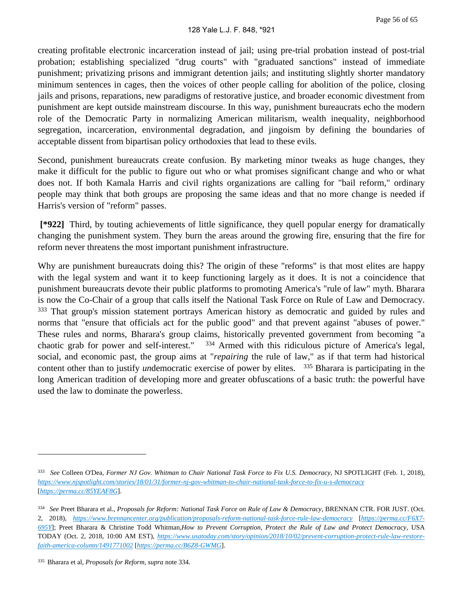creating profitable electronic incarceration instead of jail; using pre-trial probation instead of post-trial probation; establishing specialized "drug courts" with "graduated sanctions" instead of immediate punishment; privatizing prisons and immigrant detention jails; and instituting slightly shorter mandatory minimum sentences in cages, then the voices of other people calling for abolition of the police, closing jails and prisons, reparations, new paradigms of restorative justice, and broader economic divestment from punishment are kept outside mainstream discourse. In this way, punishment bureaucrats echo the modern role of the Democratic Party in normalizing American militarism, wealth inequality, neighborhood segregation, incarceration, environmental degradation, and jingoism by defining the boundaries of acceptable dissent from bipartisan policy orthodoxies that lead to these evils.

Second, punishment bureaucrats create confusion. By marketing minor tweaks as huge changes, they make it difficult for the public to figure out who or what promises significant change and who or what does not. If both Kamala Harris and civil rights organizations are calling for "bail reform," ordinary people may think that both groups are proposing the same ideas and that no more change is needed if Harris's version of "reform" passes.

 **[\*922]** Third, by touting achievements of little significance, they quell popular energy for dramatically changing the punishment system. They burn the areas around the growing fire, ensuring that the fire for reform never threatens the most important punishment infrastructure.

Why are punishment bureaucrats doing this? The origin of these "reforms" is that most elites are happy with the legal system and want it to keep functioning largely as it does. It is not a coincidence that punishment bureaucrats devote their public platforms to promoting America's "rule of law" myth. Bharara is now the Co-Chair of a group that calls itself the National Task Force on Rule of Law and Democracy. <sup>333</sup> That group's mission statement portrays American history as democratic and guided by rules and norms that "ensure that officials act for the public good" and that prevent against "abuses of power." These rules and norms, Bharara's group claims, historically prevented government from becoming "a chaotic grab for power and self-interest." <sup>334</sup> Armed with this ridiculous picture of America's legal, social, and economic past, the group aims at "*repairing* the rule of law," as if that term had historical content other than to justify *un*democratic exercise of power by elites. <sup>335</sup> Bharara is participating in the long American tradition of developing more and greater obfuscations of a basic truth: the powerful have used the law to dominate the powerless.

<sup>333</sup>  *See* Colleen O'Dea, *Former NJ Gov. Whitman to Chair National Task Force to Fix U.S. Democracy*, NJ SPOTLIGHT (Feb. 1, 2018), *<https://www.njspotlight.com/stories/18/01/31/former-nj-gov-whitman-to-chair-national-task-force-to-fix-u-s-democracy>* [*<https://perma.cc/85YEAF8G>*].

<sup>334</sup>  *See* Preet Bharara et al., *Proposals for Reform: National Task Force on Rule of Law & Democracy*, BRENNAN CTR. FOR JUST. (Oct.

<sup>2, 2018),</sup> *<https://www.brennancenter.org/publication/proposals-reform-national-task-force-rule-law-democracy>* [*[https://perma.cc/F6X7-](https://perma.cc/F6X7-695Y) [695Y](https://perma.cc/F6X7-695Y)*]; Preet Bharara & Christine Todd Whitman,*How to Prevent Corruption, Protect the Rule of Law and Protect Democracy*, USA TODAY (Oct. 2, 2018, 10:00 AM EST), *[https://www.usatoday.com/story/opinion/2018/10/02/prevent-corruption-protect-rule-law-restore](https://www.usatoday.com/story/opinion/2018/10/02/prevent-corruption-protect-rule-law-restore-faith-america-column/1491771002)[faith-america-column/1491771002](https://www.usatoday.com/story/opinion/2018/10/02/prevent-corruption-protect-rule-law-restore-faith-america-column/1491771002)* [*<https://perma.cc/B6Z8-GWMG>*].

<sup>335</sup>Bharara et al, *Proposals for Reform, supra* note 334.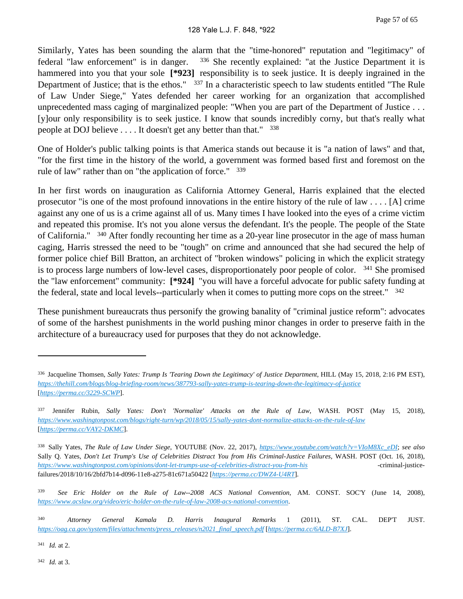Similarly, Yates has been sounding the alarm that the "time-honored" reputation and "legitimacy" of federal "law enforcement" is in danger. <sup>336</sup> She recently explained: "at the Justice Department it is hammered into you that your sole **[\*923]** responsibility is to seek justice. It is deeply ingrained in the Department of Justice; that is the ethos." <sup>337</sup> In a characteristic speech to law students entitled "The Rule" of Law Under Siege," Yates defended her career working for an organization that accomplished unprecedented mass caging of marginalized people: "When you are part of the Department of Justice . . . [y]our only responsibility is to seek justice. I know that sounds incredibly corny, but that's really what people at DOJ believe  $\dots$ . It doesn't get any better than that."  $338$ 

One of Holder's public talking points is that America stands out because it is "a nation of laws" and that, "for the first time in the history of the world, a government was formed based first and foremost on the rule of law" rather than on "the application of force." <sup>339</sup>

In her first words on inauguration as California Attorney General, Harris explained that the elected prosecutor "is one of the most profound innovations in the entire history of the rule of law . . . . [A] crime against any one of us is a crime against all of us. Many times I have looked into the eyes of a crime victim and repeated this promise. It's not you alone versus the defendant. It's the people. The people of the State of California." <sup>340</sup> After fondly recounting her time as a 20-year line prosecutor in the age of mass human caging, Harris stressed the need to be "tough" on crime and announced that she had secured the help of former police chief Bill Bratton, an architect of "broken windows" policing in which the explicit strategy is to process large numbers of low-level cases, disproportionately poor people of color. <sup>341</sup> She promised the "law enforcement" community: **[\*924]** "you will have a forceful advocate for public safety funding at the federal, state and local levels--particularly when it comes to putting more cops on the street." <sup>342</sup>

These punishment bureaucrats thus personify the growing banality of "criminal justice reform": advocates of some of the harshest punishments in the world pushing minor changes in order to preserve faith in the architecture of a bureaucracy used for purposes that they do not acknowledge.

342 *Id.* at 3.

<sup>336</sup>Jacqueline Thomsen, *Sally Yates: Trump Is 'Tearing Down the Legitimacy' of Justice Department*, HILL (May 15, 2018, 2:16 PM EST), *<https://thehill.com/blogs/blog-briefing-room/news/387793-sally-yates-trump-is-tearing-down-the-legitimacy-of-justice>* [*<https://perma.cc/3229-SCWP>*].

<sup>337</sup>Jennifer Rubin, *Sally Yates: Don't 'Normalize' Attacks on the Rule of Law*, WASH. POST (May 15, 2018), *<https://www.washingtonpost.com/blogs/right-turn/wp/2018/05/15/sally-yates-dont-normalize-attacks-on-the-rule-of-law>* [*<https://perma.cc/VAY2-DKMC>*].

<sup>338</sup>Sally Yates, *The Rule of Law Under Siege*, YOUTUBE (Nov. 22, 2017), *[https://www.youtube.com/watch?v=VIoM8Xc\\_eDI](https://www.youtube.com/watch?v=VIoM8Xc_eDI)*; *see also* Sally Q. Yates, *Don't Let Trump's Use of Celebrities Distract You from His Criminal-Justice Failures*, WASH. POST (Oct. 16, 2018), *<https://www.washingtonpost.com/opinions/dont-let-trumps-use-of-celebrities-distract-you-from-his>* -criminal-justicefailures/2018/10/16/2bfd7b14-d096-11e8-a275-81c671a50422 [*<https://perma.cc/DWZ4-U4RT>*].

<sup>339</sup>  *See Eric Holder on the Rule of Law--2008 ACS National Convention*, AM. CONST. SOC'Y (June 14, 2008), *<https://www.acslaw.org/video/eric-holder-on-the-rule-of-law-2008-acs-national-convention>*.

<sup>340</sup>  *Attorney General Kamala D. Harris Inaugural Remarks* 1 (2011), ST. CAL. DEP'T JUST. *[https://oag.ca.gov/system/files/attachments/press\\_releases/n2021\\_final\\_speech.pdf](https://oag.ca.gov/system/files/attachments/press_releases/n2021_final_speech.pdf)* [*<https://perma.cc/6ALD-B7XJ>*].

<sup>341</sup>  *Id.* at 2.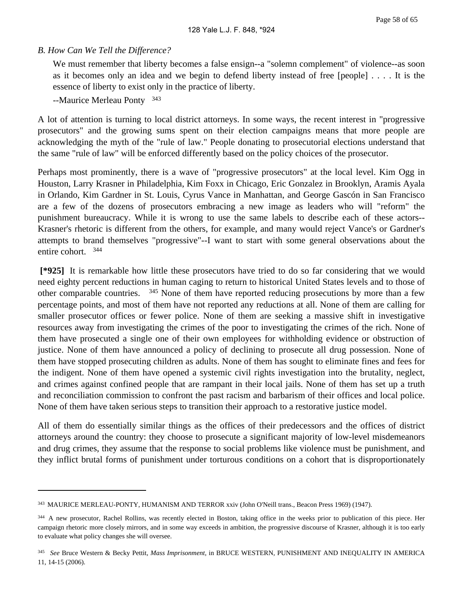#### *B. How Can We Tell the Difference?*

We must remember that liberty becomes a false ensign--a "solemn complement" of violence--as soon as it becomes only an idea and we begin to defend liberty instead of free [people] . . . . It is the essence of liberty to exist only in the practice of liberty.

--Maurice Merleau Ponty <sup>343</sup>

A lot of attention is turning to local district attorneys. In some ways, the recent interest in "progressive prosecutors" and the growing sums spent on their election campaigns means that more people are acknowledging the myth of the "rule of law." People donating to prosecutorial elections understand that the same "rule of law" will be enforced differently based on the policy choices of the prosecutor.

Perhaps most prominently, there is a wave of "progressive prosecutors" at the local level. Kim Ogg in Houston, Larry Krasner in Philadelphia, Kim Foxx in Chicago, Eric Gonzalez in Brooklyn, Aramis Ayala in Orlando, Kim Gardner in St. Louis, Cyrus Vance in Manhattan, and George Gascón in San Francisco are a few of the dozens of prosecutors embracing a new image as leaders who will "reform" the punishment bureaucracy. While it is wrong to use the same labels to describe each of these actors-- Krasner's rhetoric is different from the others, for example, and many would reject Vance's or Gardner's attempts to brand themselves "progressive"--I want to start with some general observations about the entire cohort. <sup>344</sup>

 **[\*925]** It is remarkable how little these prosecutors have tried to do so far considering that we would need eighty percent reductions in human caging to return to historical United States levels and to those of other comparable countries. <sup>345</sup> None of them have reported reducing prosecutions by more than a few percentage points, and most of them have not reported any reductions at all. None of them are calling for smaller prosecutor offices or fewer police. None of them are seeking a massive shift in investigative resources away from investigating the crimes of the poor to investigating the crimes of the rich. None of them have prosecuted a single one of their own employees for withholding evidence or obstruction of justice. None of them have announced a policy of declining to prosecute all drug possession. None of them have stopped prosecuting children as adults. None of them has sought to eliminate fines and fees for the indigent. None of them have opened a systemic civil rights investigation into the brutality, neglect, and crimes against confined people that are rampant in their local jails. None of them has set up a truth and reconciliation commission to confront the past racism and barbarism of their offices and local police. None of them have taken serious steps to transition their approach to a restorative justice model.

All of them do essentially similar things as the offices of their predecessors and the offices of district attorneys around the country: they choose to prosecute a significant majority of low-level misdemeanors and drug crimes, they assume that the response to social problems like violence must be punishment, and they inflict brutal forms of punishment under torturous conditions on a cohort that is disproportionately

<sup>343</sup> MAURICE MERLEAU-PONTY, HUMANISM AND TERROR xxiv (John O'Neill trans., Beacon Press 1969) (1947).

<sup>344</sup>A new prosecutor, Rachel Rollins, was recently elected in Boston, taking office in the weeks prior to publication of this piece. Her campaign rhetoric more closely mirrors, and in some way exceeds in ambition, the progressive discourse of Krasner, although it is too early to evaluate what policy changes she will oversee.

<sup>345</sup>  *See* Bruce Western & Becky Pettit, *Mass Imprisonment*, in BRUCE WESTERN, PUNISHMENT AND INEQUALITY IN AMERICA 11, 14-15 (2006).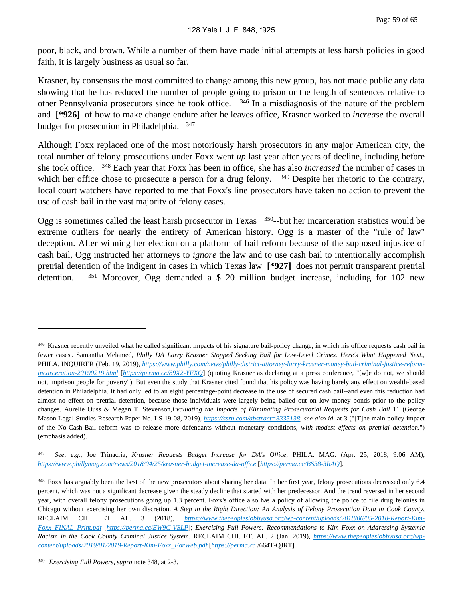poor, black, and brown. While a number of them have made initial attempts at less harsh policies in good faith, it is largely business as usual so far.

Krasner, by consensus the most committed to change among this new group, has not made public any data showing that he has reduced the number of people going to prison or the length of sentences relative to other Pennsylvania prosecutors since he took office. <sup>346</sup> In a misdiagnosis of the nature of the problem and **[\*926]** of how to make change endure after he leaves office, Krasner worked to *increase* the overall budget for prosecution in Philadelphia. <sup>347</sup>

Although Foxx replaced one of the most notoriously harsh prosecutors in any major American city, the total number of felony prosecutions under Foxx went *up* last year after years of decline, including before she took office. <sup>348</sup> Each year that Foxx has been in office, she has also *increased* the number of cases in which her office chose to prosecute a person for a drug felony. <sup>349</sup> Despite her rhetoric to the contrary, local court watchers have reported to me that Foxx's line prosecutors have taken no action to prevent the use of cash bail in the vast majority of felony cases.

Ogg is sometimes called the least harsh prosecutor in Texas  $350$ --but her incarceration statistics would be extreme outliers for nearly the entirety of American history. Ogg is a master of the "rule of law" deception. After winning her election on a platform of bail reform because of the supposed injustice of cash bail, Ogg instructed her attorneys to *ignore* the law and to use cash bail to intentionally accomplish pretrial detention of the indigent in cases in which Texas law **[\*927]** does not permit transparent pretrial detention. <sup>351</sup> Moreover, Ogg demanded a \$ 20 million budget increase, including for 102 new

347 *See, e.g.*, Joe Trinacria, *Krasner Requests Budget Increase for DA's Office*, PHILA. MAG. (Apr. 25, 2018, 9:06 AM), *<https://www.phillymag.com/news/2018/04/25/krasner-budget-increase-da-office>* [*<https://perma.cc/BS38-3RAQ>*].

<sup>&</sup>lt;sup>346</sup> Krasner recently unveiled what he called significant impacts of his signature bail-policy change, in which his office requests cash bail in fewer cases'. Samantha Melamed, *Philly DA Larry Krasner Stopped Seeking Bail for Low-Level Crimes. Here's What Happened Next.*, PHILA. INQUIRER (Feb. 19, 2019), *[https://www.philly.com/news/philly-district-attorney-larry-krasner-money-bail-criminal-justice-reform](https://www.philly.com/news/philly-district-attorney-larry-krasner-money-bail-criminal-justice-reform-incarceration-20190219.html)[incarceration-20190219.html](https://www.philly.com/news/philly-district-attorney-larry-krasner-money-bail-criminal-justice-reform-incarceration-20190219.html)* [*<https://perma.cc/89X2-YFXQ>*] (quoting Krasner as declaring at a press conference, "[w]e do not, we should not, imprison people for poverty"). But even the study that Krasner cited found that his policy was having barely any effect on wealth-based detention in Philadelphia. It had only led to an eight percentage-point decrease in the use of secured cash bail--and even this reduction had almost no effect on pretrial detention, because those individuals were largely being bailed out on low money bonds prior to the policy changes. Aurelie Ouss & Megan T. Stevenson,*Evaluating the Impacts of Eliminating Prosecutorial Requests for Cash Bail* 11 (George Mason Legal Studies Research Paper No. LS 19-08, 2019), *<https://ssrn.com/abstract=3335138>*; *see also id.* at 3 ("[T]he main policy impact of the No-Cash-Bail reform was to release more defendants without monetary conditions, *with modest effects on pretrial detention.*") (emphasis added).

<sup>&</sup>lt;sup>348</sup> Foxx has arguably been the best of the new prosecutors about sharing her data. In her first year, felony prosecutions decreased only 6.4 percent, which was not a significant decrease given the steady decline that started with her predecessor. And the trend reversed in her second year, with overall felony prosecutions going up 1.3 percent. Foxx's office also has a policy of allowing the police to file drug felonies in Chicago without exercising her own discretion. *A Step in the Right Direction: An Analysis of Felony Prosecution Data in Cook County*, RECLAIM CHI. ET AL. 3 (2018), *[https://www.thepeopleslobbyusa.org/wp-content/uploads/2018/06/05-2018-Report-Kim-](https://www.thepeopleslobbyusa.org/wp-content/uploads/2018/06/05-2018-Report-Kim-Foxx_FINAL_Print.pdf)[Foxx\\_FINAL\\_Print.pdf](https://www.thepeopleslobbyusa.org/wp-content/uploads/2018/06/05-2018-Report-Kim-Foxx_FINAL_Print.pdf)* [*<https://perma.cc/EW9C-VSLP>*]; *Exercising Full Powers: Recommendations to Kim Foxx on Addressing Systemic Racism in the Cook County Criminal Justice System*, RECLAIM CHI. ET. AL. 2 (Jan. 2019), *[https://www.thepeopleslobbyusa.org/wp](https://www.thepeopleslobbyusa.org/wp-content/uploads/2019/01/2019-Report-Kim-Foxx_ForWeb.pdf)[content/uploads/2019/01/2019-Report-Kim-Foxx\\_ForWeb.pdf](https://www.thepeopleslobbyusa.org/wp-content/uploads/2019/01/2019-Report-Kim-Foxx_ForWeb.pdf)* [*[https://perma.cc](https://perma.cc/)* /664T-QJRT].

<sup>349</sup>  *Exercising Full Powers, supra* note 348, at 2-3.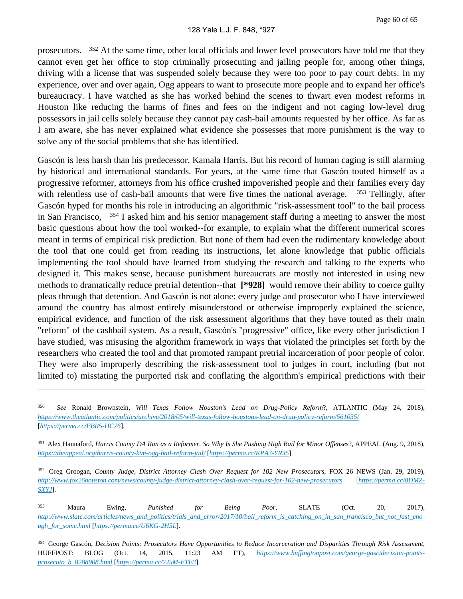prosecutors. <sup>352</sup> At the same time, other local officials and lower level prosecutors have told me that they cannot even get her office to stop criminally prosecuting and jailing people for, among other things, driving with a license that was suspended solely because they were too poor to pay court debts. In my experience, over and over again, Ogg appears to want to prosecute more people and to expand her office's bureaucracy. I have watched as she has worked behind the scenes to thwart even modest reforms in Houston like reducing the harms of fines and fees on the indigent and not caging low-level drug possessors in jail cells solely because they cannot pay cash-bail amounts requested by her office. As far as I am aware, she has never explained what evidence she possesses that more punishment is the way to solve any of the social problems that she has identified.

Gascón is less harsh than his predecessor, Kamala Harris. But his record of human caging is still alarming by historical and international standards. For years, at the same time that Gascón touted himself as a progressive reformer, attorneys from his office crushed impoverished people and their families every day with relentless use of cash-bail amounts that were five times the national average. <sup>353</sup> Tellingly, after Gascón hyped for months his role in introducing an algorithmic "risk-assessment tool" to the bail process in San Francisco, <sup>354</sup> I asked him and his senior management staff during a meeting to answer the most basic questions about how the tool worked--for example, to explain what the different numerical scores meant in terms of empirical risk prediction. But none of them had even the rudimentary knowledge about the tool that one could get from reading its instructions, let alone knowledge that public officials implementing the tool should have learned from studying the research and talking to the experts who designed it. This makes sense, because punishment bureaucrats are mostly not interested in using new methods to dramatically reduce pretrial detention--that **[\*928]** would remove their ability to coerce guilty pleas through that detention. And Gascón is not alone: every judge and prosecutor who I have interviewed around the country has almost entirely misunderstood or otherwise improperly explained the science, empirical evidence, and function of the risk assessment algorithms that they have touted as their main "reform" of the cashbail system. As a result, Gascón's "progressive" office, like every other jurisdiction I have studied, was misusing the algorithm framework in ways that violated the principles set forth by the researchers who created the tool and that promoted rampant pretrial incarceration of poor people of color. They were also improperly describing the risk-assessment tool to judges in court, including (but not limited to) misstating the purported risk and conflating the algorithm's empirical predictions with their

350 *See* Ronald Brownstein, *Will Texas Follow Houston's Lead on Drug-Policy Reform*?, ATLANTIC (May 24, 2018), *<https://www.theatlantic.com/politics/archive/2018/05/will-texas-follow-houstons-lead-on-drug-policy-reform/561035/>* [*<https://perma.cc/FBR5-HC76>*].

<sup>351</sup>Alex Hannaford, *Harris County DA Ran as a Reformer. So Why Is She Pushing High Bail for Minor Offenses*?, APPEAL (Aug. 9, 2018), *<https://theappeal.org/harris-county-kim-ogg-bail-reform-jail/>* [*<https://perma.cc/KPA3-YR35>*].

<sup>352</sup>Greg Groogan, *County Judge, District Attorney Clash Over Request for 102 New Prosecutors*, FOX 26 NEWS (Jan. 29, 2019), *<http://www.fox26houston.com/news/county-judge-district-attorney-clash-over-request-for-102-new-prosecutors>* [*[https://perma.cc/8DMZ-](https://perma.cc/8DMZ-SXYJ)[SXYJ](https://perma.cc/8DMZ-SXYJ)*].

<sup>353</sup>Maura Ewing, *Punished for Being Poor*, SLATE (Oct. 20, 2017), *[http://www.slate.com/articles/news\\_and\\_politics/trials\\_and\\_error/2017/10/bail\\_reform\\_is\\_catching\\_on\\_in\\_san\\_francisco\\_but\\_not\\_fast\\_eno](http://www.slate.com/articles/news_and_politics/trials_and_error/2017/10/bail_reform_is_catching_on_in_san_francisco_but_not_fast_enough_for_some.html) [ugh\\_for\\_some.html](http://www.slate.com/articles/news_and_politics/trials_and_error/2017/10/bail_reform_is_catching_on_in_san_francisco_but_not_fast_enough_for_some.html)* [*<https://perma.cc/U6KG-2H5L>*].

<sup>354</sup>George Gascón, *Decision Points: Prosecutors Have Opportunities to Reduce Incarceration and Disparities Through Risk Assessment*, HUFFPOST: BLOG (Oct. 14, 2015, 11:23 AM ET), *[https://www.huffingtonpost.com/george-gasc/decision-points](https://www.huffingtonpost.com/george-gasc/decision-points-prosecuto_b_8288908.html)[prosecuto\\_b\\_8288908.html](https://www.huffingtonpost.com/george-gasc/decision-points-prosecuto_b_8288908.html)* [*<https://perma.cc/7J5M-ETE3>*].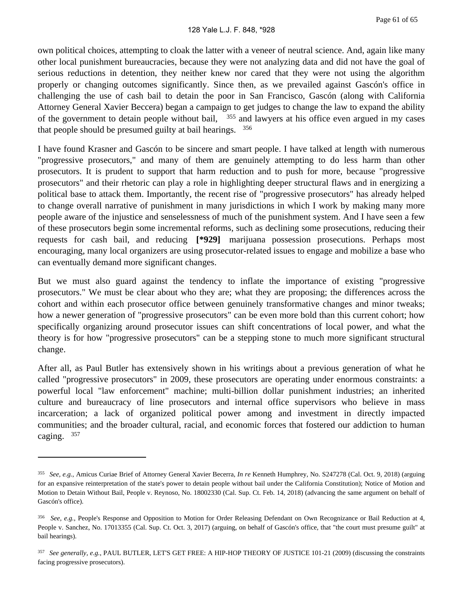own political choices, attempting to cloak the latter with a veneer of neutral science. And, again like many other local punishment bureaucracies, because they were not analyzing data and did not have the goal of serious reductions in detention, they neither knew nor cared that they were not using the algorithm properly or changing outcomes significantly. Since then, as we prevailed against Gascón's office in challenging the use of cash bail to detain the poor in San Francisco, Gascón (along with California Attorney General Xavier Beccera) began a campaign to get judges to change the law to expand the ability of the government to detain people without bail, <sup>355</sup> and lawyers at his office even argued in my cases that people should be presumed guilty at bail hearings. <sup>356</sup>

I have found Krasner and Gascón to be sincere and smart people. I have talked at length with numerous "progressive prosecutors," and many of them are genuinely attempting to do less harm than other prosecutors. It is prudent to support that harm reduction and to push for more, because "progressive prosecutors" and their rhetoric can play a role in highlighting deeper structural flaws and in energizing a political base to attack them. Importantly, the recent rise of "progressive prosecutors" has already helped to change overall narrative of punishment in many jurisdictions in which I work by making many more people aware of the injustice and senselessness of much of the punishment system. And I have seen a few of these prosecutors begin some incremental reforms, such as declining some prosecutions, reducing their requests for cash bail, and reducing **[\*929]** marijuana possession prosecutions. Perhaps most encouraging, many local organizers are using prosecutor-related issues to engage and mobilize a base who can eventually demand more significant changes.

But we must also guard against the tendency to inflate the importance of existing "progressive prosecutors." We must be clear about who they are; what they are proposing; the differences across the cohort and within each prosecutor office between genuinely transformative changes and minor tweaks; how a newer generation of "progressive prosecutors" can be even more bold than this current cohort; how specifically organizing around prosecutor issues can shift concentrations of local power, and what the theory is for how "progressive prosecutors" can be a stepping stone to much more significant structural change.

After all, as Paul Butler has extensively shown in his writings about a previous generation of what he called "progressive prosecutors" in 2009, these prosecutors are operating under enormous constraints: a powerful local "law enforcement" machine; multi-billion dollar punishment industries; an inherited culture and bureaucracy of line prosecutors and internal office supervisors who believe in mass incarceration; a lack of organized political power among and investment in directly impacted communities; and the broader cultural, racial, and economic forces that fostered our addiction to human caging. <sup>357</sup>

<sup>355</sup>  *See, e.g.*, Amicus Curiae Brief of Attorney General Xavier Becerra, *In re* Kenneth Humphrey, No. S247278 (Cal. Oct. 9, 2018) (arguing for an expansive reinterpretation of the state's power to detain people without bail under the California Constitution); Notice of Motion and Motion to Detain Without Bail, People v. Reynoso, No. 18002330 (Cal. Sup. Ct. Feb. 14, 2018) (advancing the same argument on behalf of Gascón's office).

<sup>356</sup>  *See, e.g.*, People's Response and Opposition to Motion for Order Releasing Defendant on Own Recognizance or Bail Reduction at 4, People v. Sanchez, No. 17013355 (Cal. Sup. Ct. Oct. 3, 2017) (arguing, on behalf of Gascón's office, that "the court must presume guilt" at bail hearings).

<sup>357</sup>  *See generally, e.g.*, PAUL BUTLER, LET'S GET FREE: A HIP-HOP THEORY OF JUSTICE 101-21 (2009) (discussing the constraints facing progressive prosecutors).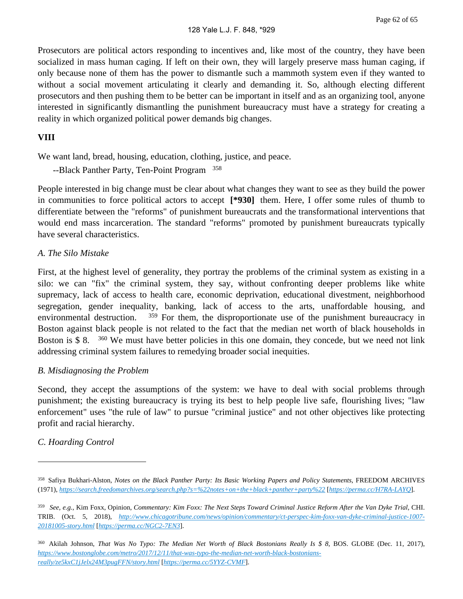Prosecutors are political actors responding to incentives and, like most of the country, they have been socialized in mass human caging. If left on their own, they will largely preserve mass human caging, if only because none of them has the power to dismantle such a mammoth system even if they wanted to without a social movement articulating it clearly and demanding it. So, although electing different prosecutors and then pushing them to be better can be important in itself and as an organizing tool, anyone interested in significantly dismantling the punishment bureaucracy must have a strategy for creating a reality in which organized political power demands big changes.

# **VIII**

We want land, bread, housing, education, clothing, justice, and peace.

--Black Panther Party, Ten-Point Program <sup>358</sup>

People interested in big change must be clear about what changes they want to see as they build the power in communities to force political actors to accept **[\*930]** them. Here, I offer some rules of thumb to differentiate between the "reforms" of punishment bureaucrats and the transformational interventions that would end mass incarceration. The standard "reforms" promoted by punishment bureaucrats typically have several characteristics.

### *A. The Silo Mistake*

First, at the highest level of generality, they portray the problems of the criminal system as existing in a silo: we can "fix" the criminal system, they say, without confronting deeper problems like white supremacy, lack of access to health care, economic deprivation, educational divestment, neighborhood segregation, gender inequality, banking, lack of access to the arts, unaffordable housing, and environmental destruction. <sup>359</sup> For them, the disproportionate use of the punishment bureaucracy in Boston against black people is not related to the fact that the median net worth of black households in Boston is \$ 8. <sup>360</sup> We must have better policies in this one domain, they concede, but we need not link addressing criminal system failures to remedying broader social inequities.

### *B. Misdiagnosing the Problem*

Second, they accept the assumptions of the system: we have to deal with social problems through punishment; the existing bureaucracy is trying its best to help people live safe, flourishing lives; "law enforcement" uses "the rule of law" to pursue "criminal justice" and not other objectives like protecting profit and racial hierarchy.

### *C. Hoarding Control*

<sup>358</sup>Safiya Bukhari-Alston, *Notes on the Black Panther Party: Its Basic Working Papers and Policy Statements*, FREEDOM ARCHIVES (1971), *<https://search.freedomarchives.org/search.php?s=%22notes+on+the+black+panther+party%22>* [*<https://perma.cc/H7RA-LAYQ>*].

<sup>359</sup>  *See, e.g.*, Kim Foxx, Opinion, *Commentary: Kim Foxx: The Next Steps Toward Criminal Justice Reform After the Van Dyke Trial*, CHI. TRIB. (Oct. 5, 2018), *[http://www.chicagotribune.com/news/opinion/commentary/ct-perspec-kim-foxx-van-dyke-criminal-justice-1007-](http://www.chicagotribune.com/news/opinion/commentary/ct-perspec-kim-foxx-van-dyke-criminal-justice-1007-20181005-story.html) [20181005-story.html](http://www.chicagotribune.com/news/opinion/commentary/ct-perspec-kim-foxx-van-dyke-criminal-justice-1007-20181005-story.html)* [*<https://perma.cc/NGC2-7EN3>*].

<sup>360</sup>Akilah Johnson, *That Was No Typo: The Median Net Worth of Black Bostonians Really Is \$ 8*, BOS. GLOBE (Dec. 11, 2017), *[https://www.bostonglobe.com/metro/2017/12/11/that-was-typo-the-median-net-worth-black-bostonians](https://www.bostonglobe.com/metro/2017/12/11/that-was-typo-the-median-net-worth-black-bostonians-really/ze5kxC1jJelx24M3pugFFN/story.html)[really/ze5kxC1jJelx24M3pugFFN/story.html](https://www.bostonglobe.com/metro/2017/12/11/that-was-typo-the-median-net-worth-black-bostonians-really/ze5kxC1jJelx24M3pugFFN/story.html)* [*<https://perma.cc/5YYZ-CVMF>*].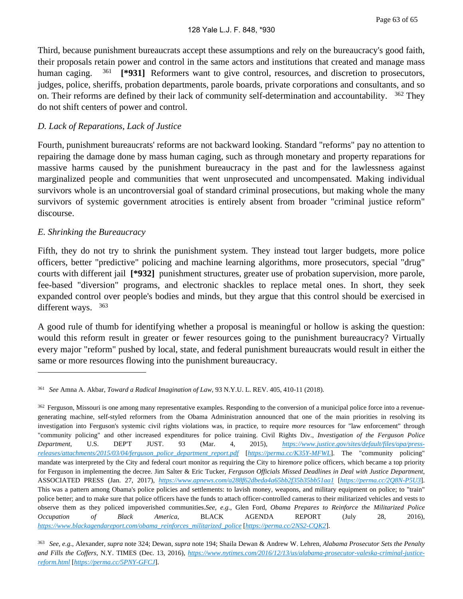Third, because punishment bureaucrats accept these assumptions and rely on the bureaucracy's good faith, their proposals retain power and control in the same actors and institutions that created and manage mass human caging.  $361$  **[\*931]** Reformers want to give control, resources, and discretion to prosecutors, judges, police, sheriffs, probation departments, parole boards, private corporations and consultants, and so on. Their reforms are defined by their lack of community self-determination and accountability. <sup>362</sup> They do not shift centers of power and control.

## *D. Lack of Reparations, Lack of Justice*

Fourth, punishment bureaucrats' reforms are not backward looking. Standard "reforms" pay no attention to repairing the damage done by mass human caging, such as through monetary and property reparations for massive harms caused by the punishment bureaucracy in the past and for the lawlessness against marginalized people and communities that went unprosecuted and uncompensated. Making individual survivors whole is an uncontroversial goal of standard criminal prosecutions, but making whole the many survivors of systemic government atrocities is entirely absent from broader "criminal justice reform" discourse.

### *E. Shrinking the Bureaucracy*

Fifth, they do not try to shrink the punishment system. They instead tout larger budgets, more police officers, better "predictive" policing and machine learning algorithms, more prosecutors, special "drug" courts with different jail **[\*932]** punishment structures, greater use of probation supervision, more parole, fee-based "diversion" programs, and electronic shackles to replace metal ones. In short, they seek expanded control over people's bodies and minds, but they argue that this control should be exercised in different ways. <sup>363</sup>

A good rule of thumb for identifying whether a proposal is meaningful or hollow is asking the question: would this reform result in greater or fewer resources going to the punishment bureaucracy? Virtually every major "reform" pushed by local, state, and federal punishment bureaucrats would result in either the same or more resources flowing into the punishment bureaucracy.

<sup>361</sup>  *See* Amna A. Akbar, *Toward a Radical Imagination of Law*, 93 N.Y.U. L. REV. 405, 410-11 (2018).

<sup>&</sup>lt;sup>362</sup> Ferguson, Missouri is one among many representative examples. Responding to the conversion of a municipal police force into a revenuegenerating machine, self-styled reformers from the Obama Administration announced that one of the main priorities in resolving its investigation into Ferguson's systemic civil rights violations was, in practice, to require *more* resources for "law enforcement" through "community policing" and other increased expenditures for police training. Civil Rights Div., *Investigation of the Ferguson Police Department*, U.S. DEP'T JUST. 93 (Mar. 4, 2015), *[https://www.justice.gov/sites/default/files/opa/press](https://www.justice.gov/sites/default/files/opa/press-releases/attachments/2015/03/04/ferguson_police_department_report.pdf)[releases/attachments/2015/03/04/ferguson\\_police\\_department\\_report.pdf](https://www.justice.gov/sites/default/files/opa/press-releases/attachments/2015/03/04/ferguson_police_department_report.pdf)* [*<https://perma.cc/K35Y-MFWL>*]. The "community policing" mandate was interpreted by the City and federal court monitor as requiring the City to hire*more* police officers, which became a top priority for Ferguson in implementing the decree. Jim Salter & Eric Tucker, *Ferguson Officials Missed Deadlines in Deal with Justice Department*, ASSOCIATED PRESS (Jan. 27, 2017), *<https://www.apnews.com/a288f62dbeda4a65bb2f35b35bb51aa1>* [*<https://perma.cc/2Q8N-P5U3>*]. This was a pattern among Obama's police policies and settlements: to lavish money, weapons, and military equipment on police; to "train" police better; and to make sure that police officers have the funds to attach officer-controlled cameras to their militarized vehicles and vests to observe them as they policed impoverished communities.*See, e.g.*, Glen Ford, *Obama Prepares to Reinforce the Militarized Police Occupation of Black America*, BLACK AGENDA REPORT (July 28, 2016), *[https://www.blackagendareport.com/obama\\_reinforces\\_militarized\\_police](https://www.blackagendareport.com/obama_reinforces_militarized_police)* [*<https://perma.cc/2NS2-CQK2>*].

<sup>363</sup>  *See, e.g.*, Alexander, *supra* note 324; Dewan, *supra* note 194; Shaila Dewan & Andrew W. Lehren, *Alabama Prosecutor Sets the Penalty and Fills the Coffers*, N.Y. TIMES (Dec. 13, 2016), *[https://www.nytimes.com/2016/12/13/us/alabama-prosecutor-valeska-criminal-justice](https://www.nytimes.com/2016/12/13/us/alabama-prosecutor-valeska-criminal-justice-reform.html)[reform.html](https://www.nytimes.com/2016/12/13/us/alabama-prosecutor-valeska-criminal-justice-reform.html)* [*<https://perma.cc/5PNY-GFCJ>*].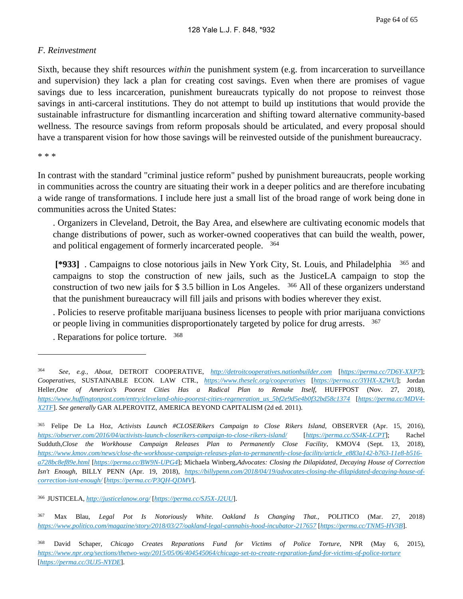### *F. Reinvestment*

Sixth, because they shift resources *within* the punishment system (e.g. from incarceration to surveillance and supervision) they lack a plan for creating cost savings. Even when there are promises of vague savings due to less incarceration, punishment bureaucrats typically do not propose to reinvest those savings in anti-carceral institutions. They do not attempt to build up institutions that would provide the sustainable infrastructure for dismantling incarceration and shifting toward alternative community-based wellness. The resource savings from reform proposals should be articulated, and every proposal should have a transparent vision for how those savings will be reinvested outside of the punishment bureaucracy.

\* \* \*

In contrast with the standard "criminal justice reform" pushed by punishment bureaucrats, people working in communities across the country are situating their work in a deeper politics and are therefore incubating a wide range of transformations. I include here just a small list of the broad range of work being done in communities across the United States:

. Organizers in Cleveland, Detroit, the Bay Area, and elsewhere are cultivating economic models that change distributions of power, such as worker-owned cooperatives that can build the wealth, power, and political engagement of formerly incarcerated people. <sup>364</sup>

 **[\*933]** . Campaigns to close notorious jails in New York City, St. Louis, and Philadelphia <sup>365</sup> and campaigns to stop the construction of new jails, such as the JusticeLA campaign to stop the construction of two new jails for \$ 3.5 billion in Los Angeles. <sup>366</sup> All of these organizers understand that the punishment bureaucracy will fill jails and prisons with bodies wherever they exist.

. Policies to reserve profitable marijuana business licenses to people with prior marijuana convictions or people living in communities disproportionately targeted by police for drug arrests. <sup>367</sup>

. Reparations for police torture. <sup>368</sup>

<sup>366</sup>JUSTICELA, *<http://justicelanow.org/>* [*<https://perma.cc/SJ5X-J2UU>*].

<sup>364</sup>  *See, e.g., About*, DETROIT COOPERATIVE, *[http://detroitcooperatives.nationbuilder.com](http://detroitcooperatives.nationbuilder.com/)* [*<https://perma.cc/7D6Y-XXP7>*]; *Cooperatives*, SUSTAINABLE ECON. LAW CTR., *<https://www.theselc.org/cooperatives>* [*<https://perma.cc/3YHX-X2WU>*]; Jordan Heller,*One of America's Poorest Cities Has a Radical Plan to Remake Itself*, HUFFPOST (Nov. 27, 2018), *[https://www.huffingtonpost.com/entry/cleveland-ohio-poorest-cities-regeneration\\_us\\_5bf2e9d5e4b0f32bd58c1374](https://www.huffingtonpost.com/entry/cleveland-ohio-poorest-cities-regeneration_us_5bf2e9d5e4b0f32bd58c1374)* [*[https://perma.cc/MDV4-](https://perma.cc/MDV4-X2TF) [X2TF](https://perma.cc/MDV4-X2TF)*]. *See generally* GAR ALPEROVITZ, AMERICA BEYOND CAPITALISM (2d ed. 2011).

<sup>365</sup>Felipe De La Hoz, *Activists Launch #CLOSERikers Campaign to Close Rikers Island*, OBSERVER (Apr. 15, 2016), *<https://observer.com/2016/04/activists-launch-closerikers-campaign-to-close-rikers-island/>* [*<https://perma.cc/SS4K-LCPT>*]; Rachel Sudduth,*Close the Workhouse Campaign Releases Plan to Permanently Close Facility*, KMOV4 (Sept. 13, 2018), *[https://www.kmov.com/news/close-the-workhouse-campaign-releases-plan-to-permanently-close-facility/article\\_e883a142-b763-11e8-b516](https://www.kmov.com/news/close-the-workhouse-campaign-releases-plan-to-permanently-close-facility/article_e883a142-b763-11e8-b516-a728bc8ef89e.html) [a728bc8ef89e.html](https://www.kmov.com/news/close-the-workhouse-campaign-releases-plan-to-permanently-close-facility/article_e883a142-b763-11e8-b516-a728bc8ef89e.html)* [*<https://perma.cc/BW9N-UPG4>*]; Michaela Winberg,*Advocates: Closing the Dilapidated, Decaying House of Correction Isn't Enough*, BILLY PENN (Apr. 19, 2018), *[https://billypenn.com/2018/04/19/advocates-closing-the-dilapidated-decaying-house-of](https://billypenn.com/2018/04/19/advocates-closing-the-dilapidated-decaying-house-of-correction-isnt-enough/)[correction-isnt-enough/](https://billypenn.com/2018/04/19/advocates-closing-the-dilapidated-decaying-house-of-correction-isnt-enough/)* [*<https://perma.cc/P3QH-QDMV>*].

<sup>367</sup>Max Blau, *Legal Pot Is Notoriously White. Oakland Is Changing That.*, POLITICO (Mar. 27, 2018) *<https://www.politico.com/magazine/story/2018/03/27/oakland-legal-cannabis-hood-incubator-217657>* [*<https://perma.cc/TNM5-HV3B>*].

<sup>368</sup>David Schaper, *Chicago Creates Reparations Fund for Victims of Police Torture*, NPR (May 6, 2015), *<https://www.npr.org/sections/thetwo-way/2015/05/06/404545064/chicago-set-to-create-reparation-fund-for-victims-of-police-torture>* [*<https://perma.cc/3UJ5-NYDE>*].